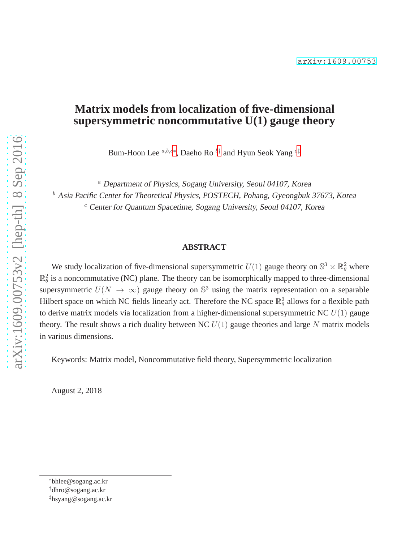# **Matrix models from localization of five-dimensional supersymmetric noncommutative U(1) gauge theory**

Bum-Hoon Lee  $^{a,b,c*}$ , Daeho Ro  $^{b\dagger}$  and Hyun Seok Yang  $^{c\dagger}$ 

<sup>a</sup> Department of Physics, Sogang University, Seoul 04107, Korea  $<sup>b</sup>$  Asia Pacific Center for Theoretical Physics, POSTECH, Pohang, Gyeongbuk 37673, Korea</sup>

 $c$  Center for Quantum Spacetime, Sogang University, Seoul 04107, Korea

#### **ABSTRACT**

We study localization of five-dimensional supersymmetric  $U(1)$  gauge theory on  $\mathbb{S}^3 \times \mathbb{R}^2_\theta$  where  $\mathbb{R}^2_{\theta}$  is a noncommutative (NC) plane. The theory can be isomorphically mapped to three-dimensional supersymmetric  $U(N \to \infty)$  gauge theory on  $\mathbb{S}^3$  using the matrix representation on a separable Hilbert space on which NC fields linearly act. Therefore the NC space  $\mathbb{R}^2_\theta$  allows for a flexible path to derive matrix models via localization from a higher-dimensional supersymmetric NC  $U(1)$  gauge theory. The result shows a rich duality between NC  $U(1)$  gauge theories and large N matrix models in various dimensions.

Keywords: Matrix model, Noncommutative field theory, Supersymmetric localization

August 2, 2018

<sup>∗</sup>bhlee@sogang.ac.kr

<span id="page-0-0"></span><sup>†</sup>dhro@sogang.ac.kr

<span id="page-0-2"></span><span id="page-0-1"></span><sup>‡</sup>hsyang@sogang.ac.kr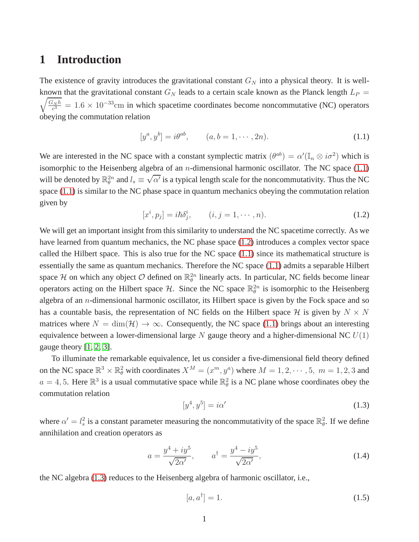# **1 Introduction**

The existence of gravity introduces the gravitational constant  $G_N$  into a physical theory. It is wellknown that the gravitational constant  $G_N$  leads to a certain scale known as the Planck length  $L_P =$  $\sqrt{G_N \hbar}$  $c_{c3}^{Nh} = 1.6 \times 10^{-33}$ cm in which spacetime coordinates become noncommutative (NC) operators obeying the commutation relation

<span id="page-1-0"></span>
$$
[y^a, y^b] = i\theta^{ab}, \qquad (a, b = 1, \cdots, 2n). \tag{1.1}
$$

We are interested in the NC space with a constant symplectic matrix  $(\theta^{ab}) = \alpha'(\mathbb{I}_n \otimes i\sigma^2)$  which is isomorphic to the Heisenberg algebra of an *n*-dimensional harmonic oscillator. The NC space  $(1.1)$ will be denoted by  $\mathbb{R}_{\theta}^{2n}$  and  $l_s \equiv \sqrt{\alpha'}$  is a typical length scale for the noncommutativity. Thus the NC space [\(1.1\)](#page-1-0) is similar to the NC phase space in quantum mechanics obeying the commutation relation given by

<span id="page-1-1"></span>
$$
[x^{i}, p_{j}] = i\hbar \delta_{j}^{i}, \qquad (i, j = 1, \cdots, n). \tag{1.2}
$$

We will get an important insight from this similarity to understand the NC spacetime correctly. As we have learned from quantum mechanics, the NC phase space [\(1.2\)](#page-1-1) introduces a complex vector space called the Hilbert space. This is also true for the NC space [\(1.1\)](#page-1-0) since its mathematical structure is essentially the same as quantum mechanics. Therefore the NC space [\(1.1\)](#page-1-0) admits a separable Hilbert space H on which any object  $\mathcal O$  defined on  $\mathbb{R}^{2n}_{\theta}$  linearly acts. In particular, NC fields become linear operators acting on the Hilbert space  $H$ . Since the NC space  $\mathbb{R}_{\theta}^{2n}$  is isomorphic to the Heisenberg algebra of an *n*-dimensional harmonic oscillator, its Hilbert space is given by the Fock space and so has a countable basis, the representation of NC fields on the Hilbert space  $\mathcal H$  is given by  $N \times N$ matrices where  $N = \dim(\mathcal{H}) \to \infty$ . Consequently, the NC space [\(1.1\)](#page-1-0) brings about an interesting equivalence between a lower-dimensional large  $N$  gauge theory and a higher-dimensional NC  $U(1)$ gauge theory [\[1,](#page-47-0) [2,](#page-47-1) [3\]](#page-47-2).

To illuminate the remarkable equivalence, let us consider a five-dimensional field theory defined on the NC space  $\mathbb{R}^3 \times \mathbb{R}^2_{\theta}$  with coordinates  $X^M = (x^m, y^a)$  where  $M = 1, 2, \dots, 5, m = 1, 2, 3$  and  $a = 4, 5$ . Here  $\mathbb{R}^3$  is a usual commutative space while  $\mathbb{R}^2_\theta$  is a NC plane whose coordinates obey the commutation relation

<span id="page-1-2"></span>
$$
[y^4, y^5] = i\alpha' \tag{1.3}
$$

where  $\alpha' = l_s^2$  is a constant parameter measuring the noncommutativity of the space  $\mathbb{R}_{\theta}^2$ . If we define annihilation and creation operators as

$$
a = \frac{y^4 + iy^5}{\sqrt{2\alpha'}}, \qquad a^\dagger = \frac{y^4 - iy^5}{\sqrt{2\alpha'}}, \tag{1.4}
$$

the NC algebra [\(1.3\)](#page-1-2) reduces to the Heisenberg algebra of harmonic oscillator, i.e.,

<span id="page-1-3"></span>
$$
[a, a^{\dagger}] = 1. \tag{1.5}
$$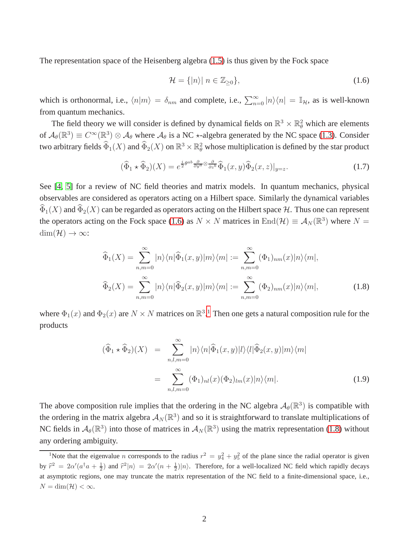The representation space of the Heisenberg algebra [\(1.5\)](#page-1-3) is thus given by the Fock space

<span id="page-2-0"></span>
$$
\mathcal{H} = \{|n\rangle| \ n \in \mathbb{Z}_{\geq 0}\},\tag{1.6}
$$

which is orthonormal, i.e.,  $\langle n|m \rangle = \delta_{nm}$  and complete, i.e.,  $\sum_{n=0}^{\infty} |n\rangle\langle n| = \mathbb{I}_{\mathcal{H}}$ , as is well-known from quantum mechanics.

The field theory we will consider is defined by dynamical fields on  $\mathbb{R}^3 \times \mathbb{R}^2_{\theta}$  which are elements of  $\mathcal{A}_{\theta}(\mathbb{R}^3) \equiv C^{\infty}(\mathbb{R}^3) \otimes \mathcal{A}_{\theta}$  where  $\mathcal{A}_{\theta}$  is a NC  $\star$ -algebra generated by the NC space [\(1.3\)](#page-1-2). Consider two arbitrary fields  $\widehat{\Phi}_1(X)$  and  $\widehat{\Phi}_2(X)$  on  $\R^3\times\R^2_\theta$  whose multiplication is defined by the star product

<span id="page-2-3"></span>
$$
(\widehat{\Phi}_1 \star \widehat{\Phi}_2)(X) = e^{\frac{i}{2}\theta^{ab}\frac{\partial}{\partial y^a}\otimes \frac{\partial}{\partial z^b}}\widehat{\Phi}_1(x,y)\widehat{\Phi}_2(x,z)|_{y=z}.\tag{1.7}
$$

See [\[4,](#page-47-3) [5\]](#page-47-4) for a review of NC field theories and matrix models. In quantum mechanics, physical observables are considered as operators acting on a Hilbert space. Similarly the dynamical variables  $\widehat{\Phi}_1(X)$  and  $\widehat{\Phi}_2(X)$  can be regarded as operators acting on the Hilbert space H. Thus one can represent the operators acting on the Fock space [\(1.6\)](#page-2-0) as  $N \times N$  matrices in  $\text{End}(\mathcal{H}) \equiv \mathcal{A}_N(\mathbb{R}^3)$  where  $N =$  $\dim(\mathcal{H}) \to \infty$ :

<span id="page-2-2"></span>
$$
\widehat{\Phi}_1(X) = \sum_{n,m=0}^{\infty} |n\rangle\langle n|\widehat{\Phi}_1(x,y)|m\rangle\langle m| := \sum_{n,m=0}^{\infty} (\Phi_1)_{nm}(x)|n\rangle\langle m|,
$$
  

$$
\widehat{\Phi}_2(X) = \sum_{n,m=0}^{\infty} |n\rangle\langle n|\widehat{\Phi}_2(x,y)|m\rangle\langle m| := \sum_{n,m=0}^{\infty} (\Phi_2)_{nm}(x)|n\rangle\langle m|,
$$
 (1.8)

where  $\Phi_1(x)$  $\Phi_1(x)$  $\Phi_1(x)$  and  $\Phi_2(x)$  are  $N \times N$  matrices on  $\mathbb{R}^3$ .<sup>1</sup> Then one gets a natural composition rule for the products

$$
(\widehat{\Phi}_1 \star \widehat{\Phi}_2)(X) = \sum_{n,l,m=0}^{\infty} |n\rangle\langle n|\widehat{\Phi}_1(x,y)|l\rangle\langle l|\widehat{\Phi}_2(x,y)|m\rangle\langle m|
$$
  

$$
= \sum_{n,l,m=0}^{\infty} (\Phi_1)_{nl}(x)(\Phi_2)_{lm}(x)|n\rangle\langle m|.
$$
 (1.9)

The above composition rule implies that the ordering in the NC algebra  $\mathcal{A}_{\theta}(\mathbb{R}^3)$  is compatible with the ordering in the matrix algebra  $\mathcal{A}_N(\mathbb{R}^3)$  and so it is straightforward to translate multiplications of NC fields in  $A_{\theta}(\mathbb{R}^3)$  into those of matrices in  $A_N(\mathbb{R}^3)$  using the matrix representation [\(1.8\)](#page-2-2) without any ordering ambiguity.

<span id="page-2-1"></span><sup>&</sup>lt;sup>1</sup>Note that the eigenvalue *n* corresponds to the radius  $r^2 = y_4^2 + y_5^2$  of the plane since the radial operator is given by  $\hat{r}^2 = 2\alpha'(a^\dagger a + \frac{1}{2})$  and  $\hat{r}^2 |n\rangle = 2\alpha'(n + \frac{1}{2})|n\rangle$ . Therefore, for a well-localized NC field which rapidly decays at asymptotic regions, one may truncate the matrix representation of the NC field to a finite-dimensional space, i.e.,  $N = \dim(\mathcal{H}) < \infty$ .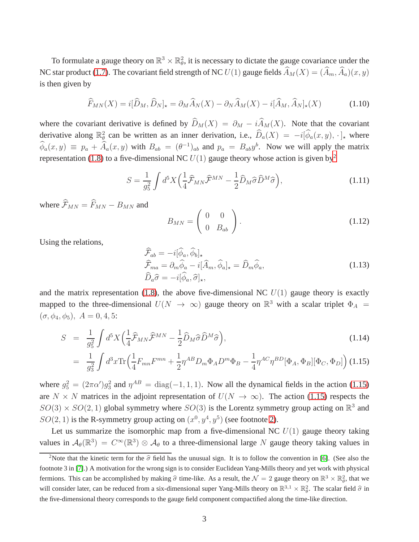To formulate a gauge theory on  $\mathbb{R}^3 \times \mathbb{R}^2_{\theta}$ , it is necessary to dictate the gauge covariance under the NC star product [\(1.7\)](#page-2-3). The covariant field strength of NC  $U(1)$  gauge fields  $\hat{A}_M(X) = (\hat{A}_m, \hat{A}_a)(x, y)$ is then given by

$$
\widehat{F}_{MN}(X) = i[\widehat{D}_M, \widehat{D}_N]_\star = \partial_M \widehat{A}_N(X) - \partial_N \widehat{A}_M(X) - i[\widehat{A}_M, \widehat{A}_N]_\star(X) \tag{1.10}
$$

where the covariant derivative is defined by  $\widehat{D}_M(X) = \partial_M - i \widehat{A}_M(X)$ . Note that the covariant derivative along  $\mathbb{R}^2_{\theta}$  can be written as an inner derivation, i.e.,  $\widehat{D}_a(X) = -i[\widehat{\phi}_a(x, y), \cdot]_{\star}$  where  $\phi_a(x, y) \equiv p_a + \hat{A}_a(x, y)$  with  $B_{ab} = (\theta^{-1})_{ab}$  and  $p_a = B_{ab}y^b$ . Now we will apply the matrix representation [\(1.8\)](#page-2-2) to a five-dimensional NC  $U(1)$  gauge theory whose action is given by<sup>[2](#page-3-0)</sup>

<span id="page-3-2"></span>
$$
S = \frac{1}{g_5^2} \int d^5 X \left( \frac{1}{4} \widehat{\mathcal{F}}_{MN} \widehat{\mathcal{F}}^{MN} - \frac{1}{2} \widehat{D}_M \widehat{\sigma} \widehat{D}^M \widehat{\sigma} \right), \tag{1.11}
$$

where  $\widehat{\mathcal{F}}_{MN} = \widehat{F}_{MN} - B_{MN}$  and

$$
B_{MN} = \left(\begin{array}{cc} 0 & 0 \\ 0 & B_{ab} \end{array}\right). \tag{1.12}
$$

Using the relations,

$$
\widehat{\mathcal{F}}_{ab} = -i[\phi_a, \phi_b]_\star \n\widehat{\mathcal{F}}_{ma} = \partial_m \widehat{\phi}_a - i[\widehat{A}_m, \widehat{\phi}_a]_\star = \widehat{D}_m \widehat{\phi}_a, \n\widehat{D}_a \widehat{\sigma} = -i[\widehat{\phi}_a, \widehat{\sigma}]_\star,
$$
\n(1.13)

and the matrix representation [\(1.8\)](#page-2-2), the above five-dimensional NC  $U(1)$  gauge theory is exactly mapped to the three-dimensional  $U(N \to \infty)$  gauge theory on  $\mathbb{R}^3$  with a scalar triplet  $\Phi_A$  =  $(\sigma, \phi_4, \phi_5), A = 0, 4, 5:$ 

<span id="page-3-1"></span>
$$
S = \frac{1}{g_5^2} \int d^5 X \Big( \frac{1}{4} \widehat{\mathcal{F}}_{MN} \widehat{\mathcal{F}}^{MN} - \frac{1}{2} \widehat{D}_M \widehat{\sigma} \widehat{D}^M \widehat{\sigma} \Big), \tag{1.14}
$$

$$
= \frac{1}{g_3^2} \int d^3x \text{Tr} \left( \frac{1}{4} F_{mn} F^{mn} + \frac{1}{2} \eta^{AB} D_m \Phi_A D^m \Phi_B - \frac{1}{4} \eta^{AC} \eta^{BD} [\Phi_A, \Phi_B] [\Phi_C, \Phi_D] \right) (1.15)
$$

where  $g_5^2 = (2\pi\alpha')g_3^2$  and  $\eta^{AB} = \text{diag}(-1, 1, 1)$ . Now all the dynamical fields in the action [\(1.15\)](#page-3-1) are  $N \times N$  matrices in the adjoint representation of  $U(N \to \infty)$ . The action [\(1.15\)](#page-3-1) respects the  $SO(3) \times SO(2, 1)$  global symmetry where  $SO(3)$  is the Lorentz symmetry group acting on  $\mathbb{R}^3$  and  $SO(2, 1)$  is the R-symmetry group acting on  $(x^0, y^4, y^5)$  (see footnote [2\)](#page-3-0).

Let us summarize the isomorphic map from a five-dimensional NC  $U(1)$  gauge theory taking values in  $\mathcal{A}_{\theta}(\mathbb{R}^3) = C^{\infty}(\mathbb{R}^3) \otimes \mathcal{A}_{\theta}$  to a three-dimensional large N gauge theory taking values in

<span id="page-3-0"></span><sup>&</sup>lt;sup>2</sup>Note that the kinetic term for the  $\hat{\sigma}$  field has the unusual sign. It is to follow the convention in [\[6\]](#page-47-5). (See also the footnote 3 in [\[7\]](#page-47-6).) A motivation for the wrong sign is to consider Euclidean Yang-Mills theory and yet work with physical fermions. This can be accomplished by making  $\hat{\sigma}$  time-like. As a result, the  $\mathcal{N} = 2$  gauge theory on  $\mathbb{R}^3 \times \mathbb{R}^2_{\theta}$ , that we will consider later, can be reduced from a six-dimensional super Yang-Mills theory on  $\mathbb{R}^{3,1} \times \mathbb{R}^2_{\theta}$ . The scalar field  $\hat{\sigma}$  in the five-dimensional theory corresponds to the gauge field component compactified along the time-like direction.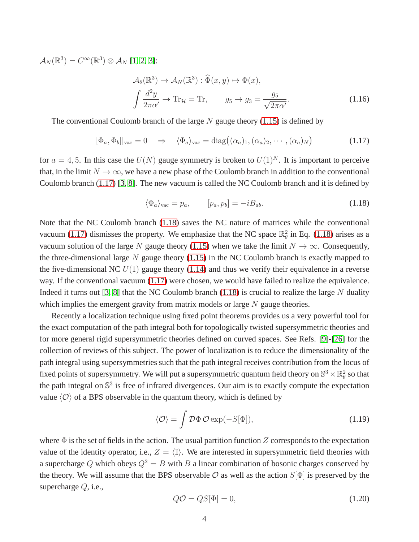$\mathcal{A}_N(\mathbb{R}^3)=C^\infty(\mathbb{R}^3)\otimes \mathcal{A}_N$  [\[1,](#page-47-0) [2,](#page-47-1) [3\]](#page-47-2):

<span id="page-4-3"></span>
$$
\mathcal{A}_{\theta}(\mathbb{R}^{3}) \to \mathcal{A}_{N}(\mathbb{R}^{3}) : \widehat{\Phi}(x, y) \mapsto \Phi(x),
$$
  

$$
\int \frac{d^{2}y}{2\pi\alpha'} \to \text{Tr}_{\mathcal{H}} = \text{Tr}, \qquad g_{5} \to g_{3} = \frac{g_{5}}{\sqrt{2\pi\alpha'}}.
$$
(1.16)

The conventional Coulomb branch of the large  $N$  gauge theory [\(1.15\)](#page-3-1) is defined by

<span id="page-4-0"></span>
$$
[\Phi_a, \Phi_b]|_{\text{vac}} = 0 \quad \Rightarrow \quad \langle \Phi_a \rangle_{\text{vac}} = \text{diag}\big((\alpha_a)_1, (\alpha_a)_2, \cdots, (\alpha_a)_N\big) \tag{1.17}
$$

for  $a = 4, 5$ . In this case the  $U(N)$  gauge symmetry is broken to  $U(1)^N$ . It is important to perceive that, in the limit  $N \to \infty$ , we have a new phase of the Coulomb branch in addition to the conventional Coulomb branch [\(1.17\)](#page-4-0) [\[3,](#page-47-2) [8\]](#page-47-7). The new vacuum is called the NC Coulomb branch and it is defined by

<span id="page-4-1"></span>
$$
\langle \Phi_a \rangle_{\text{vac}} = p_a, \qquad [p_a, p_b] = -i B_{ab}.
$$
\n(1.18)

Note that the NC Coulomb branch [\(1.18\)](#page-4-1) saves the NC nature of matrices while the conventional vacuum [\(1.17\)](#page-4-0) dismisses the property. We emphasize that the NC space  $\mathbb{R}^2_\theta$  in Eq. [\(1.18\)](#page-4-1) arises as a vacuum solution of the large N gauge theory [\(1.15\)](#page-3-1) when we take the limit  $N \to \infty$ . Consequently, the three-dimensional large  $N$  gauge theory [\(1.15\)](#page-3-1) in the NC Coulomb branch is exactly mapped to the five-dimensional NC  $U(1)$  gauge theory [\(1.14\)](#page-3-1) and thus we verify their equivalence in a reverse way. If the conventional vacuum [\(1.17\)](#page-4-0) were chosen, we would have failed to realize the equivalence. Indeed it turns out [\[3,](#page-47-2) [8\]](#page-47-7) that the NC Coulomb branch  $(1.18)$  is crucial to realize the large N duality which implies the emergent gravity from matrix models or large  $N$  gauge theories.

Recently a localization technique using fixed point theorems provides us a very powerful tool for the exact computation of the path integral both for topologically twisted supersymmetric theories and for more general rigid supersymmetric theories defined on curved spaces. See Refs. [\[9\]](#page-47-8)-[\[26\]](#page-48-0) for the collection of reviews of this subject. The power of localization is to reduce the dimensionality of the path integral using supersymmetries such that the path integral receives contribution from the locus of fixed points of supersymmetry. We will put a supersymmetric quantum field theory on  $\mathbb{S}^3\times\mathbb{R}^2_\theta$  so that the path integral on  $\mathbb{S}^3$  is free of infrared divergences. Our aim is to exactly compute the expectation value  $\langle \mathcal{O} \rangle$  of a BPS observable in the quantum theory, which is defined by

<span id="page-4-2"></span>
$$
\langle \mathcal{O} \rangle = \int \mathcal{D}\Phi \, \mathcal{O} \exp(-S[\Phi]), \tag{1.19}
$$

where  $\Phi$  is the set of fields in the action. The usual partition function Z corresponds to the expectation value of the identity operator, i.e.,  $Z = \langle I \rangle$ . We are interested in supersymmetric field theories with a supercharge Q which obeys  $Q^2 = B$  with B a linear combination of bosonic charges conserved by the theory. We will assume that the BPS observable  $\mathcal O$  as well as the action  $S[\Phi]$  is preserved by the supercharge  $Q$ , i.e.,

$$
Q\mathcal{O} = QS[\Phi] = 0,\t(1.20)
$$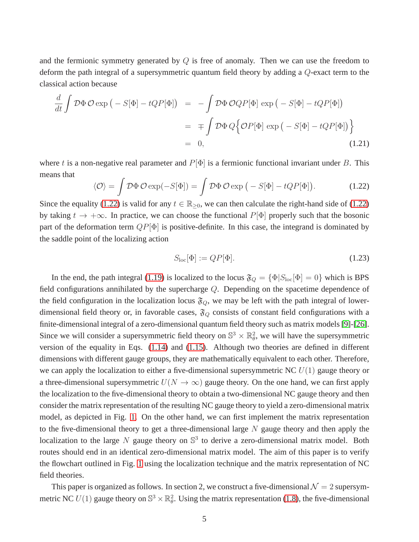and the fermionic symmetry generated by  $Q$  is free of anomaly. Then we can use the freedom to deform the path integral of a supersymmetric quantum field theory by adding a Q-exact term to the classical action because

<span id="page-5-2"></span>
$$
\frac{d}{dt} \int \mathcal{D}\Phi \, \mathcal{O} \exp \left( -S[\Phi] - tQP[\Phi] \right) = - \int \mathcal{D}\Phi \, \mathcal{O}QP[\Phi] \exp \left( -S[\Phi] - tQP[\Phi] \right)
$$
\n
$$
= \mp \int \mathcal{D}\Phi \, Q \Big\{ \mathcal{O}P[\Phi] \exp \left( -S[\Phi] - tQP[\Phi] \right) \Big\}
$$
\n
$$
= 0,
$$
\n(1.21)

where t is a non-negative real parameter and  $P[\Phi]$  is a fermionic functional invariant under B. This means that

<span id="page-5-0"></span>
$$
\langle \mathcal{O} \rangle = \int \mathcal{D}\Phi \, \mathcal{O} \exp(-S[\Phi]) = \int \mathcal{D}\Phi \, \mathcal{O} \exp(-S[\Phi] - tQP[\Phi]). \tag{1.22}
$$

Since the equality [\(1.22\)](#page-5-0) is valid for any  $t \in \mathbb{R}_{>0}$ , we can then calculate the right-hand side of (1.22) by taking  $t \to +\infty$ . In practice, we can choose the functional  $P[\Phi]$  properly such that the bosonic part of the deformation term  $QP[\Phi]$  is positive-definite. In this case, the integrand is dominated by the saddle point of the localizing action

<span id="page-5-1"></span>
$$
S_{\rm loc}[\Phi] := QP[\Phi].\tag{1.23}
$$

In the end, the path integral [\(1.19\)](#page-4-2) is localized to the locus  $\mathfrak{F}_Q = {\Phi|S_{loc}[\Phi] = 0}$  which is BPS field configurations annihilated by the supercharge Q. Depending on the spacetime dependence of the field configuration in the localization locus  $\mathfrak{F}_Q$ , we may be left with the path integral of lowerdimensional field theory or, in favorable cases,  $\mathfrak{F}_Q$  consists of constant field configurations with a finite-dimensional integral of a zero-dimensional quantum field theory such as matrix models [\[9\]](#page-47-8)-[\[26\]](#page-48-0). Since we will consider a supersymmetric field theory on  $\mathbb{S}^3 \times \mathbb{R}^2$ , we will have the supersymmetric version of the equality in Eqs. [\(1.14\)](#page-3-1) and [\(1.15\)](#page-3-1). Although two theories are defined in different dimensions with different gauge groups, they are mathematically equivalent to each other. Therefore, we can apply the localization to either a five-dimensional supersymmetric NC  $U(1)$  gauge theory or a three-dimensional supersymmetric  $U(N \to \infty)$  gauge theory. On the one hand, we can first apply the localization to the five-dimensional theory to obtain a two-dimensional NC gauge theory and then consider the matrix representation of the resulting NC gauge theory to yield a zero-dimensional matrix model, as depicted in Fig. [1.](#page-5-1) On the other hand, we can first implement the matrix representation to the five-dimensional theory to get a three-dimensional large  $N$  gauge theory and then apply the localization to the large N gauge theory on  $\mathbb{S}^3$  to derive a zero-dimensional matrix model. Both routes should end in an identical zero-dimensional matrix model. The aim of this paper is to verify the flowchart outlined in Fig. [1](#page-5-1) using the localization technique and the matrix representation of NC field theories.

This paper is organized as follows. In section 2, we construct a five-dimensional  $\mathcal{N} = 2$  supersymmetric NC  $U(1)$  gauge theory on  $\mathbb{S}^3 \times \mathbb{R}^2_{\theta}$ . Using the matrix representation [\(1.8\)](#page-2-2), the five-dimensional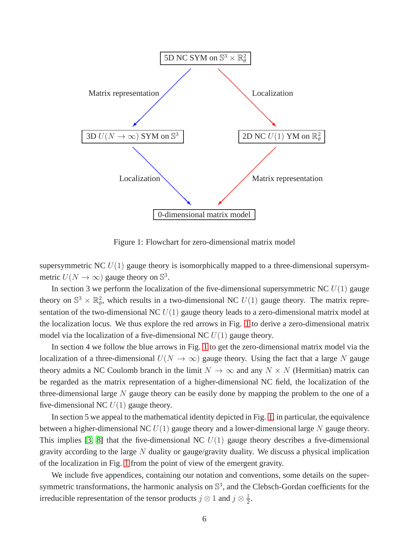

Figure 1: Flowchart for zero-dimensional matrix model

supersymmetric NC  $U(1)$  gauge theory is isomorphically mapped to a three-dimensional supersymmetric  $U(N \to \infty)$  gauge theory on  $\mathbb{S}^3$ .

In section 3 we perform the localization of the five-dimensional supersymmetric NC  $U(1)$  gauge theory on  $\mathbb{S}^3 \times \mathbb{R}^2$ , which results in a two-dimensional NC  $U(1)$  gauge theory. The matrix representation of the two-dimensional NC  $U(1)$  gauge theory leads to a zero-dimensional matrix model at the localization locus. We thus explore the red arrows in Fig. [1](#page-5-1) to derive a zero-dimensional matrix model via the localization of a five-dimensional NC  $U(1)$  gauge theory.

In section 4 we follow the blue arrows in Fig. [1](#page-5-1) to get the zero-dimensional matrix model via the localization of a three-dimensional  $U(N \to \infty)$  gauge theory. Using the fact that a large N gauge theory admits a NC Coulomb branch in the limit  $N \to \infty$  and any  $N \times N$  (Hermitian) matrix can be regarded as the matrix representation of a higher-dimensional NC field, the localization of the three-dimensional large  $N$  gauge theory can be easily done by mapping the problem to the one of a five-dimensional NC  $U(1)$  gauge theory.

In section 5 we appeal to the mathematical identity depicted in Fig. [1,](#page-5-1) in particular, the equivalence between a higher-dimensional NC  $U(1)$  gauge theory and a lower-dimensional large N gauge theory. This implies [\[3,](#page-47-2) [8\]](#page-47-7) that the five-dimensional NC  $U(1)$  gauge theory describes a five-dimensional gravity according to the large  $N$  duality or gauge/gravity duality. We discuss a physical implication of the localization in Fig. [1](#page-5-1) from the point of view of the emergent gravity.

We include five appendices, containing our notation and conventions, some details on the supersymmetric transformations, the harmonic analysis on  $\mathbb{S}^3$ , and the Clebsch-Gordan coefficients for the irreducible representation of the tensor products  $j \otimes 1$  and  $j \otimes \frac{1}{2}$  $\frac{1}{2}$ .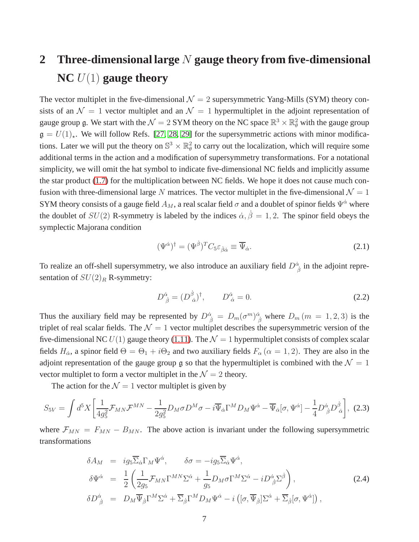# **2 Three-dimensional large** N **gauge theory from five-dimensional NC** U(1) **gauge theory**

The vector multiplet in the five-dimensional  $\mathcal{N} = 2$  supersymmetric Yang-Mills (SYM) theory consists of an  $\mathcal{N} = 1$  vector multiplet and an  $\mathcal{N} = 1$  hypermultiplet in the adjoint representation of gauge group  $\mathfrak g$ . We start with the  $\mathcal N=2$  SYM theory on the NC space  $\mathbb R^3\times\mathbb R^2_\theta$  with the gauge group  $\mathfrak{g} = U(1)_\star$ . We will follow Refs. [\[27,](#page-48-1) [28,](#page-48-2) [29\]](#page-48-3) for the supersymmetric actions with minor modifications. Later we will put the theory on  $\mathbb{S}^3 \times \mathbb{R}^2_\theta$  to carry out the localization, which will require some additional terms in the action and a modification of supersymmetry transformations. For a notational simplicity, we will omit the hat symbol to indicate five-dimensional NC fields and implicitly assume the star product [\(1.7\)](#page-2-3) for the multiplication between NC fields. We hope it does not cause much confusion with three-dimensional large N matrices. The vector multiplet in the five-dimensional  $\mathcal{N} = 1$ SYM theory consists of a gauge field  $A_M$ , a real scalar field  $\sigma$  and a doublet of spinor fields  $\Psi^{\dot{\alpha}}$  where the doublet of  $SU(2)$  R-symmetry is labeled by the indices  $\dot{\alpha}, \dot{\beta} = 1, 2$ . The spinor field obeys the symplectic Majorana condition

$$
(\Psi^{\dot{\alpha}})^{\dagger} = (\Psi^{\dot{\beta}})^{T} C_{5} \varepsilon_{\dot{\beta}\dot{\alpha}} \equiv \overline{\Psi}_{\dot{\alpha}}.
$$
\n(2.1)

To realize an off-shell supersymmetry, we also introduce an auxiliary field  $D^{\dot{\alpha}}_{\ \dot{\beta}}$  in the adjoint representation of  $SU(2)_R$  R-symmetry:

$$
D^{\dot{\alpha}}_{\ \dot{\beta}} = (D^{\dot{\beta}}_{\ \dot{\alpha}})^{\dagger}, \qquad D^{\dot{\alpha}}_{\ \dot{\alpha}} = 0. \tag{2.2}
$$

Thus the auxiliary field may be represented by  $D^{\dot{\alpha}}_{\dot{\beta}} = D_m(\sigma^m)^{\dot{\alpha}}_{\dot{\beta}}$  where  $D_m(m = 1, 2, 3)$  is the triplet of real scalar fields. The  $\mathcal{N} = 1$  vector multiplet describes the supersymmetric version of the five-dimensional NC  $U(1)$  gauge theory [\(1.11\)](#page-3-2). The  $\mathcal{N} = 1$  hypermultiplet consists of complex scalar fields  $H_{\alpha}$ , a spinor field  $\Theta = \Theta_1 + i\Theta_2$  and two auxiliary fields  $F_{\alpha}$  ( $\alpha = 1, 2$ ). They are also in the adjoint representation of the gauge group g so that the hypermultiplet is combined with the  $\mathcal{N} = 1$ vector multiplet to form a vector multiplet in the  $\mathcal{N} = 2$  theory.

The action for the  $\mathcal{N} = 1$  vector multiplet is given by

<span id="page-7-0"></span>
$$
S_{5V} = \int d^5 X \left[ \frac{1}{4g_5^2} \mathcal{F}_{MN} \mathcal{F}^{MN} - \frac{1}{2g_5^2} D_M \sigma D^M \sigma - i \overline{\Psi}_{\dot{\alpha}} \Gamma^M D_M \Psi^{\dot{\alpha}} - \overline{\Psi}_{\dot{\alpha}} [\sigma, \Psi^{\dot{\alpha}}] - \frac{1}{4} D^{\dot{\alpha}}_{\ \dot{\beta}} D^{\dot{\beta}}_{\ \dot{\alpha}} \right], \tag{2.3}
$$

where  $\mathcal{F}_{MN} = F_{MN} - B_{MN}$ . The above action is invariant under the following supersymmetric transformations

<span id="page-7-1"></span>
$$
\delta A_M = ig_5 \overline{\Sigma}_{\dot{\alpha}} \Gamma_M \Psi^{\dot{\alpha}}, \qquad \delta \sigma = -ig_5 \overline{\Sigma}_{\dot{\alpha}} \Psi^{\dot{\alpha}},
$$
  
\n
$$
\delta \Psi^{\dot{\alpha}} = \frac{1}{2} \left( \frac{1}{2g_5} \mathcal{F}_{MN} \Gamma^{MN} \Sigma^{\dot{\alpha}} + \frac{1}{g_5} D_M \sigma \Gamma^M \Sigma^{\dot{\alpha}} - i D^{\dot{\alpha}}_{\dot{\beta}} \Sigma^{\dot{\beta}} \right),
$$
  
\n
$$
\delta D^{\dot{\alpha}}_{\dot{\beta}} = D_M \overline{\Psi}_{\dot{\beta}} \Gamma^M \Sigma^{\dot{\alpha}} + \overline{\Sigma}_{\dot{\beta}} \Gamma^M D_M \Psi^{\dot{\alpha}} - i \left( [\sigma, \overline{\Psi}_{\dot{\beta}}] \Sigma^{\dot{\alpha}} + \overline{\Sigma}_{\dot{\beta}} [\sigma, \Psi^{\dot{\alpha}}] \right),
$$
\n(2.4)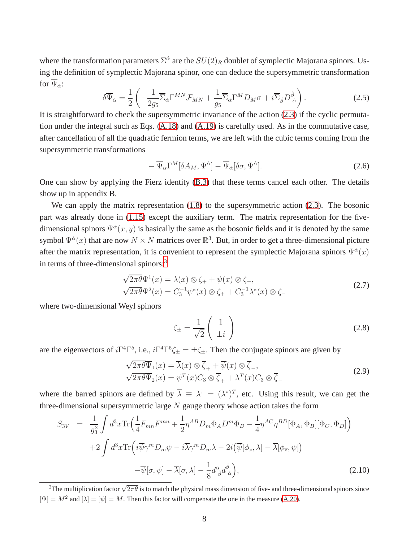where the transformation parameters  $\Sigma^{\dot{\alpha}}$  are the  $SU(2)_R$  doublet of symplectic Majorana spinors. Using the definition of symplectic Majorana spinor, one can deduce the supersymmetric transformation for  $\Psi_{\dot{\alpha}}$ :

$$
\delta \overline{\Psi}_{\dot{\alpha}} = \frac{1}{2} \left( -\frac{1}{2g_5} \overline{\Sigma}_{\dot{\alpha}} \Gamma^{MN} \mathcal{F}_{MN} + \frac{1}{g_5} \overline{\Sigma}_{\dot{\alpha}} \Gamma^M D_M \sigma + i \overline{\Sigma}_{\dot{\beta}} D^{\dot{\beta}}_{\dot{\alpha}} \right). \tag{2.5}
$$

It is straightforward to check the supersymmetric invariance of the action [\(2.3\)](#page-7-0) if the cyclic permutation under the integral such as Eqs. [\(A.18\)](#page-39-0) and [\(A.19\)](#page-39-1) is carefully used. As in the commutative case, after cancellation of all the quadratic fermion terms, we are left with the cubic terms coming from the supersymmetric transformations

$$
-\overline{\Psi}_{\dot{\alpha}}\Gamma^M[\delta A_M, \Psi^{\dot{\alpha}}] - \overline{\Psi}_{\dot{\alpha}}[\delta \sigma, \Psi^{\dot{\alpha}}]. \tag{2.6}
$$

One can show by applying the Fierz identity [\(B.3\)](#page-40-0) that these terms cancel each other. The details show up in appendix B.

We can apply the matrix representation  $(1.8)$  to the supersymmetric action  $(2.3)$ . The bosonic part was already done in [\(1.15\)](#page-3-1) except the auxiliary term. The matrix representation for the fivedimensional spinors  $\Psi^{\dot{\alpha}}(x, y)$  is basically the same as the bosonic fields and it is denoted by the same symbol  $\Psi^{\dot{\alpha}}(x)$  that are now  $N \times N$  matrices over  $\mathbb{R}^3$ . But, in order to get a three-dimensional picture after the matrix representation, it is convenient to represent the symplectic Majorana spinors  $\Psi^{\dot{\alpha}}(x)$ in terms of three-dimensional spinors:<sup>[3](#page-8-0)</sup>

<span id="page-8-2"></span>
$$
\sqrt{2\pi\theta}\Psi^{1}(x) = \lambda(x)\otimes\zeta_{+} + \psi(x)\otimes\zeta_{-},
$$
  

$$
\sqrt{2\pi\theta}\Psi^{2}(x) = C_{3}^{-1}\psi^{*}(x)\otimes\zeta_{+} + C_{3}^{-1}\lambda^{*}(x)\otimes\zeta_{-}
$$
 (2.7)

where two-dimensional Weyl spinors

$$
\zeta_{\pm} = \frac{1}{\sqrt{2}} \begin{pmatrix} 1 \\ \pm i \end{pmatrix} \tag{2.8}
$$

are the eigenvectors of  $i\Gamma^4\Gamma^5$ , i.e.,  $i\Gamma^4\Gamma^5\zeta_{\pm} = \pm \zeta_{\pm}$ . Then the conjugate spinors are given by

$$
\sqrt{2\pi\theta}\overline{\Psi}_1(x) = \overline{\lambda}(x) \otimes \overline{\zeta}_+ + \overline{\psi}(x) \otimes \overline{\zeta}_-,
$$
  

$$
\sqrt{2\pi\theta}\overline{\Psi}_2(x) = \psi^T(x)C_3 \otimes \overline{\zeta}_+ + \lambda^T(x)C_3 \otimes \overline{\zeta}_- \tag{2.9}
$$

where the barred spinors are defined by  $\overline{\lambda} \equiv \lambda^{\dagger} = (\lambda^*)^T$ , etc. Using this result, we can get the three-dimensional supersymmetric large  $N$  gauge theory whose action takes the form

<span id="page-8-1"></span>
$$
S_{3V} = \frac{1}{g_3^2} \int d^3x \text{Tr} \Big( \frac{1}{4} F_{mn} F^{mn} + \frac{1}{2} \eta^{AB} D_m \Phi_A D^m \Phi_B - \frac{1}{4} \eta^{AC} \eta^{BD} [\Phi_A, \Phi_B] [\Phi_C, \Phi_D] \Big) + 2 \int d^3x \text{Tr} \Big( i \overline{\psi} \gamma^m D_m \psi - i \overline{\lambda} \gamma^m D_m \lambda - 2i (\overline{\psi} [\phi_z, \lambda] - \overline{\lambda} [\phi_{\overline{z}}, \psi]) - \overline{\psi} [\sigma, \psi] - \overline{\lambda} [\sigma, \lambda] - \frac{1}{8} d^{\dot{\alpha}}_{\ \dot{\beta}} d^{\dot{\beta}}_{\ \dot{\alpha}} \Big),
$$
(2.10)

<span id="page-8-0"></span><sup>3</sup>The multiplication factor  $\sqrt{2\pi\theta}$  is to match the physical mass dimension of five- and three-dimensional spinors since  $[\Psi] = M^2$  and  $[\lambda] = [\psi] = M$ . Then this factor will compensate the one in the measure [\(A.20\)](#page-39-2).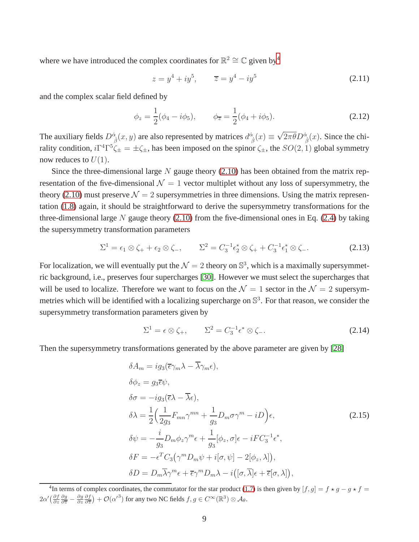where we have introduced the complex coordinates for  $\mathbb{R}^2 \cong \mathbb{C}$  given by<sup>[4](#page-9-0)</sup>

$$
z = y^4 + iy^5, \qquad \overline{z} = y^4 - iy^5 \tag{2.11}
$$

and the complex scalar field defined by

$$
\phi_z = \frac{1}{2}(\phi_4 - i\phi_5), \qquad \phi_{\overline{z}} = \frac{1}{2}(\phi_4 + i\phi_5). \tag{2.12}
$$

The auxiliary fields  $D^{\dot{\alpha}}_{\dot{\beta}}(x, y)$  are also represented by matrices  $d^{\dot{\alpha}}_{\dot{\beta}}(x) \equiv \sqrt{2\pi\theta}D^{\dot{\alpha}}_{\dot{\beta}}(x)$ . Since the chirality condition,  $i\Gamma^4\Gamma^5\zeta_{\pm} = \pm \zeta_{\pm}$ , has been imposed on the spinor  $\zeta_{\pm}$ , the  $SO(2, 1)$  global symmetry now reduces to  $U(1)$ .

Since the three-dimensional large  $N$  gauge theory [\(2.10\)](#page-8-1) has been obtained from the matrix representation of the five-dimensional  $\mathcal{N} = 1$  vector multiplet without any loss of supersymmetry, the theory [\(2.10\)](#page-8-1) must preserve  $\mathcal{N} = 2$  supersymmetries in three dimensions. Using the matrix representation [\(1.8\)](#page-2-2) again, it should be straightforward to derive the supersymmetry transformations for the three-dimensional large N gauge theory  $(2.10)$  from the five-dimensional ones in Eq.  $(2.4)$  by taking the supersymmetry transformation parameters

$$
\Sigma^{1} = \epsilon_{1} \otimes \zeta_{+} + \epsilon_{2} \otimes \zeta_{-}, \qquad \Sigma^{2} = C_{3}^{-1} \epsilon_{2}^{*} \otimes \zeta_{+} + C_{3}^{-1} \epsilon_{1}^{*} \otimes \zeta_{-}.
$$
 (2.13)

For localization, we will eventually put the  $\mathcal{N}=2$  theory on  $\mathbb{S}^3$ , which is a maximally supersymmetric background, i.e., preserves four supercharges [\[30\]](#page-48-4). However we must select the supercharges that will be used to localize. Therefore we want to focus on the  $\mathcal{N} = 1$  sector in the  $\mathcal{N} = 2$  supersymmetries which will be identified with a localizing supercharge on  $\mathbb{S}^3$ . For that reason, we consider the supersymmetry transformation parameters given by

<span id="page-9-1"></span>
$$
\Sigma^1 = \epsilon \otimes \zeta_+, \qquad \Sigma^2 = C_3^{-1} \epsilon^* \otimes \zeta_-. \tag{2.14}
$$

Then the supersymmetry transformations generated by the above parameter are given by [\[28\]](#page-48-2)

<span id="page-9-2"></span>
$$
\delta A_m = ig_3(\overline{\epsilon}\gamma_m\lambda - \overline{\lambda}\gamma_m\epsilon),
$$
  
\n
$$
\delta \phi_z = g_3 \overline{\epsilon} \psi,
$$
  
\n
$$
\delta \sigma = -ig_3(\overline{\epsilon}\lambda - \overline{\lambda}\epsilon),
$$
  
\n
$$
\delta \lambda = \frac{1}{2} \Big( \frac{1}{2g_3} F_{mn} \gamma^{mn} + \frac{1}{g_3} D_m \sigma \gamma^m - iD \Big) \epsilon,
$$
  
\n
$$
\delta \psi = -\frac{i}{g_3} D_m \phi_z \gamma^m \epsilon + \frac{1}{g_3} [\phi_z, \sigma] \epsilon - iF C_3^{-1} \epsilon^*,
$$
  
\n
$$
\delta F = -\epsilon^T C_3 (\gamma^m D_m \psi + i[\sigma, \psi] - 2[\phi_z, \lambda]),
$$
  
\n
$$
\delta D = D_m \overline{\lambda} \gamma^m \epsilon + \overline{\epsilon} \gamma^m D_m \lambda - i([\sigma, \overline{\lambda}] \epsilon + \overline{\epsilon} [\sigma, \lambda]),
$$
\n(2.15)

<span id="page-9-0"></span><sup>&</sup>lt;sup>4</sup>In terms of complex coordinates, the commutator for the star product [\(1.7\)](#page-2-3) is then given by  $[f, g] = f \star g - g \star f =$  $2\alpha' \left(\frac{\partial f}{\partial z}\frac{\partial g}{\partial \overline{z}} - \frac{\partial g}{\partial z}\frac{\partial f}{\partial \overline{z}}\right) + \mathcal{O}(\alpha'^3)$  for any two NC fields  $f, g \in C^\infty(\mathbb{R}^3) \otimes \mathcal{A}_\theta$ .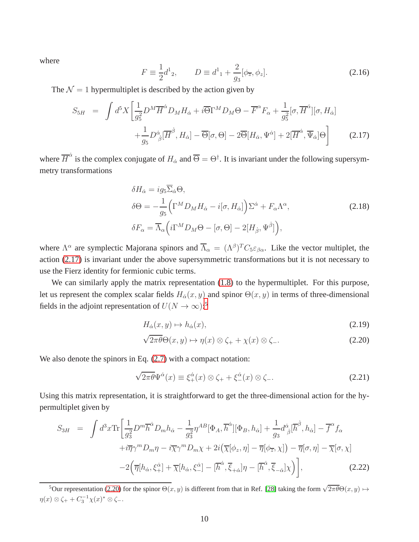where

$$
F \equiv \frac{1}{2}d^1{}_2, \qquad D \equiv d^1{}_1 + \frac{2}{g_3}[\phi_{\overline{z}}, \phi_z]. \tag{2.16}
$$

The  $\mathcal{N} = 1$  hypermultiplet is described by the action given by

<span id="page-10-0"></span>
$$
S_{5H} = \int d^{5}X \left[ \frac{1}{g_{5}^{2}} D^{M} \overline{H}^{\dot{\alpha}} D_{M} H_{\dot{\alpha}} + i \overline{\Theta} \Gamma^{M} D_{M} \Theta - \overline{F}^{\alpha} F_{\alpha} + \frac{1}{g_{5}^{2}} [\sigma, \overline{H}^{\dot{\alpha}}] [\sigma, H_{\dot{\alpha}}] + \frac{1}{g_{5}} D^{\dot{\alpha}}_{\dot{\beta}} [\overline{H}^{\dot{\beta}}, H_{\dot{\alpha}}] - \overline{\Theta} [\sigma, \Theta] - 2 \overline{\Theta} [H_{\dot{\alpha}}, \Psi^{\dot{\alpha}}] + 2 [\overline{H}^{\dot{\alpha}}, \overline{\Psi}_{\dot{\alpha}}] \Theta \right]
$$
(2.17)

where  $\overline{H}^{\dot{\alpha}}$  is the complex conjugate of  $H_{\dot{\alpha}}$  and  $\overline{\Theta} = \Theta^{\dagger}$ . It is invariant under the following supersymmetry transformations

<span id="page-10-3"></span>
$$
\delta H_{\dot{\alpha}} = ig_5 \overline{\Sigma}_{\dot{\alpha}} \Theta,
$$
  
\n
$$
\delta \Theta = -\frac{1}{g_5} \Big( \Gamma^M D_M H_{\dot{\alpha}} - i[\sigma, H_{\dot{\alpha}}] \Big) \Sigma^{\dot{\alpha}} + F_{\alpha} \Lambda^{\alpha},
$$
  
\n
$$
\delta F_{\alpha} = \overline{\Lambda}_{\alpha} \Big( i \Gamma^M D_M \Theta - [\sigma, \Theta] - 2[H_{\dot{\beta}}, \Psi^{\dot{\beta}}] \Big),
$$
\n(2.18)

where  $\Lambda^{\alpha}$  are symplectic Majorana spinors and  $\overline{\Lambda}_{\alpha} = (\Lambda^{\beta})^T C_5 \varepsilon_{\beta\alpha}$ . Like the vector multiplet, the action [\(2.17\)](#page-10-0) is invariant under the above supersymmetric transformations but it is not necessary to use the Fierz identity for fermionic cubic terms.

We can similarly apply the matrix representation  $(1.8)$  to the hypermultiplet. For this purpose, let us represent the complex scalar fields  $H_{\alpha}(x, y)$  and spinor  $\Theta(x, y)$  in terms of three-dimensional fields in the adjoint representation of  $U(N \to \infty)$ :<sup>[5](#page-10-1)</sup>

<span id="page-10-2"></span>
$$
H_{\dot{\alpha}}(x, y) \mapsto h_{\dot{\alpha}}(x), \tag{2.19}
$$

$$
\sqrt{2\pi\theta}\Theta(x,y)\mapsto\eta(x)\otimes\zeta_{+}+\chi(x)\otimes\zeta_{-}.\tag{2.20}
$$

We also denote the spinors in Eq.  $(2.7)$  with a compact notation:

$$
\sqrt{2\pi\theta}\Psi^{\dot{\alpha}}(x) \equiv \xi^{\dot{\alpha}}_{+}(x) \otimes \zeta_{+} + \xi^{\dot{\alpha}}_{-}(x) \otimes \zeta_{-}.
$$
 (2.21)

Using this matrix representation, it is straightforward to get the three-dimensional action for the hypermultiplet given by

<span id="page-10-4"></span>
$$
S_{3H} = \int d^3x \text{Tr} \left[ \frac{1}{g_3^2} D^m \overline{h}^{\dot{\alpha}} D_m h_{\dot{\alpha}} - \frac{1}{g_3^2} \eta^{AB} [\Phi_A, \overline{h}^{\dot{\alpha}}] [\Phi_B, h_{\dot{\alpha}}] + \frac{1}{g_3} d^{\dot{\alpha}}_{\dot{\beta}} [\overline{h}^{\dot{\beta}}, h_{\dot{\alpha}}] - \overline{f}^{\alpha} f_{\alpha} + i \overline{\eta} \gamma^m D_m \eta - i \overline{\chi} \gamma^m D_m \chi + 2i (\overline{\chi} [\phi_z, \eta] - \overline{\eta} [\phi_{\overline{z}}, \chi]) - \overline{\eta} [\sigma, \eta] - \overline{\chi} [\sigma, \chi] - 2 (\overline{\eta} [h_{\dot{\alpha}}, \xi_+^{\dot{\alpha}}] + \overline{\chi} [h_{\dot{\alpha}}, \xi_-^{\dot{\alpha}}] - [\overline{h}^{\dot{\alpha}}, \overline{\xi}_{+{\dot{\alpha}}} \eta - [\overline{h}^{\dot{\alpha}}, \overline{\xi}_{-{\dot{\alpha}}} \chi]) \right],
$$
(2.22)

<span id="page-10-1"></span><sup>&</sup>lt;sup>5</sup>Our representation [\(2.20\)](#page-10-2) for the spinor  $\Theta(x, y)$  is different from that in Ref. [\[28\]](#page-48-2) taking the form  $\sqrt{2\pi\theta}\Theta(x, y) \mapsto$  $\eta(x) \otimes \zeta_+ + C_3^{-1} \chi(x)^* \otimes \zeta_-.$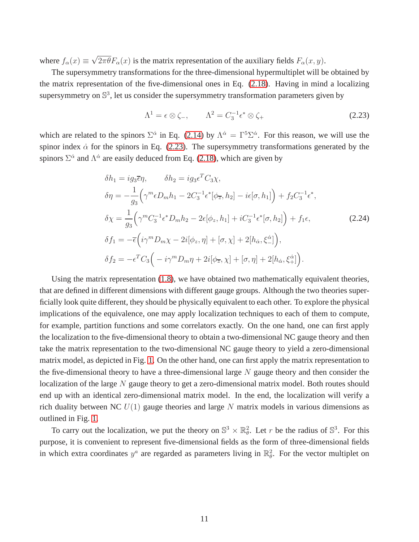where  $f_{\alpha}(x) \equiv \sqrt{2\pi\theta} F_{\alpha}(x)$  is the matrix representation of the auxiliary fields  $F_{\alpha}(x, y)$ .

The supersymmetry transformations for the three-dimensional hypermultiplet will be obtained by the matrix representation of the five-dimensional ones in Eq. [\(2.18\)](#page-10-3). Having in mind a localizing supersymmetry on  $\mathbb{S}^3$ , let us consider the supersymmetry transformation parameters given by

<span id="page-11-0"></span>
$$
\Lambda^1 = \epsilon \otimes \zeta_-, \qquad \Lambda^2 = C_3^{-1} \epsilon^* \otimes \zeta_+ \tag{2.23}
$$

which are related to the spinors  $\Sigma^{\dot{\alpha}}$  in Eq. [\(2.14\)](#page-9-1) by  $\Lambda^{\dot{\alpha}} = \Gamma^5 \Sigma^{\dot{\alpha}}$ . For this reason, we will use the spinor index  $\dot{\alpha}$  for the spinors in Eq. [\(2.23\)](#page-11-0). The supersymmetry transformations generated by the spinors  $\Sigma^{\dot{\alpha}}$  and  $\Lambda^{\dot{\alpha}}$  are easily deduced from Eq. [\(2.18\)](#page-10-3), which are given by

$$
\delta h_1 = ig_3 \overline{\epsilon} \eta, \qquad \delta h_2 = ig_3 \epsilon^T C_3 \chi,
$$
  
\n
$$
\delta \eta = -\frac{1}{g_3} \Big( \gamma^m \epsilon D_m h_1 - 2C_3^{-1} \epsilon^* [\phi_{\overline{z}}, h_2] - i \epsilon [\sigma, h_1] \Big) + f_2 C_3^{-1} \epsilon^*,
$$
  
\n
$$
\delta \chi = \frac{1}{g_3} \Big( \gamma^m C_3^{-1} \epsilon^* D_m h_2 - 2 \epsilon [\phi_z, h_1] + i C_3^{-1} \epsilon^* [\sigma, h_2] \Big) + f_1 \epsilon,
$$
  
\n
$$
\delta f_1 = -\overline{\epsilon} \Big( i \gamma^m D_m \chi - 2i [\phi_z, \eta] + [\sigma, \chi] + 2[h_{\dot{\alpha}}, \xi_{-}^{\dot{\alpha}}] \Big),
$$
  
\n
$$
\delta f_2 = -\epsilon^T C_3 \Big( -i \gamma^m D_m \eta + 2i [\phi_{\overline{z}}, \chi] + [\sigma, \eta] + 2[h_{\dot{\alpha}}, \xi_{+}^{\dot{\alpha}}] \Big).
$$
  
\n(2.24)

Using the matrix representation [\(1.8\)](#page-2-2), we have obtained two mathematically equivalent theories, that are defined in different dimensions with different gauge groups. Although the two theories superficially look quite different, they should be physically equivalent to each other. To explore the physical implications of the equivalence, one may apply localization techniques to each of them to compute, for example, partition functions and some correlators exactly. On the one hand, one can first apply the localization to the five-dimensional theory to obtain a two-dimensional NC gauge theory and then take the matrix representation to the two-dimensional NC gauge theory to yield a zero-dimensional matrix model, as depicted in Fig. [1.](#page-5-1) On the other hand, one can first apply the matrix representation to the five-dimensional theory to have a three-dimensional large  $N$  gauge theory and then consider the localization of the large  $N$  gauge theory to get a zero-dimensional matrix model. Both routes should end up with an identical zero-dimensional matrix model. In the end, the localization will verify a rich duality between NC  $U(1)$  gauge theories and large N matrix models in various dimensions as outlined in Fig. [1.](#page-5-1)

To carry out the localization, we put the theory on  $\mathbb{S}^3 \times \mathbb{R}_{\theta}^2$ . Let r be the radius of  $\mathbb{S}^3$ . For this purpose, it is convenient to represent five-dimensional fields as the form of three-dimensional fields in which extra coordinates  $y^a$  are regarded as parameters living in  $\mathbb{R}^2_\theta$ . For the vector multiplet on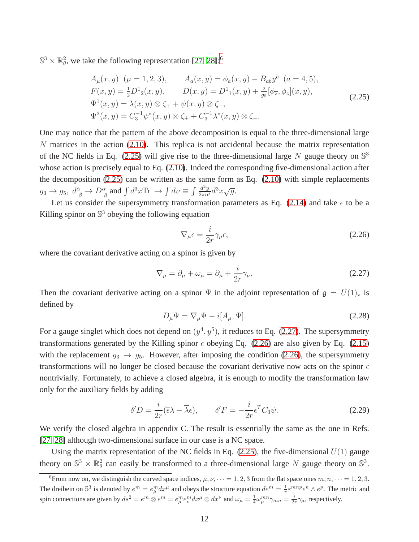$\mathbb{S}^3 \times \mathbb{R}^2_{\theta}$ , we take the following representation [\[27,](#page-48-1) [28\]](#page-48-2):<sup>[6](#page-12-0)</sup>

<span id="page-12-1"></span>
$$
A_{\mu}(x, y) \ (\mu = 1, 2, 3), \qquad A_{a}(x, y) = \phi_{a}(x, y) - B_{ab}y^{b} \ (a = 4, 5),
$$
  
\n
$$
F(x, y) = \frac{1}{2}D^{1}_{2}(x, y), \qquad D(x, y) = D^{1}_{1}(x, y) + \frac{2}{g_{5}}[\phi_{\overline{z}}, \phi_{z}](x, y),
$$
  
\n
$$
\Psi^{1}(x, y) = \lambda(x, y) \otimes \zeta_{+} + \psi(x, y) \otimes \zeta_{-},
$$
  
\n
$$
\Psi^{2}(x, y) = C_{3}^{-1}\psi^{*}(x, y) \otimes \zeta_{+} + C_{3}^{-1}\lambda^{*}(x, y) \otimes \zeta_{-}.
$$
\n(2.25)

One may notice that the pattern of the above decomposition is equal to the three-dimensional large  $N$  matrices in the action [\(2.10\)](#page-8-1). This replica is not accidental because the matrix representation of the NC fields in Eq. [\(2.25\)](#page-12-1) will give rise to the three-dimensional large N gauge theory on  $\mathbb{S}^3$ whose action is precisely equal to Eq. [\(2.10\)](#page-8-1). Indeed the corresponding five-dimensional action after the decomposition [\(2.25\)](#page-12-1) can be written as the same form as Eq. [\(2.10\)](#page-8-1) with simple replacements  $g_3 \to g_5$ ,  $d^{\dot{\alpha}}_{\dot{\beta}} \to D^{\dot{\alpha}}_{\dot{\beta}}$  and  $\int d^3x \text{Tr} \to \int dv \equiv \int \frac{d^2y}{2\pi\alpha'} d^3x \sqrt{g}$ .

Let us consider the supersymmetry transformation parameters as Eq.  $(2.14)$  and take  $\epsilon$  to be a Killing spinor on  $\mathbb{S}^3$  obeying the following equation

<span id="page-12-3"></span>
$$
\nabla_{\mu}\epsilon = \frac{i}{2r}\gamma_{\mu}\epsilon,\tag{2.26}
$$

where the covariant derivative acting on a spinor is given by

<span id="page-12-2"></span>
$$
\nabla_{\mu} = \partial_{\mu} + \omega_{\mu} = \partial_{\mu} + \frac{i}{2r} \gamma_{\mu}.
$$
 (2.27)

Then the covariant derivative acting on a spinor  $\Psi$  in the adjoint representation of  $\mathfrak{g} = U(1)_\star$  is defined by

$$
D_{\mu}\Psi = \nabla_{\mu}\Psi - i[A_{\mu}, \Psi].
$$
\n(2.28)

For a gauge singlet which does not depend on  $(y^4, y^5)$ , it reduces to Eq. [\(2.27\)](#page-12-2). The supersymmetry transformations generated by the Killing spinor  $\epsilon$  obeying Eq. [\(2.26\)](#page-12-3) are also given by Eq. [\(2.15\)](#page-9-2) with the replacement  $g_3 \rightarrow g_5$ . However, after imposing the condition [\(2.26\)](#page-12-3), the supersymmetry transformations will no longer be closed because the covariant derivative now acts on the spinor  $\epsilon$ nontrivially. Fortunately, to achieve a closed algebra, it is enough to modify the transformation law only for the auxiliary fields by adding

<span id="page-12-4"></span>
$$
\delta' D = \frac{i}{2r} (\bar{\epsilon}\lambda - \bar{\lambda}\epsilon), \qquad \delta' F = -\frac{i}{2r} \epsilon^T C_3 \psi.
$$
 (2.29)

We verify the closed algebra in appendix C. The result is essentially the same as the one in Refs. [\[27,](#page-48-1) [28\]](#page-48-2) although two-dimensional surface in our case is a NC space.

Using the matrix representation of the NC fields in Eq.  $(2.25)$ , the five-dimensional  $U(1)$  gauge theory on  $\mathbb{S}^3 \times \mathbb{R}^2_\theta$  can easily be transformed to a three-dimensional large N gauge theory on  $\mathbb{S}^3$ .

<span id="page-12-0"></span><sup>&</sup>lt;sup>6</sup>From now on, we distinguish the curved space indices,  $\mu$ ,  $\nu$ ,  $\dots = 1, 2, 3$  from the flat space ones  $m, n, \dots = 1, 2, 3$ . The dreibein on  $\mathbb{S}^3$  is denoted by  $e^m = e_\mu^m dx^\mu$  and obeys the structure equation  $de^m = \frac{1}{r} \varepsilon^{mnp} e^n \wedge e^p$ . The metric and spin connections are given by  $ds^2 = e^m \otimes e^m = e_\mu^m e_\nu^m dx^\mu \otimes dx^\nu$  and  $\omega_\mu = \frac{1}{4} \omega_\mu^{mn} \gamma_{mn} = \frac{i}{2r} \gamma_\mu$ , respectively.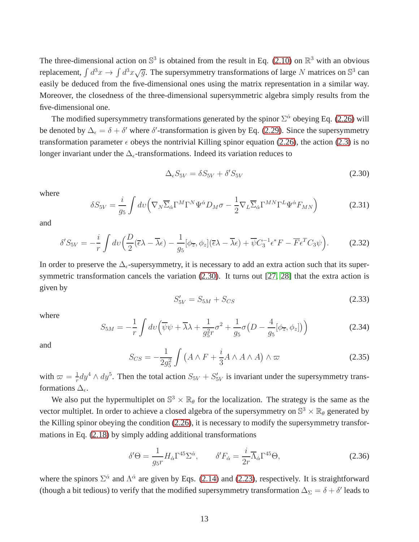The three-dimensional action on  $\mathbb{S}^3$  is obtained from the result in Eq. [\(2.10\)](#page-8-1) on  $\mathbb{R}^3$  with an obvious replacement,  $\int d^3x \to \int d^3x \sqrt{g}$ . The supersymmetry transformations of large N matrices on  $\mathbb{S}^3$  can easily be deduced from the five-dimensional ones using the matrix representation in a similar way. Moreover, the closedness of the three-dimensional supersymmetric algebra simply results from the five-dimensional one.

The modified supersymmetry transformations generated by the spinor  $\Sigma^{\dot{\alpha}}$  obeying Eq. [\(2.26\)](#page-12-3) will be denoted by  $\Delta_{\epsilon} = \delta + \delta'$  where  $\delta'$ -transformation is given by Eq. [\(2.29\)](#page-12-4). Since the supersymmetry transformation parameter  $\epsilon$  obeys the nontrivial Killing spinor equation [\(2.26\)](#page-12-3), the action [\(2.3\)](#page-7-0) is no longer invariant under the  $\Delta_{\epsilon}$ -transformations. Indeed its variation reduces to

<span id="page-13-0"></span>
$$
\Delta_{\epsilon} S_{5V} = \delta S_{5V} + \delta' S_{5V} \tag{2.30}
$$

where

$$
\delta S_{5V} = \frac{i}{g_5} \int dv \left( \nabla_N \overline{\Sigma}_{\dot{\alpha}} \Gamma^M \Gamma^N \Psi^{\dot{\alpha}} D_M \sigma - \frac{1}{2} \nabla_L \overline{\Sigma}_{\dot{\alpha}} \Gamma^{MN} \Gamma^L \Psi^{\dot{\alpha}} F_{MN} \right)
$$
(2.31)

and

$$
\delta' S_{5V} = -\frac{i}{r} \int dv \left( \frac{D}{2} (\overline{\epsilon} \lambda - \overline{\lambda} \epsilon) - \frac{1}{g_5} [\phi_{\overline{z}}, \phi_z] (\overline{\epsilon} \lambda - \overline{\lambda} \epsilon) + \overline{\psi} C_3^{-1} \epsilon^* F - \overline{F} \epsilon^T C_3 \psi \right). \tag{2.32}
$$

In order to preserve the  $\Delta_{\epsilon}$ -supersymmetry, it is necessary to add an extra action such that its supersymmetric transformation cancels the variation [\(2.30\)](#page-13-0). It turns out [\[27,](#page-48-1) [28\]](#page-48-2) that the extra action is given by

$$
S'_{5V} = S_{5M} + S_{CS}
$$
 (2.33)

where

$$
S_{5M} = -\frac{1}{r} \int dv \left( \overline{\psi} \psi + \overline{\lambda} \lambda + \frac{1}{g_5^2 r} \sigma^2 + \frac{1}{g_5} \sigma \left( D - \frac{4}{g_5} [\phi_{\overline{z}}, \phi_z] \right) \right)
$$
(2.34)

and

$$
S_{CS} = -\frac{1}{2g_5^2} \int \left( A \wedge F + \frac{i}{3} A \wedge A \wedge A \right) \wedge \varpi \tag{2.35}
$$

with  $\varpi = \frac{1}{r}$  $\frac{1}{r}dy^4 \wedge dy^5$ . Then the total action  $S_{5V} + S'_{5V}$  is invariant under the supersymmetry transformations  $\Delta_{\epsilon}$ .

We also put the hypermultiplet on  $\mathbb{S}^3 \times \mathbb{R}_{\theta}$  for the localization. The strategy is the same as the vector multiplet. In order to achieve a closed algebra of the supersymmetry on  $\mathbb{S}^3 \times \mathbb{R}_{\theta}$  generated by the Killing spinor obeying the condition [\(2.26\)](#page-12-3), it is necessary to modify the supersymmetry transformations in Eq. [\(2.18\)](#page-10-3) by simply adding additional transformations

<span id="page-13-1"></span>
$$
\delta'\Theta = \frac{1}{g_5 r} H_{\dot{\alpha}} \Gamma^{45} \Sigma^{\dot{\alpha}}, \qquad \delta' F_{\dot{\alpha}} = \frac{i}{2r} \overline{\Lambda}_{\dot{\alpha}} \Gamma^{45} \Theta,
$$
\n(2.36)

where the spinors  $\Sigma^{\dot{\alpha}}$  and  $\Lambda^{\dot{\alpha}}$  are given by Eqs. [\(2.14\)](#page-9-1) and [\(2.23\)](#page-11-0), respectively. It is straightforward (though a bit tedious) to verify that the modified supersymmetry transformation  $\Delta_{\Sigma} = \delta + \delta'$  leads to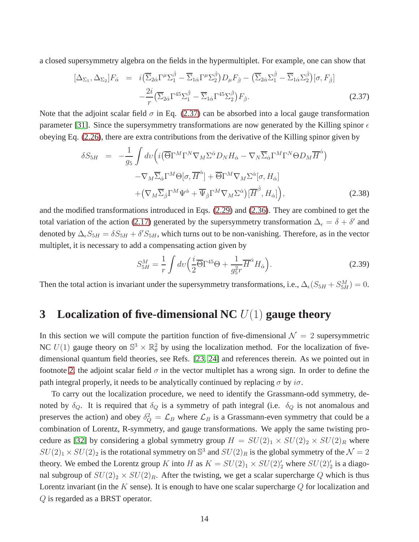a closed supersymmetry algebra on the fields in the hypermultiplet. For example, one can show that

<span id="page-14-0"></span>
$$
[\Delta_{\Sigma_1}, \Delta_{\Sigma_2}]F_{\dot{\alpha}} = i(\overline{\Sigma}_{2\dot{\alpha}}\Gamma^{\mu}\Sigma_1^{\dot{\beta}} - \overline{\Sigma}_{1\dot{\alpha}}\Gamma^{\mu}\Sigma_2^{\dot{\beta}})D_{\mu}F_{\dot{\beta}} - (\overline{\Sigma}_{2\dot{\alpha}}\Sigma_1^{\dot{\beta}} - \overline{\Sigma}_{1\dot{\alpha}}\Sigma_2^{\dot{\beta}})[\sigma, F_{\dot{\beta}}] -\frac{2i}{r}(\overline{\Sigma}_{2\dot{\alpha}}\Gamma^{45}\Sigma_1^{\dot{\beta}} - \overline{\Sigma}_{1\dot{\alpha}}\Gamma^{45}\Sigma_2^{\dot{\beta}})F_{\dot{\beta}}.
$$
\n(2.37)

Note that the adjoint scalar field  $\sigma$  in Eq. [\(2.37\)](#page-14-0) can be absorbed into a local gauge transformation parameter [\[31\]](#page-48-5). Since the supersymmetry transformations are now generated by the Killing spinor  $\epsilon$ obeying Eq. [\(2.26\)](#page-12-3), there are extra contributions from the derivative of the Killing spinor given by

$$
\delta S_{5H} = -\frac{1}{g_5} \int dv \Big( i \Big( \overline{\Theta} \Gamma^M \Gamma^N \nabla_M \Sigma^{\dot{\alpha}} D_N H_{\dot{\alpha}} - \nabla_N \overline{\Sigma}_{\dot{\alpha}} \Gamma^M \Gamma^N \Theta D_M \overline{H}^{\dot{\alpha}} \Big) - \nabla_M \overline{\Sigma}_{\dot{\alpha}} \Gamma^M \Theta [\sigma, \overline{H}^{\dot{\alpha}}] + \overline{\Theta} \Gamma^M \nabla_M \Sigma^{\dot{\alpha}} [\sigma, H_{\dot{\alpha}}] + \Big( \nabla_M \overline{\Sigma}_{\dot{\beta}} \Gamma^M \Psi^{\dot{\alpha}} + \overline{\Psi}_{\dot{\beta}} \Gamma^M \nabla_M \Sigma^{\dot{\alpha}} \Big) \Big[ \overline{H}^{\dot{\beta}}, H_{\dot{\alpha}} \Big] \Big),
$$
 (2.38)

and the modified transformations introduced in Eqs. [\(2.29\)](#page-12-4) and [\(2.36\)](#page-13-1). They are combined to get the total variation of the action [\(2.17\)](#page-10-0) generated by the supersymmetry transformation  $\Delta_{\epsilon} = \delta + \delta'$  and denoted by  $\Delta_{\epsilon}S_{5H} = \delta S_{5H} + \delta'S_{5H}$ , which turns out to be non-vanishing. Therefore, as in the vector multiplet, it is necessary to add a compensating action given by

<span id="page-14-1"></span>
$$
S_{5H}^M = \frac{1}{r} \int dv \left(\frac{i}{2} \overline{\Theta} \Gamma^{45} \Theta + \frac{1}{g_5^2 r} \overline{H}^{\dot{\alpha}} H_{\dot{\alpha}}\right).
$$
 (2.39)

Then the total action is invariant under the supersymmetry transformations, i.e.,  $\Delta_{\epsilon}(S_{5H} + S_{5H}^{M}) = 0$ .

# **3 Localization of five-dimensional NC** U(1) **gauge theory**

In this section we will compute the partition function of five-dimensional  $\mathcal{N} = 2$  supersymmetric NC  $U(1)$  gauge theory on  $\mathbb{S}^3 \times \mathbb{R}^2_\theta$  by using the localization method. For the localization of fivedimensional quantum field theories, see Refs. [\[23,](#page-48-6) [24\]](#page-48-7) and references therein. As we pointed out in footnote [2,](#page-3-0) the adjoint scalar field  $\sigma$  in the vector multiplet has a wrong sign. In order to define the path integral properly, it needs to be analytically continued by replacing  $\sigma$  by  $i\sigma$ .

To carry out the localization procedure, we need to identify the Grassmann-odd symmetry, denoted by  $\delta_Q$ . It is required that  $\delta_Q$  is a symmetry of path integral (i.e.  $\delta_Q$  is not anomalous and preserves the action) and obey  $\delta_Q^2 = \mathcal{L}_B$  where  $\mathcal{L}_B$  is a Grassmann-even symmetry that could be a combination of Lorentz, R-symmetry, and gauge transformations. We apply the same twisting pro-cedure as [\[32\]](#page-48-8) by considering a global symmetry group  $H = SU(2)_1 \times SU(2)_2 \times SU(2)_R$  where  $SU(2)_1 \times SU(2)_2$  is the rotational symmetry on  $\mathbb{S}^3$  and  $SU(2)_R$  is the global symmetry of the  $\mathcal{N}=2$ theory. We embed the Lorentz group K into H as  $K = SU(2)_1 \times SU(2)'_2$  where  $SU(2)'_2$  is a diagonal subgroup of  $SU(2)_2 \times SU(2)_R$ . After the twisting, we get a scalar supercharge Q which is thus Lorentz invariant (in the K sense). It is enough to have one scalar supercharge  $Q$  for localization and Q is regarded as a BRST operator.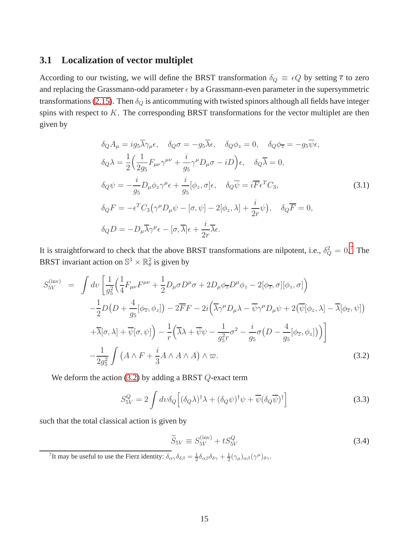#### **3.1 Localization of vector multiplet**

According to our twisting, we will define the BRST transformation  $\delta_Q \equiv \epsilon Q$  by setting  $\bar{\epsilon}$  to zero and replacing the Grassmann-odd parameter  $\epsilon$  by a Grassmann-even parameter in the supersymmetric transformations [\(2.15\)](#page-9-2). Then  $\delta_Q$  is anticommuting with twisted spinors although all fields have integer spins with respect to K. The corresponding BRST transformations for the vector multiplet are then given by

$$
\delta_Q A_\mu = ig_5 \overline{\lambda} \gamma_\mu \epsilon, \quad \delta_Q \sigma = -g_5 \overline{\lambda} \epsilon, \quad \delta_Q \phi_z = 0, \quad \delta_Q \phi_{\overline{z}} = -g_5 \overline{\psi} \epsilon,
$$
  
\n
$$
\delta_Q \lambda = \frac{1}{2} \Big( \frac{1}{2g_5} F_{\mu\nu} \gamma^{\mu\nu} + \frac{i}{g_5} \gamma^\mu D_\mu \sigma - iD \Big) \epsilon, \quad \delta_Q \overline{\lambda} = 0,
$$
  
\n
$$
\delta_Q \psi = -\frac{i}{g_5} D_\mu \phi_z \gamma^\mu \epsilon + \frac{i}{g_5} [\phi_z, \sigma] \epsilon, \quad \delta_Q \overline{\psi} = i \overline{F} \epsilon^T C_3,
$$
  
\n
$$
\delta_Q F = -\epsilon^T C_3 \Big( \gamma^\mu D_\mu \psi - [\sigma, \psi] - 2[\phi_z, \lambda] + \frac{i}{2r} \psi \Big), \quad \delta_Q \overline{F} = 0,
$$
  
\n
$$
\delta_Q D = -D_\mu \overline{\lambda} \gamma^\mu \epsilon - [\sigma, \overline{\lambda}] \epsilon + \frac{i}{2r} \overline{\lambda} \epsilon.
$$
  
\n(3.1)

It is straightforward to check that the above BRST transformations are nilpotent, i.e.,  $\delta_Q^2 = 0$ .<sup>[7](#page-15-0)</sup> The BRST invariant action on  $\mathbb{S}^3 \times \mathbb{R}^2_\theta$  is given by

<span id="page-15-1"></span>
$$
S_{5V}^{(\text{inv})} = \int dv \left[ \frac{1}{g_5^2} \left( \frac{1}{4} F_{\mu\nu} F^{\mu\nu} + \frac{1}{2} D_{\mu} \sigma D^{\mu} \sigma + 2 D_{\mu} \phi_{\overline{z}} D^{\mu} \phi_z - 2[\phi_{\overline{z}}, \sigma][\phi_z, \sigma] \right) \right. \\
\left. - \frac{1}{2} D \left( D + \frac{4}{g_5} [\phi_{\overline{z}}, \phi_z] \right) - 2 \overline{F} F - 2i \left( \overline{\lambda} \gamma^{\mu} D_{\mu} \lambda - \overline{\psi} \gamma^{\mu} D_{\mu} \psi + 2 (\overline{\psi}[\phi_z, \lambda] - \overline{\lambda}[\phi_{\overline{z}}, \psi] \right) \right. \\
\left. + \overline{\lambda}[\sigma, \lambda] + \overline{\psi}[\sigma, \psi] \right) - \frac{1}{r} \left( \overline{\lambda} \lambda + \overline{\psi} \psi - \frac{1}{g_5^2 r} \sigma^2 - \frac{i}{g_5} \sigma \left( D - \frac{4}{g_5} [\phi_{\overline{z}}, \phi_z] \right) \right) \right] \\
\left. - \frac{1}{2g_5^2} \int \left( A \wedge F + \frac{i}{3} A \wedge A \wedge A \right) \wedge \overline{\omega}. \tag{3.2}
$$

We deform the action  $(3.2)$  by adding a BRST  $Q$ -exact term

$$
S_{5V}^{Q} = 2 \int dv \delta_{Q} \left[ (\delta_{Q} \lambda)^{\dagger} \lambda + (\delta_{Q} \psi)^{\dagger} \psi + \overline{\psi} (\delta_{Q} \overline{\psi})^{\dagger} \right]
$$
(3.3)

such that the total classical action is given by

<span id="page-15-2"></span>
$$
\widetilde{S}_{5V} \equiv S_{5V}^{(\text{inv})} + t S_{5V}^Q \tag{3.4}
$$

<span id="page-15-0"></span><sup>7</sup>It may be useful to use the Fierz identity:  $\delta_{\alpha\gamma}\delta_{\delta\beta} = \frac{1}{2}\delta_{\alpha\beta}\delta_{\delta\gamma} + \frac{1}{2}(\gamma_{\mu})_{\alpha\beta}(\gamma^{\mu})_{\delta\gamma}$ .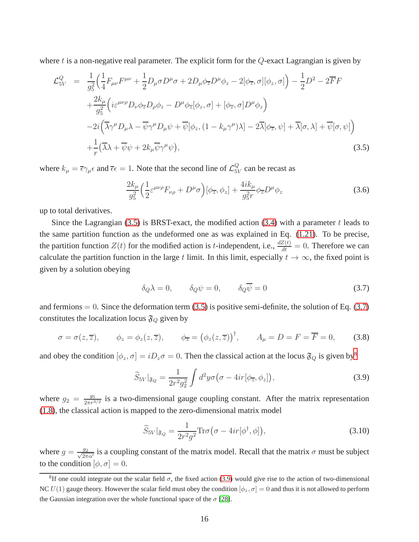where t is a non-negative real parameter. The explicit form for the Q-exact Lagrangian is given by

<span id="page-16-0"></span>
$$
\mathcal{L}_{5V}^{Q} = \frac{1}{g_{5}^{2}} \Big( \frac{1}{4} F_{\mu\nu} F^{\mu\nu} + \frac{1}{2} D_{\mu} \sigma D^{\mu} \sigma + 2 D_{\mu} \phi_{\overline{z}} D^{\mu} \phi_{z} - 2[\phi_{\overline{z}}, \sigma][\phi_{z}, \sigma] \Big) - \frac{1}{2} D^{2} - 2 \overline{F} F
$$
  
+ 
$$
\frac{2k_{\mu}}{g_{5}^{2}} \Big( i \varepsilon^{\mu\nu\rho} D_{\nu} \phi_{\overline{z}} D_{\rho} \phi_{z} - D^{\mu} \phi_{\overline{z}} [\phi_{z}, \sigma] + [\phi_{\overline{z}}, \sigma] D^{\mu} \phi_{z} \Big)
$$

$$
- 2i \Big( \overline{\lambda} \gamma^{\mu} D_{\mu} \lambda - \overline{\psi} \gamma^{\mu} D_{\mu} \psi + \overline{\psi} [\phi_{z}, (1 - k_{\mu} \gamma^{\mu}) \lambda] - 2 \overline{\lambda} [\phi_{\overline{z}}, \psi] + \overline{\lambda} [\sigma, \lambda] + \overline{\psi} [\sigma, \psi] \Big)
$$

$$
+ \frac{1}{r} (\overline{\lambda} \lambda + \overline{\psi} \psi + 2 k_{\mu} \overline{\psi} \gamma^{\mu} \psi), \tag{3.5}
$$

where  $k_{\mu} = \overline{\epsilon} \gamma_{\mu} \epsilon$  and  $\overline{\epsilon} \epsilon = 1$ . Note that the second line of  $\mathcal{L}_{51}^Q$  $_{5V}^Q$  can be recast as

$$
\frac{2k_{\mu}}{g_{5}^{2}}\Big(\frac{1}{2}\varepsilon^{\mu\nu\rho}F_{\nu\rho}+D^{\mu}\sigma\Big)[\phi_{\overline{z}},\phi_{z}]+\frac{4ik_{\mu}}{g_{5}^{2}r}\phi_{\overline{z}}D^{\mu}\phi_{z}\tag{3.6}
$$

up to total derivatives.

Since the Lagrangian  $(3.5)$  is BRST-exact, the modified action  $(3.4)$  with a parameter t leads to the same partition function as the undeformed one as was explained in Eq. [\(1.21\)](#page-5-2). To be precise, the partition function  $Z(t)$  for the modified action is *t*-independent, i.e.,  $\frac{dZ(t)}{dt} = 0$ . Therefore we can calculate the partition function in the large t limit. In this limit, especially  $t \to \infty$ , the fixed point is given by a solution obeying

<span id="page-16-1"></span>
$$
\delta_Q \lambda = 0, \qquad \delta_Q \psi = 0, \qquad \delta_Q \overline{\psi} = 0 \tag{3.7}
$$

and fermions  $= 0$ . Since the deformation term [\(3.5\)](#page-16-0) is positive semi-definite, the solution of Eq. [\(3.7\)](#page-16-1) constitutes the localization locus  $\mathfrak{F}_Q$  given by

<span id="page-16-4"></span>
$$
\sigma = \sigma(z, \overline{z}), \qquad \phi_z = \phi_z(z, \overline{z}), \qquad \phi_{\overline{z}} = \left(\phi_z(z, \overline{z})\right)^{\dagger}, \qquad A_\mu = D = F = \overline{F} = 0,\tag{3.8}
$$

and obey the condition  $[\phi_z, \sigma] = iD_z\sigma = 0$ . Then the classical action at the locus  $\mathfrak{F}_Q$  is given by<sup>[8](#page-16-2)</sup>

<span id="page-16-3"></span>
$$
\widetilde{S}_{5V}|_{\mathfrak{F}_Q} = \frac{1}{2r^2 g_2^2} \int d^2y \sigma \big( \sigma - 4ir[\phi_{\overline{z}}, \phi_z] \big),\tag{3.9}
$$

where  $g_2 = \frac{g_5}{2\pi r^{3/2}}$  is a two-dimensional gauge coupling constant. After the matrix representation [\(1.8\)](#page-2-2), the classical action is mapped to the zero-dimensional matrix model

<span id="page-16-5"></span>
$$
\widetilde{S}_{5V}|_{\mathfrak{F}_Q} = \frac{1}{2r^2g^2} \text{Tr}\sigma\big(\sigma - 4ir[\phi^\dagger, \phi]\big),\tag{3.10}
$$

where  $g = \frac{g_2}{\sqrt{2\pi}}$  $\frac{g_2}{2\pi\alpha'}$  is a coupling constant of the matrix model. Recall that the matrix  $\sigma$  must be subject to the condition  $[\phi, \sigma] = 0$ .

<span id="page-16-2"></span><sup>&</sup>lt;sup>8</sup>If one could integrate out the scalar field  $\sigma$ , the fixed action [\(3.9\)](#page-16-3) would give rise to the action of two-dimensional NC  $U(1)$  gauge theory. However the scalar field must obey the condition  $[\phi_z, \sigma] = 0$  and thus it is not allowed to perform the Gaussian integration over the whole functional space of the  $\sigma$  [\[28\]](#page-48-2).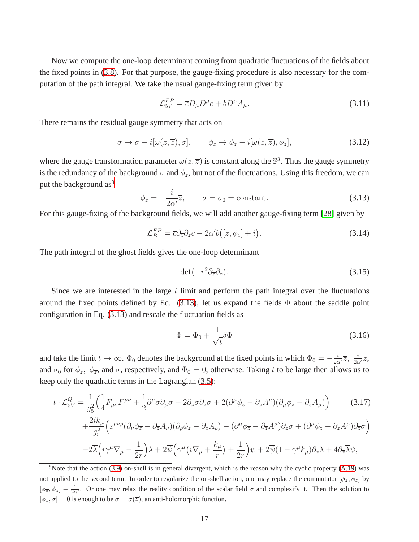Now we compute the one-loop determinant coming from quadratic fluctuations of the fields about the fixed points in [\(3.8\)](#page-16-4). For that purpose, the gauge-fixing procedure is also necessary for the computation of the path integral. We take the usual gauge-fixing term given by

<span id="page-17-4"></span>
$$
\mathcal{L}_{5V}^{FP} = \overline{c}D_{\mu}D^{\mu}c + bD^{\mu}A_{\mu}.
$$
\n(3.11)

There remains the residual gauge symmetry that acts on

$$
\sigma \to \sigma - i[\omega(z,\overline{z}),\sigma], \qquad \phi_z \to \phi_z - i[\omega(z,\overline{z}),\phi_z], \tag{3.12}
$$

where the gauge transformation parameter  $\omega(z,\overline{z})$  is constant along the  $\mathbb{S}^3$ . Thus the gauge symmetry is the redundancy of the background  $\sigma$  and  $\phi_z$ , but not of the fluctuations. Using this freedom, we can put the background as<sup>[9](#page-17-0)</sup>

<span id="page-17-1"></span>
$$
\phi_z = -\frac{i}{2\alpha'}\overline{z}, \qquad \sigma = \sigma_0 = \text{constant.} \tag{3.13}
$$

For this gauge-fixing of the background fields, we will add another gauge-fixing term [\[28\]](#page-48-2) given by

$$
\mathcal{L}_B^{FP} = \overline{c} \partial_{\overline{z}} \partial_z c - 2\alpha' b \big( [z, \phi_z] + i \big). \tag{3.14}
$$

The path integral of the ghost fields gives the one-loop determinant

<span id="page-17-5"></span>
$$
\det(-r^2 \partial_{\overline{z}} \partial_z). \tag{3.15}
$$

Since we are interested in the large  $t$  limit and perform the path integral over the fluctuations around the fixed points defined by Eq.  $(3.13)$ , let us expand the fields  $\Phi$  about the saddle point configuration in Eq. [\(3.13\)](#page-17-1) and rescale the fluctuation fields as

<span id="page-17-2"></span>
$$
\Phi = \Phi_0 + \frac{1}{\sqrt{t}} \delta \Phi \tag{3.16}
$$

and take the limit  $t \to \infty$ .  $\Phi_0$  denotes the background at the fixed points in which  $\Phi_0 = -\frac{i}{2\alpha'}\overline{z}$ ,  $\frac{i}{2\alpha'}z$ , and  $\sigma_0$  for  $\phi_z$ ,  $\phi_{\overline{z}}$ , and  $\sigma$ , respectively, and  $\Phi_0 = 0$ , otherwise. Taking t to be large then allows us to keep only the quadratic terms in the Lagrangian [\(3.5\)](#page-16-0):

<span id="page-17-3"></span>
$$
t \cdot \mathcal{L}_{5V}^{Q} = \frac{1}{g_{5}^{2}} \Big( \frac{1}{4} F_{\mu\nu} F^{\mu\nu} + \frac{1}{2} \partial^{\mu} \sigma \partial_{\mu} \sigma + 2 \partial_{\overline{z}} \sigma \partial_{z} \sigma + 2 (\partial^{\mu} \phi_{\overline{z}} - \partial_{\overline{z}} A^{\mu}) (\partial_{\mu} \phi_{z} - \partial_{z} A_{\mu}) \Big) \qquad (3.17)
$$

$$
+ \frac{2ik_{\mu}}{g_{5}^{2}} \Big( \varepsilon^{\mu\nu\rho} (\partial_{\nu} \phi_{\overline{z}} - \partial_{\overline{z}} A_{\nu}) (\partial_{\rho} \phi_{z} - \partial_{z} A_{\rho}) - (\partial^{\mu} \phi_{\overline{z}} - \partial_{\overline{z}} A^{\mu}) \partial_{z} \sigma + (\partial^{\mu} \phi_{z} - \partial_{z} A^{\mu}) \partial_{\overline{z}} \sigma \Big)
$$

$$
- 2\overline{\lambda} \Big( i\gamma^{\mu} \nabla_{\mu} - \frac{1}{2r} \Big) \lambda + 2\overline{\psi} \Big( \gamma^{\mu} \Big( i \nabla_{\mu} + \frac{k_{\mu}}{r} \Big) + \frac{1}{2r} \Big) \psi + 2\overline{\psi} (1 - \gamma^{\mu} k_{\mu}) \partial_{z} \lambda + 4 \partial_{\overline{z}} \overline{\lambda} \psi,
$$

<span id="page-17-0"></span><sup>9</sup>Note that the action [\(3.9\)](#page-16-3) on-shell is in general divergent, which is the reason why the cyclic property [\(A.19\)](#page-39-1) was not applied to the second term. In order to regularize the on-shell action, one may replace the commutator  $[\phi_{\overline{z}}, \phi_z]$  by  $[\phi_{\overline{z}}, \phi_z] - \frac{1}{2\alpha'}$ . Or one may relax the reality condition of the scalar field  $\sigma$  and complexify it. Then the solution to  $[\phi_z, \sigma] = 0$  is enough to be  $\sigma = \sigma(\overline{z})$ , an anti-holomorphic function.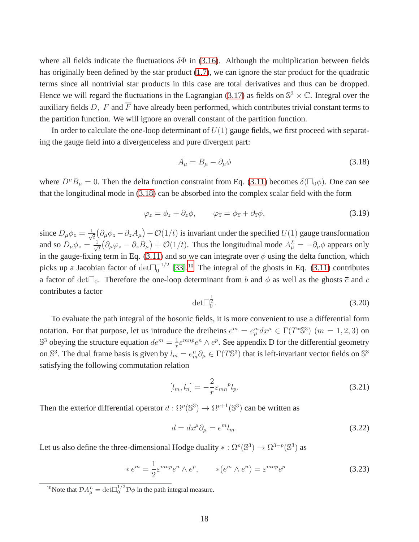where all fields indicate the fluctuations  $\delta \Phi$  in [\(3.16\)](#page-17-2). Although the multiplication between fields has originally been defined by the star product [\(1.7\)](#page-2-3), we can ignore the star product for the quadratic terms since all nontrivial star products in this case are total derivatives and thus can be dropped. Hence we will regard the fluctuations in the Lagrangian [\(3.17\)](#page-17-3) as fields on  $\mathbb{S}^3 \times \mathbb{C}$ . Integral over the auxiliary fields D, F and  $\overline{F}$  have already been performed, which contributes trivial constant terms to the partition function. We will ignore an overall constant of the partition function.

In order to calculate the one-loop determinant of  $U(1)$  gauge fields, we first proceed with separating the gauge field into a divergenceless and pure divergent part:

<span id="page-18-0"></span>
$$
A_{\mu} = B_{\mu} - \partial_{\mu}\phi \tag{3.18}
$$

where  $D^{\mu}B_{\mu} = 0$ . Then the delta function constraint from Eq. [\(3.11\)](#page-17-4) becomes  $\delta(\Box_0 \phi)$ . One can see that the longitudinal mode in [\(3.18\)](#page-18-0) can be absorbed into the complex scalar field with the form

$$
\varphi_z = \phi_z + \partial_z \phi, \qquad \varphi_{\overline{z}} = \phi_{\overline{z}} + \partial_{\overline{z}} \phi, \tag{3.19}
$$

since  $D_{\mu}\phi_z = \frac{1}{\sqrt{2}}$  $\frac{1}{\tau}(\partial_{\mu}\phi_z - \partial_z A_{\mu}) + \mathcal{O}(1/t)$  is invariant under the specified  $U(1)$  gauge transformation and so  $D_{\mu}\phi_z = \frac{1}{\sqrt{2}}$  $\frac{1}{\hbar}(\partial_{\mu}\varphi_z - \partial_z B_{\mu}) + \mathcal{O}(1/t)$ . Thus the longitudinal mode  $A_{\mu}^L = -\partial_{\mu}\phi$  appears only in the gauge-fixing term in Eq. [\(3.11\)](#page-17-4) and so we can integrate over  $\phi$  using the delta function, which picks up a Jacobian factor of  $det\Box_0^{-1/2}$  [\[33\]](#page-48-9).<sup>[10](#page-18-1)</sup> The integral of the ghosts in Eq. [\(3.11\)](#page-17-4) contributes a factor of det $\square_0$ . Therefore the one-loop determinant from b and  $\phi$  as well as the ghosts  $\overline{c}$  and c contributes a factor 1

<span id="page-18-3"></span>
$$
\det \Box_0^{\frac{1}{2}}.\tag{3.20}
$$

To evaluate the path integral of the bosonic fields, it is more convenient to use a differential form notation. For that purpose, let us introduce the dreibeins  $e^m = e_\mu^m dx^\mu \in \Gamma(T^* \mathbb{S}^3)$   $(m = 1, 2, 3)$  on  $\mathbb{S}^3$  obeying the structure equation  $de^m = \frac{1}{r}$  $\frac{1}{r} \varepsilon^{mnp} e^n \wedge e^p$ . See appendix D for the differential geometry on  $\mathbb{S}^3$ . The dual frame basis is given by  $l_m = e_m^{\mu} \partial_{\mu} \in \Gamma(T\mathbb{S}^3)$  that is left-invariant vector fields on  $\mathbb{S}^3$ satisfying the following commutation relation

$$
[l_m, l_n] = -\frac{2}{r} \varepsilon_{mn}{}^p l_p. \tag{3.21}
$$

Then the exterior differential operator  $d: \Omega^p(\mathbb{S}^3) \to \Omega^{p+1}(\mathbb{S}^3)$  can be written as

<span id="page-18-2"></span>
$$
d = dx^{\mu} \partial_{\mu} = e^{m} l_{m}.
$$
\n(3.22)

Let us also define the three-dimensional Hodge duality  $* : \Omega^p(\mathbb{S}^3) \to \Omega^{3-p}(\mathbb{S}^3)$  as

$$
* e^m = \frac{1}{2} \varepsilon^{mnp} e^n \wedge e^p, \qquad * (e^m \wedge e^n) = \varepsilon^{mnp} e^p \tag{3.23}
$$

<span id="page-18-1"></span><sup>&</sup>lt;sup>10</sup>Note that  $\mathcal{D}A_{\mu}^{L} = \det \Box_{0}^{1/2} \mathcal{D}\phi$  in the path integral measure.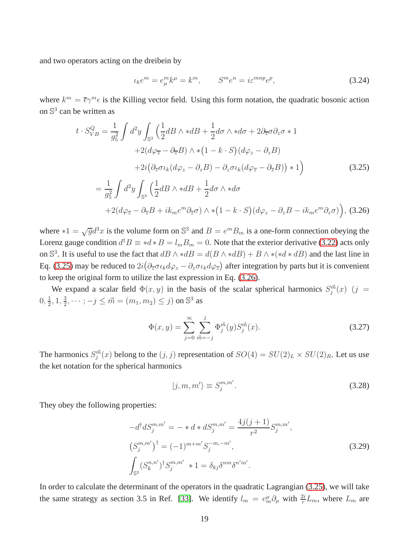and two operators acting on the dreibein by

$$
\iota_k e^m = e^m_\mu k^\mu = k^m, \qquad S^m e^n = i \varepsilon^{mnp} e^p,\tag{3.24}
$$

where  $k^m = \overline{\epsilon} \gamma^m \epsilon$  is the Killing vector field. Using this form notation, the quadratic bosonic action on  $\mathbb{S}^3$  can be written as

<span id="page-19-0"></span>
$$
t \cdot S_{VB}^{Q} = \frac{1}{g_{5}^{2}} \int d^{2}y \int_{\mathbb{S}^{3}} \left( \frac{1}{2} dB \wedge * dB + \frac{1}{2} d\sigma \wedge * d\sigma + 2 \partial_{\overline{z}} \sigma \partial_{z} \sigma * 1
$$
  
+2( $d\varphi_{\overline{z}} - \partial_{\overline{z}} B \wedge * (1 - k \cdot S) (d\varphi_{z} - \partial_{z} B)$   
+2( $\partial_{\overline{z}} \sigma \iota_{k} (d\varphi_{z} - \partial_{z} B) - \partial_{z} \sigma \iota_{k} (d\varphi_{\overline{z}} - \partial_{\overline{z}} B)) * 1$ )  
=  $\frac{1}{g_{5}^{2}} \int d^{2}y \int_{\mathbb{S}^{3}} \left( \frac{1}{2} dB \wedge * dB + \frac{1}{2} d\sigma \wedge * d\sigma$   
+2( $d\varphi_{\overline{z}} - \partial_{\overline{z}} B + ik_{m} e^{m} \partial_{\overline{z}} \sigma \right) \wedge * (1 - k \cdot S) (d\varphi_{z} - \partial_{z} B - ik_{m} e^{m} \partial_{z} \sigma)), (3.26)$ 

where  $*1 = \sqrt{g}d^3x$  is the volume form on  $\mathbb{S}^3$  and  $B = e^m B_m$  is a one-form connection obeying the Lorenz gauge condition  $d^{\dagger}B \equiv *d*B = l_mB_m = 0$ . Note that the exterior derivative [\(3.22\)](#page-18-2) acts only on  $\mathbb{S}^3$ . It is useful to use the fact that  $dB \wedge *dB = d(B \wedge *dB) + B \wedge *(*d * dB)$  and the last line in Eq. [\(3.25\)](#page-19-0) may be reduced to  $2i(\partial_{\overline{z}}\sigma \iota_k d\varphi_z - \partial_z \sigma \iota_k d\varphi_{\overline{z}})$  after integration by parts but it is convenient to keep the original form to utilize the last expression in Eq. [\(3.26\)](#page-19-0).

We expand a scalar field  $\Phi(x, y)$  in the basis of the scalar spherical harmonics  $S_j^{\vec{m}}(x)$  (j =  $0, \frac{1}{2}$  $\frac{1}{2}$ , 1,  $\frac{3}{2}$  $\frac{3}{2}, \dots; -j \leq \vec{m} = (m_1, m_2) \leq j)$  on  $\mathbb{S}^3$  as

<span id="page-19-2"></span>
$$
\Phi(x,y) = \sum_{j=0}^{\infty} \sum_{\vec{m}=-j}^{j} \Phi_j^{\vec{m}}(y) S_j^{\vec{m}}(x).
$$
\n(3.27)

The harmonics  $S_j^{\vec{m}}(x)$  belong to the  $(j, j)$  representation of  $SO(4) = SU(2)_L \times SU(2)_R$ . Let us use the ket notation for the spherical harmonics

<span id="page-19-1"></span>
$$
|j,m,m'\rangle \equiv S_j^{m,m'}.
$$
\n(3.28)

They obey the following properties:

$$
-d^{\dagger} dS_j^{m,m'} = - * d * dS_j^{m,m'} = \frac{4j(j+1)}{r^2} S_j^{m,m'},
$$
  
\n
$$
(S_j^{m,m'})^{\dagger} = (-1)^{m+m'} S_j^{-m,-m'},
$$
  
\n
$$
\int_{\mathbb{S}^3} (S_k^{n,n'})^{\dagger} S_j^{m,m'} * 1 = \delta_{kj} \delta^{nm} \delta^{n'm'}.
$$
\n(3.29)

In order to calculate the determinant of the operators in the quadratic Lagrangian [\(3.25\)](#page-19-0), we will take the same strategy as section 3.5 in Ref. [\[33\]](#page-48-9). We identify  $l_m = e_m^{\mu} \partial_{\mu}$  with  $\frac{2i}{r} L_m$ , where  $L_m$  are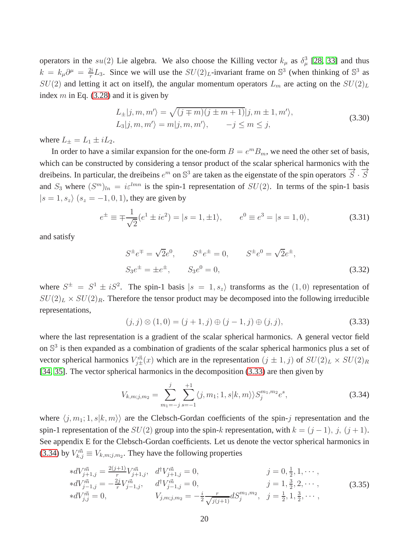operators in the  $su(2)$  Lie algebra. We also choose the Killing vector  $k_{\mu}$  as  $\delta_{\mu}^{3}$  [\[28,](#page-48-2) [33\]](#page-48-9) and thus  $k = k_{\mu}\partial^{\mu} = \frac{2i}{r}$  $\frac{2i}{r}L_3$ . Since we will use the  $SU(2)_L$ -invariant frame on  $\mathbb{S}^3$  (when thinking of  $\mathbb{S}^3$  as  $SU(2)$  and letting it act on itself), the angular momentum operators  $L_m$  are acting on the  $SU(2)_L$ index  $m$  in Eq. [\(3.28\)](#page-19-1) and it is given by

$$
L_{\pm}|j,m,m'\rangle = \sqrt{(j \mp m)(j \pm m + 1)}|j,m \pm 1,m'\rangle,
$$
  
\n
$$
L_3|j,m,m'\rangle = m|j,m,m'\rangle, \qquad -j \le m \le j,
$$
\n(3.30)

where  $L_{\pm} = L_1 \pm iL_2$ .

In order to have a similar expansion for the one-form  $B = e^m B_m$ , we need the other set of basis, which can be constructed by considering a tensor product of the scalar spherical harmonics with the dreibeins. In particular, the dreibeins  $e^m$  on  $\mathbb{S}^3$  are taken as the eigenstate of the spin operators  $\overrightarrow{S} \cdot \overrightarrow{S}$ and  $S_3$  where  $(S^m)_{ln} = i\varepsilon^{lmn}$  is the spin-1 representation of  $SU(2)$ . In terms of the spin-1 basis  $|s = 1, s_z\rangle$   $(s_z = -1, 0, 1)$ , they are given by

$$
e^{\pm} \equiv \mp \frac{1}{\sqrt{2}} (e^1 \pm i e^2) = |s = 1, \pm 1\rangle, \qquad e^0 \equiv e^3 = |s = 1, 0\rangle,\tag{3.31}
$$

and satisfy

$$
S^{\pm}e^{\mp} = \sqrt{2}e^{0}, \qquad S^{\pm}e^{\pm} = 0, \qquad S^{\pm}e^{0} = \sqrt{2}e^{\pm},
$$
  
\n
$$
S_{3}e^{\pm} = \pm e^{\pm}, \qquad S_{3}e^{0} = 0,
$$
  
\n(3.32)

where  $S^{\pm} = S^1 \pm iS^2$ . The spin-1 basis  $|s = 1, s_z\rangle$  transforms as the  $(1, 0)$  representation of  $SU(2)_L \times SU(2)_R$ . Therefore the tensor product may be decomposed into the following irreducible representations,

<span id="page-20-0"></span>
$$
(j,j) \otimes (1,0) = (j+1,j) \oplus (j-1,j) \oplus (j,j), \tag{3.33}
$$

where the last representation is a gradient of the scalar spherical harmonics. A general vector field on  $\mathbb{S}^3$  is then expanded as a combination of gradients of the scalar spherical harmonics plus a set of vector spherical harmonics  $V_{j\pm}^{\vec{m}}(x)$  which are in the representation  $(j \pm 1, j)$  of  $SU(2)_L \times SU(2)_R$ [\[34,](#page-49-0) [35\]](#page-49-1). The vector spherical harmonics in the decomposition [\(3.33\)](#page-20-0) are then given by

<span id="page-20-1"></span>
$$
V_{k,m;j,m_2} = \sum_{m_1=-j}^{j} \sum_{s=-1}^{+1} \langle j, m_1; 1, s | k, m \rangle \rangle S_j^{m_1,m_2} e^s,
$$
\n(3.34)

where  $\langle j, m_1; 1, s|k, m \rangle$  are the Clebsch-Gordan coefficients of the spin-j representation and the spin-1 representation of the  $SU(2)$  group into the spin-k representation, with  $k = (j - 1)$ , j,  $(j + 1)$ . See appendix E for the Clebsch-Gordan coefficients. Let us denote the vector spherical harmonics in [\(3.34\)](#page-20-1) by  $V_{k,j}^{\vec{m}} \equiv V_{k,m;j,m_2}$ . They have the following properties

$$
\begin{aligned}\n* dV_{j+1,j}^{\vec{m}} &= \frac{2(j+1)}{r} V_{j+1,j}^{\vec{m}}, \quad d^{\dagger} V_{j+1,j}^{\vec{m}} = 0, & j &= 0, \frac{1}{2}, 1, \cdots, \\
* dV_{j-1,j}^{\vec{m}} &= -\frac{2j}{r} V_{j-1,j}^{\vec{m}}, \quad d^{\dagger} V_{j-1,j}^{\vec{m}} = 0, & j &= 1, \frac{3}{2}, 2, \cdots, \\
* dV_{j,j}^{\vec{m}} &= 0, \qquad V_{j,m;j,m_2} = -\frac{i}{2} \frac{r}{\sqrt{j(j+1)}} dS_j^{m_1,m_2}, \quad j &= \frac{1}{2}, 1, \frac{3}{2}, \cdots,\n\end{aligned} \tag{3.35}
$$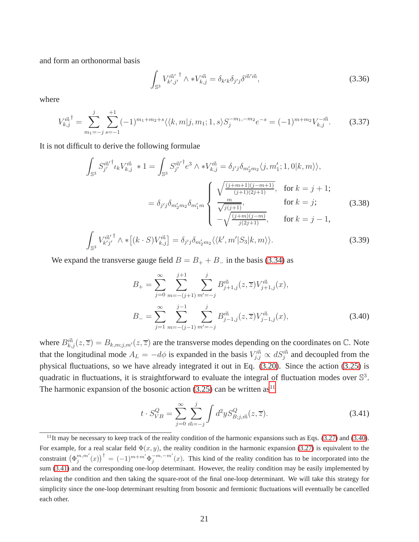and form an orthonormal basis

$$
\int_{\mathbb{S}^3} V_{k',j'}^{\vec{m}'} \wedge *V_{k,j}^{\vec{m}} = \delta_{k'k} \delta_{j'j} \delta^{\vec{m}'\vec{m}},\tag{3.36}
$$

where

$$
V_{k,j}^{\vec{m}^{\dagger}} = \sum_{m_1=-j}^{j} \sum_{s=-1}^{+1} (-1)^{m_1+m_2+s} \langle \langle k,m|j,m_1;1,s \rangle S_j^{-m_1,-m_2} e^{-s} = (-1)^{m+m_2} V_{k,j}^{-\vec{m}}. \tag{3.37}
$$

It is not difficult to derive the following formulae

$$
\int_{\mathbb{S}^3} S_{j'}^{\vec{m}'}^{\dagger} \iota_k V_{k,j}^{\vec{m}} * 1 = \int_{\mathbb{S}^3} S_{j'}^{\vec{m}'}^{\dagger} e^3 \wedge * V_{k,j}^{\vec{m}} = \delta_{j'j} \delta_{m'_2 m_2} \langle j, m'_1; 1, 0 | k, m \rangle \rangle,
$$
  
\n
$$
= \delta_{j'j} \delta_{m'_2 m_2} \delta_{m'_1 m} \begin{cases} \sqrt{\frac{(j+m+1)(j-m+1)}{(j+1)(2j+1)}}, & \text{for } k = j+1; \\ \frac{m}{\sqrt{j(j+1)}}, & \text{for } k = j; \\ -\sqrt{\frac{(j+m)(j-m)}{j(2j+1)}}, & \text{for } k = j-1, \end{cases}
$$
(3.38)

$$
\int_{\mathbb{S}^3} V_{k'j'}^{\vec{m}'} \wedge * \left[ (k \cdot S) V_{k,j}^{\vec{m}} \right] = \delta_{j'j} \delta_{m'_2 m_2} \langle \langle k', m' | S_3 | k, m \rangle \rangle.
$$
 (3.39)

We expand the transverse gauge field  $B = B_+ + B_-$  in the basis [\(3.34\)](#page-20-1) as

<span id="page-21-1"></span>
$$
B_{+} = \sum_{j=0}^{\infty} \sum_{m=-(j+1)}^{j+1} \sum_{m'=-j}^{j} B_{j+1,j}^{\vec{m}}(z,\overline{z}) V_{j+1,j}^{\vec{m}}(x),
$$
  

$$
B_{-} = \sum_{j=1}^{\infty} \sum_{m=-(j-1)}^{j-1} \sum_{m'=-j}^{j} B_{j-1,j}^{\vec{m}}(z,\overline{z}) V_{j-1,j}^{\vec{m}}(x),
$$
(3.40)

where  $B_{k,j}^{\vec{m}}(z,\overline{z}) = B_{k,m;j,m'}(z,\overline{z})$  are the transverse modes depending on the coordinates on  $\mathbb{C}$ . Note that the longitudinal mode  $A_L = -d\phi$  is expanded in the basis  $V_{j,j}^{\vec{m}} \propto dS_j^{\vec{m}}$  and decoupled from the physical fluctuations, so we have already integrated it out in Eq. [\(3.20\)](#page-18-3). Since the action [\(3.25\)](#page-19-0) is quadratic in fluctuations, it is straightforward to evaluate the integral of fluctuation modes over  $\mathbb{S}^3$ . The harmonic expansion of the bosonic action  $(3.25)$  can be written as<sup>[11](#page-21-0)</sup>

<span id="page-21-2"></span>
$$
t \cdot S_{VB}^Q = \sum_{j=0}^{\infty} \sum_{\vec{m}=-j}^{j} \int d^2 y S_{B;j,\vec{m}}^Q(z,\overline{z}).
$$
 (3.41)

<span id="page-21-0"></span> $11$ It may be necessary to keep track of the reality condition of the harmonic expansions such as Eqs. [\(3.27\)](#page-19-2) and [\(3.40\)](#page-21-1). For example, for a real scalar field  $\Phi(x, y)$ , the reality condition in the harmonic expansion [\(3.27\)](#page-19-2) is equivalent to the constraint  $(\Phi_j^{m,m'}(x))$ <sup>†</sup> =  $(-1)^{m+m'}\Phi_j^{-m,-m'}(x)$ . This kind of the reality condition has to be incorporated into the sum [\(3.41\)](#page-21-2) and the corresponding one-loop determinant. However, the reality condition may be easily implemented by relaxing the condition and then taking the square-root of the final one-loop determinant. We will take this strategy for simplicity since the one-loop determinant resulting from bosonic and fermionic fluctuations will eventually be cancelled each other.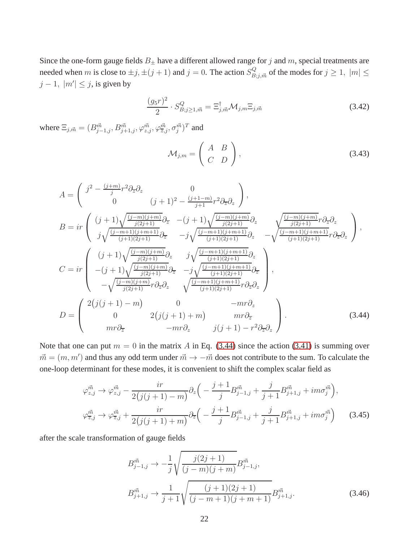Since the one-form gauge fields  $B_{\pm}$  have a different allowed range for j and m, special treatments are needed when m is close to  $\pm j, \pm (j + 1)$  and  $j = 0$ . The action  $S_{B;j,\vec{m}}^Q$  of the modes for  $j \ge 1$ ,  $|m| \le$  $j-1, |m'| \leq j$ , is given by

<span id="page-22-2"></span>
$$
\frac{(g_5r)^2}{2} \cdot S_{B;j\geq 1,\vec{m}}^Q = \Xi_{j,\vec{m}}^\dagger \mathcal{M}_{j,m} \Xi_{j,\vec{m}} \tag{3.42}
$$

where  $\Xi_{j,\vec{m}} = (B^{\vec{m}}_{j-1,j}, B^{\vec{m}}_{j+1,j}, \varphi^{\vec{m}}_{z,j}, \varphi^{\vec{m}}_{\bar{z},j}, \sigma^{\vec{m}}_{j})^T$  and

$$
\mathcal{M}_{j,m} = \left(\begin{array}{cc} A & B \\ C & D \end{array}\right),\tag{3.43}
$$

<span id="page-22-0"></span>
$$
A = \begin{pmatrix} j^{2} - \frac{(j+m)}{j}r^{2}\partial_{\overline{z}}\partial_{z} & 0\\ 0 & (j+1)^{2} - \frac{(j+1-m)}{j+1}r^{2}\partial_{\overline{z}}\partial_{z} \end{pmatrix},
$$
  
\n
$$
B = ir \begin{pmatrix} (j+1)\sqrt{\frac{(j-m)(j+m)}{j(2j+1)}}\partial_{\overline{z}} & -(j+1)\sqrt{\frac{(j-m)(j+m)}{j(2j+1)}}\partial_{z} & \sqrt{\frac{(j-m)(j+m)}{j(2j+1)}}r\partial_{\overline{z}}\partial_{z} \\ j\sqrt{\frac{(j-m+1)(j+m+1)}{j+1}}\partial_{\overline{z}} & -j\sqrt{\frac{(j-m+1)(j+m+1)}{j+1}}\partial_{z} & -\sqrt{\frac{(j-m+1)(j+m+1)}{j+1}}r\partial_{\overline{z}}\partial_{z} \end{pmatrix},
$$
  
\n
$$
C = ir \begin{pmatrix} (j+1)\sqrt{\frac{(j-m)(j+m)}{j(2j+1)}}\partial_{z} & j\sqrt{\frac{(j-m+1)(j+m+1)}{j+1}}\partial_{z} \\ -(j+1)\sqrt{\frac{(j-m)(j+m)}{j(2j+1)}}\partial_{\overline{z}} & -j\sqrt{\frac{(j-m+1)(j+m+1)}{j+1}}\partial_{\overline{z}} \\ -\sqrt{\frac{(j-m)(j+m)}{j(2j+1)}}r\partial_{\overline{z}}\partial_{z} & \sqrt{\frac{(j-m+1)(j+m+1)}{j+1}}r\partial_{\overline{z}}\partial_{z} \end{pmatrix},
$$
  
\n
$$
D = \begin{pmatrix} 2(j(j+1)-m) & 0 & -mr\partial_{z} \\ 0 & 2(j(j+1)+m) & mr\partial_{\overline{z}} \\ mr\partial_{\overline{z}} & -mr\partial_{z} & j(j+1)-r^{2}\partial_{\overline{z}}\partial_{z} \end{pmatrix}.
$$
 (3.44)

Note that one can put  $m = 0$  in the matrix A in Eq. [\(3.44\)](#page-22-0) since the action [\(3.41\)](#page-21-2) is summing over  $\vec{m} = (m, m')$  and thus any odd term under  $\vec{m} \to -\vec{m}$  does not contribute to the sum. To calculate the one-loop determinant for these modes, it is convenient to shift the complex scalar field as

<span id="page-22-1"></span>
$$
\varphi_{z,j}^{\vec{m}} \to \varphi_{z,j}^{\vec{m}} - \frac{ir}{2(j(j+1)-m)} \partial_z \left( -\frac{j+1}{j} B_{j-1,j}^{\vec{m}} + \frac{j}{j+1} B_{j+1,j}^{\vec{m}} + im \sigma_j^{\vec{m}} \right),
$$
  

$$
\varphi_{\overline{z},j}^{\vec{m}} \to \varphi_{\overline{z},j}^{\vec{m}} + \frac{ir}{2(j(j+1)+m)} \partial_{\overline{z}} \left( -\frac{j+1}{j} B_{j-1,j}^{\vec{m}} + \frac{j}{j+1} B_{j+1,j}^{\vec{m}} + im \sigma_j^{\vec{m}} \right)
$$
(3.45)

after the scale transformation of gauge fields

<span id="page-22-3"></span>
$$
B_{j-1,j}^{\vec{m}} \to -\frac{1}{j} \sqrt{\frac{j(2j+1)}{(j-m)(j+m)}} B_{j-1,j}^{\vec{m}},
$$
  

$$
B_{j+1,j}^{\vec{m}} \to \frac{1}{j+1} \sqrt{\frac{(j+1)(2j+1)}{(j-m+1)(j+m+1)}} B_{j+1,j}^{\vec{m}}.
$$
 (3.46)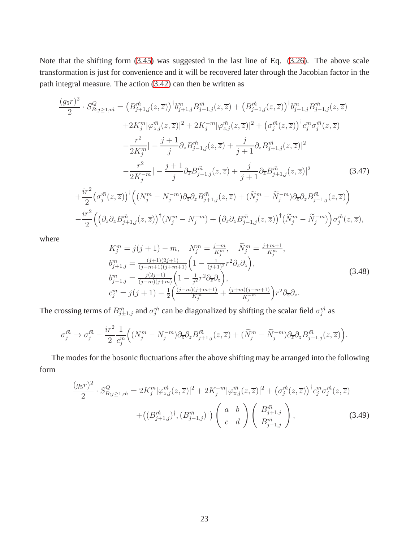Note that the shifting form [\(3.45\)](#page-22-1) was suggested in the last line of Eq. [\(3.26\)](#page-19-0). The above scale transformation is just for convenience and it will be recovered later through the Jacobian factor in the path integral measure. The action [\(3.42\)](#page-22-2) can then be written as

$$
\frac{(g_{5}r)^{2}}{2} \cdot S_{B;j\geq1,\vec{m}}^{Q} = (B_{j+1,j}^{\vec{m}}(z,\overline{z}))^{\dagger}b_{j+1,j}^{m}B_{j+1,j}^{\vec{m}}(z,\overline{z}) + (B_{j-1,j}^{\vec{m}}(z,\overline{z}))^{\dagger}b_{j-1,j}^{m}B_{j-1,j}^{\vec{m}}(z,\overline{z}) \n+ 2K_{j}^{m}|\varphi_{z,j}^{\vec{m}}(z,\overline{z})|^{2} + 2K_{j}^{-m}|\varphi_{\overline{z},j}^{\vec{m}}(z,\overline{z})|^{2} + (\sigma_{j}^{\vec{m}}(z,\overline{z}))^{\dagger}c_{j}^{m}\sigma_{j}^{\vec{m}}(z,\overline{z}) \n- \frac{r^{2}}{2K_{j}^{m}}| - \frac{j+1}{j}\partial_{z}B_{j-1,j}^{\vec{m}}(z,\overline{z}) + \frac{j}{j+1}\partial_{z}B_{j+1,j}^{\vec{m}}(z,\overline{z})|^{2} \n- \frac{r^{2}}{2K_{j}^{-m}}| - \frac{j+1}{j}\partial_{\overline{z}}B_{j-1,j}^{\vec{m}}(z,\overline{z}) + \frac{j}{j+1}\partial_{\overline{z}}B_{j+1,j}^{\vec{m}}(z,\overline{z})|^{2}
$$
\n(3.47)  
\n
$$
+ \frac{ir^{2}}{2}(\sigma_{j}^{\vec{m}}(z,\overline{z}))^{\dagger}((N_{j}^{m} - N_{j}^{-m})\partial_{\overline{z}}\partial_{z}B_{j+1,j}^{\vec{m}}(z,\overline{z}) + (\widetilde{N}_{j}^{m} - \widetilde{N}_{j}^{-m})\partial_{\overline{z}}\partial_{z}B_{j-1,j}^{\vec{m}}(z,\overline{z})) \n- \frac{ir^{2}}{2}((\partial_{\overline{z}}\partial_{z}B_{j+1,j}^{\vec{m}}(z,\overline{z}))^{\dagger}(N_{j}^{m} - N_{j}^{-m}) + (\partial_{\overline{z}}\partial_{z}B_{j-1,j}^{\vec{m}}(z,\overline{z}))^{\dagger}(\widetilde{N}_{
$$

where

$$
K_j^m = j(j+1) - m, \quad N_j^m = \frac{j-m}{K_j^m}, \quad \widetilde{N}_j^m = \frac{j+m+1}{K_j^m},
$$
  
\n
$$
b_{j+1,j}^m = \frac{(j+1)(2j+1)}{(j-m+1)(j+m+1)} \left(1 - \frac{1}{(j+1)^2} r^2 \partial_z \partial_z\right),
$$
  
\n
$$
b_{j-1,j}^m = \frac{j(2j+1)}{(j-m)(j+m)} \left(1 - \frac{1}{j^2} r^2 \partial_z \partial_z\right),
$$
  
\n
$$
c_j^m = j(j+1) - \frac{1}{2} \left(\frac{(j-m)(j+m+1)}{K_j^m} + \frac{(j+m)(j-m+1)}{K_j^m}\right) r^2 \partial_z \partial_z.
$$
\n(3.48)

The crossing terms of  $B^{\vec{m}}_{j\pm1,j}$  and  $\sigma^{\vec{m}}_j$  can be diagonalized by shifting the scalar field  $\sigma^{\vec{m}}_j$  as

$$
\sigma_j^{\vec{m}} \to \sigma_j^{\vec{m}} - \frac{ir^2}{2} \frac{1}{c_j^m} \Big( (N_j^m - N_j^{-m}) \partial_{\overline{z}} \partial_z B^{\vec{m}}_{j+1,j}(z, \overline{z}) + (\widetilde{N}_j^m - \widetilde{N}_j^{-m}) \partial_{\overline{z}} \partial_z B^{\vec{m}}_{j-1,j}(z, \overline{z}) \Big).
$$

The modes for the bosonic fluctuations after the above shifting may be arranged into the following form

$$
\frac{(g_5r)^2}{2} \cdot S_{B;j\geq 1,\vec{m}}^Q = 2K_j^m |\varphi_{z,j}^{\vec{m}}(z,\overline{z})|^2 + 2K_j^{-m} |\varphi_{\overline{z},j}^{\vec{m}}(z,\overline{z})|^2 + \left(\sigma_j^{\vec{m}}(z,\overline{z})\right)^{\dagger} c_j^m \sigma_j^{\vec{m}}(z,\overline{z}) + \left((B_{j+1,j}^{\vec{m}})^{\dagger}, (B_{j-1,j}^{\vec{m}})^{\dagger}\right) \begin{pmatrix} a & b \\ c & d \end{pmatrix} \begin{pmatrix} B_{j+1,j}^{\vec{m}} \\ B_{j-1,j}^{\vec{m}} \end{pmatrix},
$$
\n(3.49)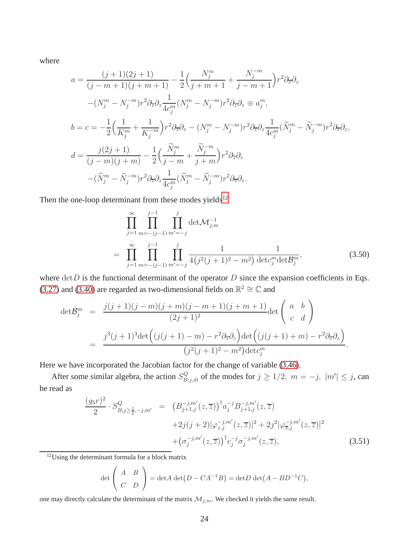where

$$
a = \frac{(j+1)(2j+1)}{(j-m+1)(j+m+1)} - \frac{1}{2} \Big( \frac{N_j^m}{j+m+1} + \frac{N_j^{-m}}{j-m+1} \Big) r^2 \partial_{\overline{z}} \partial_z - (N_j^m - N_j^{-m}) r^2 \partial_{\overline{z}} \partial_z \frac{1}{4c_j^m} (N_j^m - N_j^{-m}) r^2 \partial_{\overline{z}} \partial_z \equiv a_j^m,
$$
  
\n
$$
b = c = -\frac{1}{2} \Big( \frac{1}{K_j^m} + \frac{1}{K_j^{-m}} \Big) r^2 \partial_{\overline{z}} \partial_z - (N_j^m - N_j^{-m}) r^2 \partial_{\overline{z}} \partial_z \frac{1}{4c_j^m} (\widetilde{N}_j^m - \widetilde{N}_j^{-m}) r^2 \partial_{\overline{z}} \partial_z,
$$
  
\n
$$
d = \frac{j(2j+1)}{(j-m)(j+m)} - \frac{1}{2} \Big( \frac{\widetilde{N}_j^m}{j-m} + \frac{\widetilde{N}_j^{-m}}{j+m} \Big) r^2 \partial_{\overline{z}} \partial_z - (\widetilde{N}_j^m - \widetilde{N}_j^{-m}) r^2 \partial_{\overline{z}} \partial_z \frac{1}{4c_j^m} (\widetilde{N}_j^m - \widetilde{N}_j^{-m}) r^2 \partial_{\overline{z}} \partial_z.
$$

Then the one-loop determinant from these modes yields $12$ 

$$
\prod_{j=1}^{\infty} \prod_{m=-(j-1)}^{j-1} \prod_{m'=-j}^{j} \det \mathcal{M}_{j,m}^{-1}
$$
\n
$$
= \prod_{j=1}^{\infty} \prod_{m=-(j-1)}^{j-1} \prod_{m'=-j}^{j} \frac{1}{4(j^{2}(j+1)^{2} - m^{2})} \frac{1}{\det c_{j}^{m} \det \mathcal{B}_{j}^{m}},
$$
\n(3.50)

where  $detD$  is the functional determinant of the operator  $D$  since the expansion coefficients in Eqs. [\(3.27\)](#page-19-2) and [\(3.40\)](#page-21-1) are regarded as two-dimensional fields on  $\mathbb{R}^2 \cong \mathbb{C}$  and

$$
\begin{split} \det \mathcal{B}_{j}^{m} &= \frac{j(j+1)(j-m)(j+m)(j-m+1)(j+m+1)}{(2j+1)^{2}} \det \begin{pmatrix} a & b \\ c & d \end{pmatrix} \\ &= \frac{j^{3}(j+1)^{3} \det \Big( (j(j+1)-m) - r^{2} \partial_{\overline{z}} \partial_{z} \Big) \det \Big( (j(j+1)+m) - r^{2} \partial_{\overline{z}} \partial_{z} \Big)}{(j^{2}(j+1)^{2} - m^{2}) \det c_{j}^{m}}. \end{split}
$$

Here we have incorporated the Jacobian factor for the change of variable [\(3.46\)](#page-22-3).

After some similar algebra, the action  $S_{B;j,\vec{m}}^Q$  of the modes for  $j \geq 1/2$ ,  $m = -j$ ,  $|m'| \leq j$ , can be read as

$$
\frac{(g_5r)^2}{2} \cdot S^Q_{B;j\ge\frac{1}{2},-j,m'} = (B^{-j,m'}_{j+1,j}(z,\overline{z}))^{\dagger} a_j^{-j} B_{j+1,j}^{-j,m'}(z,\overline{z}) \n+2j(j+2)|\varphi_{z,j}^{-j,m'}(z,\overline{z})|^2 + 2j^2|\varphi_{\overline{z},j}^{-j,m'}(z,\overline{z})|^2 \n+ (\sigma_j^{-j,m'}(z,\overline{z}))^{\dagger} c_j^{-j} \sigma_j^{-j,m'}(z,\overline{z}),
$$
\n(3.51)

<span id="page-24-0"></span> $12$ Using the determinant formula for a block matrix

$$
\det\left(\begin{array}{cc} A & B \\ C & D \end{array}\right) = \det A \det(D - CA^{-1}B) = \det D \det(A - BD^{-1}C),
$$

one may directly calculate the determinant of the matrix  $\mathcal{M}_{j,m}$ . We checked it yields the same result.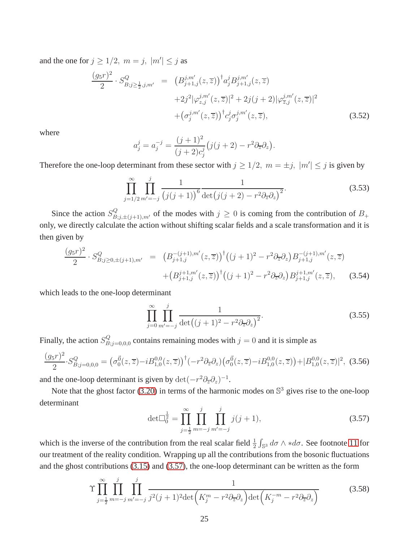and the one for  $j \geq 1/2$ ,  $m = j$ ,  $|m'| \leq j$  as

$$
\frac{(g_5r)^2}{2} \cdot S^Q_{B;j\ge\frac{1}{2},j,m'} = (B^{j,m'}_{j+1,j}(z,\overline{z}))^\dagger a_j^j B^{j,m'}_{j+1,j}(z,\overline{z}) \n+2j^2 |\varphi_{z,j}^{j,m'}(z,\overline{z})|^2 + 2j(j+2) |\varphi_{\overline{z},j}^{j,m'}(z,\overline{z})|^2 \n+ (\sigma_j^{j,m'}(z,\overline{z}))^\dagger c_j^j \sigma_j^{j,m'}(z,\overline{z}),
$$
\n(3.52)

where

$$
a_j^j = a_j^{-j} = \frac{(j+1)^2}{(j+2)c_j^j} (j(j+2) - r^2 \partial_{\overline{z}} \partial_z).
$$

Therefore the one-loop determinant from these sector with  $j \ge 1/2$ ,  $m = \pm j$ ,  $|m'| \le j$  is given by

$$
\prod_{j=1/2}^{\infty} \prod_{m'=-j}^{j} \frac{1}{(j(j+1))^6} \frac{1}{\det(j(j+2) - r^2 \partial_{\overline{z}} \partial_z)^2}.
$$
\n(3.53)

Since the action  $S_{B;j,\pm(j+1),m'}^Q$  of the modes with  $j \ge 0$  is coming from the contribution of  $B_+$ only, we directly calculate the action without shifting scalar fields and a scale transformation and it is then given by

$$
\frac{(g_5r)^2}{2} \cdot S_{B;j\geq 0,\pm(j+1),m'}^Q = \left(B_{j+1,j}^{-(j+1),m'}(z,\overline{z})\right)^{\dagger} \left((j+1)^2 - r^2 \partial_{\overline{z}} \partial_z\right) B_{j+1,j}^{-(j+1),m'}(z,\overline{z}) \n+ \left(B_{j+1,j}^{j+1,m'}(z,\overline{z})\right)^{\dagger} \left((j+1)^2 - r^2 \partial_{\overline{z}} \partial_z\right) B_{j+1,j}^{j+1,m'}(z,\overline{z}),
$$
\n(3.54)

which leads to the one-loop determinant

$$
\prod_{j=0}^{\infty} \prod_{m'=-j}^{j} \frac{1}{\det((j+1)^2 - r^2 \partial_{\overline{z}} \partial_z)^2}.
$$
\n(3.55)

Finally, the action  $S_B^Q$  $B_{i,j=0,0,0}$  contains remaining modes with  $j=0$  and it is simple as

$$
\frac{(g_5r)^2}{2} \cdot S_{B;j=0,0,0}^Q = \left(\sigma_0^{\vec{0}}(z,\overline{z}) - i B_{1,0}^{0,0}(z,\overline{z})\right)^{\dagger} \left(-r^2 \partial_{\overline{z}} \partial_z\right) \left(\sigma_0^{\vec{0}}(z,\overline{z}) - i B_{1,0}^{0,0}(z,\overline{z})\right) + |B_{1,0}^{0,0}(z,\overline{z})|^2, \tag{3.56}
$$

and the one-loop determinant is given by  $\det(-r^2 \partial_{\overline{z}} \partial_z)^{-1}$ .

Note that the ghost factor [\(3.20\)](#page-18-3) in terms of the harmonic modes on  $\mathbb{S}^3$  gives rise to the one-loop determinant

<span id="page-25-0"></span>
$$
\det \Box_0^{\frac{1}{2}} = \prod_{j=\frac{1}{2}}^{\infty} \prod_{m=-j}^{j} \prod_{m'=-j}^{j} j(j+1),\tag{3.57}
$$

which is the inverse of the contribution from the real scalar field  $\frac{1}{2} \int_{\mathbb{S}^3} d\sigma \wedge *d\sigma$ . See footnote [11](#page-21-0) for our treatment of the reality condition. Wrapping up all the contributions from the bosonic fluctuations and the ghost contributions [\(3.15\)](#page-17-5) and [\(3.57\)](#page-25-0), the one-loop determinant can be written as the form

<span id="page-25-1"></span>
$$
\Upsilon \prod_{j=\frac{1}{2}}^{\infty} \prod_{m=-j}^{j} \prod_{m'=-j}^{j} \frac{1}{j^2(j+1)^2 \det\left(K_j^m - r^2 \partial_z \partial_z\right) \det\left(K_j^{-m} - r^2 \partial_z \partial_z\right)}\tag{3.58}
$$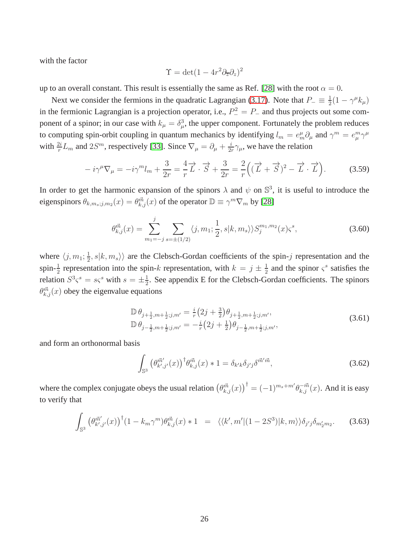with the factor

$$
\Upsilon = \det(1 - 4r^2 \partial_{\overline{z}} \partial_z)^2
$$

up to an overall constant. This result is essentially the same as Ref. [\[28\]](#page-48-2) with the root  $\alpha = 0$ .

Next we consider the fermions in the quadratic Lagrangian [\(3.17\)](#page-17-3). Note that  $P_-\equiv \frac{1}{2}$  $\frac{1}{2}(1 - \gamma^{\mu} k_{\mu})$ in the fermionic Lagrangian is a projection operator, i.e.,  $P_-^2 = P_-$  and thus projects out some component of a spinor; in our case with  $k_{\mu} = \delta_{\mu}^{3}$ , the upper component. Fortunately the problem reduces to computing spin-orbit coupling in quantum mechanics by identifying  $l_m = e_m^{\mu} \partial_{\mu}$  and  $\gamma^m = e_\mu^m \gamma^\mu$ with  $\frac{2i}{r}L_m$  and  $2S^m$ , respectively [\[33\]](#page-48-9). Since  $\nabla_\mu = \partial_\mu + \frac{i}{2i}$  $\frac{i}{2r}\gamma_\mu$ , we have the relation

$$
-i\gamma^{\mu}\nabla_{\mu} = -i\gamma^{m}l_{m} + \frac{3}{2r} = \frac{4}{r}\overrightarrow{L} \cdot \overrightarrow{S} + \frac{3}{2r} = \frac{2}{r}\Big((\overrightarrow{L} + \overrightarrow{S})^{2} - \overrightarrow{L} \cdot \overrightarrow{L}\Big).
$$
 (3.59)

In order to get the harmonic expansion of the spinors  $\lambda$  and  $\psi$  on  $\mathbb{S}^3$ , it is useful to introduce the eigenspinors  $\theta_{k,m_s;j,m_2}(x) = \theta_{k,j}^{\vec{m}}(x)$  of the operator  $\mathbb{D} \equiv \gamma^m \nabla_m$  by [\[28\]](#page-48-2)

<span id="page-26-0"></span>
$$
\theta_{k,j}^{\vec{m}}(x) = \sum_{m_1 = -j}^{j} \sum_{s = \pm(1/2)} \langle j, m_1; \frac{1}{2}, s | k, m_s \rangle \rangle S_j^{m_1, m_2}(x) \varsigma^s,
$$
\n(3.60)

where  $\langle j, m_1; \frac{1}{2} \rangle$  $\langle \frac{1}{2}, s | k, m_s \rangle$  are the Clebsch-Gordan coefficients of the spin-j representation and the spin- $\frac{1}{2}$  representation into the spin-k representation, with  $k = j \pm \frac{1}{2}$  $\frac{1}{2}$  and the spinor  $\varsigma^s$  satisfies the relation  $S^3 \varsigma^s = s \varsigma^s$  with  $s = \pm \frac{1}{2}$  $\frac{1}{2}$ . See appendix E for the Clebsch-Gordan coefficients. The spinors  $\theta_{k,j}^{\vec{m}}(x)$  obey the eigenvalue equations

$$
\mathbb{D}\,\theta_{j+\frac{1}{2},m+\frac{1}{2};j,m'} = \frac{i}{r}\left(2j+\frac{3}{2}\right)\theta_{j+\frac{1}{2},m+\frac{1}{2};j,m'},
$$
\n
$$
\mathbb{D}\,\theta_{j-\frac{1}{2},m+\frac{1}{2};j,m'} = -\frac{i}{r}\left(2j+\frac{1}{2}\right)\theta_{j-\frac{1}{2},m+\frac{1}{2};j,m'},
$$
\n(3.61)

and form an orthonormal basis

$$
\int_{\mathbb{S}^3} \left(\theta_{k',j'}^{\vec{m}'}(x)\right)^{\dagger} \theta_{k,j}^{\vec{m}}(x) * 1 = \delta_{k'k} \delta_{j'j} \delta^{\vec{m}'\vec{m}},\tag{3.62}
$$

where the complex conjugate obeys the usual relation  $(\theta_{k,j}^{\vec{m}}(x))$ <sup>†</sup> =  $(-1)^{m_s+m'}\theta_{k,j}^{-\vec{m}}(x)$ . And it is easy to verify that

$$
\int_{\mathbb{S}^3} \left(\theta_{k',j'}^{\vec{m}'}(x)\right)^{\dagger} (1 - k_m \gamma^m) \theta_{k,j}^{\vec{m}}(x) * 1 = \langle\langle k',m' | (1 - 2S^3) | k,m \rangle\rangle \delta_{j'j} \delta_{m'_2 m_2}.
$$
 (3.63)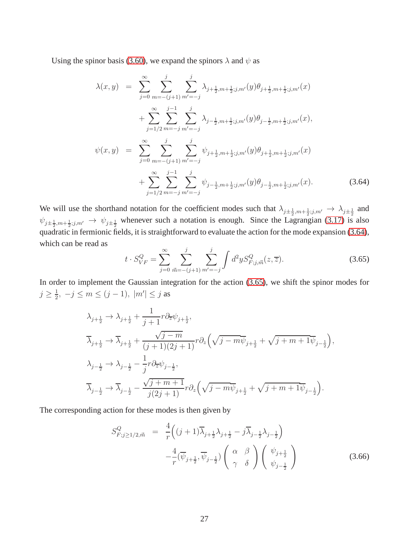Using the spinor basis [\(3.60\)](#page-26-0), we expand the spinors  $\lambda$  and  $\psi$  as

<span id="page-27-0"></span>
$$
\lambda(x,y) = \sum_{j=0}^{\infty} \sum_{m=-(j+1)}^{j} \sum_{m'=-j}^{j} \lambda_{j+\frac{1}{2},m+\frac{1}{2};j,m'}(y) \theta_{j+\frac{1}{2},m+\frac{1}{2};j,m'}(x) \n+ \sum_{j=1/2}^{\infty} \sum_{m=-j}^{j-1} \sum_{m'=-j}^{j} \lambda_{j-\frac{1}{2},m+\frac{1}{2};j,m'}(y) \theta_{j-\frac{1}{2},m+\frac{1}{2};j,m'}(x), \n\psi(x,y) = \sum_{j=0}^{\infty} \sum_{m=-(j+1)}^{j} \sum_{m'=-j}^{j} \psi_{j+\frac{1}{2},m+\frac{1}{2};j,m'}(y) \theta_{j+\frac{1}{2},m+\frac{1}{2};j,m'}(x) \n+ \sum_{j=1/2}^{\infty} \sum_{m=-j}^{j-1} \sum_{m'=-j}^{j} \psi_{j-\frac{1}{2},m+\frac{1}{2};j,m'}(y) \theta_{j-\frac{1}{2},m+\frac{1}{2};j,m'}(x).
$$
\n(3.64)

We will use the shorthand notation for the coefficient modes such that  $\lambda_{j\pm \frac{1}{2},m+\frac{1}{2};j,m'} \to \lambda_{j\pm \frac{1}{2}}$  and  $\psi_{j\pm \frac{1}{2},m+\frac{1}{2};j,m'} \to \psi_{j\pm \frac{1}{2}}$  whenever such a notation is enough. Since the Lagrangian [\(3.17\)](#page-17-3) is also quadratic in fermionic fields, it is straightforward to evaluate the action for the mode expansion [\(3.64\)](#page-27-0), which can be read as

<span id="page-27-1"></span>
$$
t \cdot S_{VF}^{Q} = \sum_{j=0}^{\infty} \sum_{\vec{m} = -(j+1)}^{j} \sum_{m' = -j}^{j} \int d^{2}y S_{F;j,\vec{m}}^{Q}(z,\overline{z}). \tag{3.65}
$$

In order to implement the Gaussian integration for the action [\(3.65\)](#page-27-1), we shift the spinor modes for  $j\geq \frac{1}{2}$  $\frac{1}{2}$ ,  $-j \le m \le (j-1)$ ,  $|m'| \le j$  as

$$
\begin{aligned} &\lambda_{j+\frac{1}{2}}\rightarrow\lambda_{j+\frac{1}{2}}+\frac{1}{j+1}r\partial_{\overline{z}}\psi_{j+\frac{1}{2}},\\ &\overline{\lambda}_{j+\frac{1}{2}}\rightarrow\overline{\lambda}_{j+\frac{1}{2}}+\frac{\sqrt{j-m}}{(j+1)(2j+1)}r\partial_{z}\Big(\sqrt{j-m}\overline{\psi}_{j+\frac{1}{2}}+\sqrt{j+m+1}\overline{\psi}_{j-\frac{1}{2}}\Big),\\ &\lambda_{j-\frac{1}{2}}\rightarrow\lambda_{j-\frac{1}{2}}-\frac{1}{j}r\partial_{\overline{z}}\psi_{j-\frac{1}{2}},\\ &\overline{\lambda}_{j-\frac{1}{2}}\rightarrow\overline{\lambda}_{j-\frac{1}{2}}-\frac{\sqrt{j+m+1}}{j(2j+1)}r\partial_{z}\Big(\sqrt{j-m}\overline{\psi}_{j+\frac{1}{2}}+\sqrt{j+m+1}\overline{\psi}_{j-\frac{1}{2}}\Big). \end{aligned}
$$

The corresponding action for these modes is then given by

$$
S_{F;j\geq 1/2,\vec{m}}^{Q} = \frac{4}{r} \left( (j+1)\overline{\lambda}_{j+\frac{1}{2}} \lambda_{j+\frac{1}{2}} - j \overline{\lambda}_{j-\frac{1}{2}} \lambda_{j-\frac{1}{2}} \right) -\frac{4}{r} (\overline{\psi}_{j+\frac{1}{2}}, \overline{\psi}_{j-\frac{1}{2}}) \left( \begin{array}{cc} \alpha & \beta \\ \gamma & \delta \end{array} \right) \left( \begin{array}{c} \psi_{j+\frac{1}{2}} \\ \psi_{j-\frac{1}{2}} \end{array} \right)
$$
(3.66)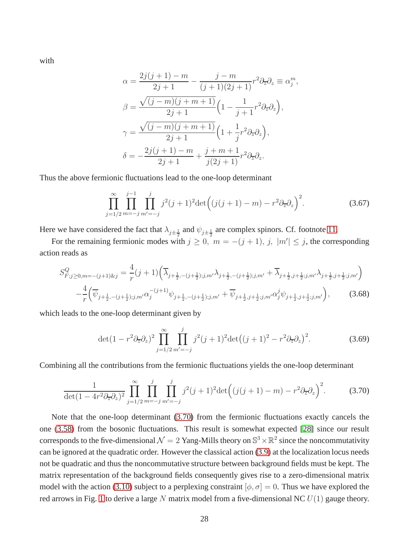with

$$
\alpha = \frac{2j(j+1) - m}{2j+1} - \frac{j - m}{(j+1)(2j+1)} r^2 \partial_z \partial_z \equiv \alpha_j^m,
$$
  

$$
\beta = \frac{\sqrt{(j-m)(j+m+1)}}{2j+1} \left(1 - \frac{1}{j+1} r^2 \partial_z \partial_z\right),
$$
  

$$
\gamma = \frac{\sqrt{(j-m)(j+m+1)}}{2j+1} \left(1 + \frac{1}{j} r^2 \partial_z \partial_z\right),
$$
  

$$
\delta = -\frac{2j(j+1) - m}{2j+1} + \frac{j+m+1}{j(2j+1)} r^2 \partial_z \partial_z.
$$

Thus the above fermionic fluctuations lead to the one-loop determinant

$$
\prod_{j=1/2}^{\infty} \prod_{m=-j}^{j-1} \prod_{m'=-j}^{j} j^2 (j+1)^2 \det \Big( (j(j+1)-m) - r^2 \partial_{\overline{z}} \partial_z \Big)^2.
$$
 (3.67)

Here we have considered the fact that  $\lambda_{j\pm \frac{1}{2}}$  and  $\psi_{j\pm \frac{1}{2}}$  are complex spinors. Cf. footnote [11.](#page-21-0)

For the remaining fermionic modes with  $j \ge 0$ ,  $m = -(j + 1)$ ,  $j$ ,  $|m'| \le j$ , the corresponding action reads as

$$
S_{F;j\geq0,m=-(j+1)kj}^{Q} = \frac{4}{r}(j+1)\left(\overline{\lambda}_{j+\frac{1}{2},-(j+\frac{1}{2});j,m'}\lambda_{j+\frac{1}{2},-(j+\frac{1}{2});j,m'} + \overline{\lambda}_{j+\frac{1}{2},j+\frac{1}{2};j,m'}\lambda_{j+\frac{1}{2},j+\frac{1}{2};j,m'}\right) -\frac{4}{r}\left(\overline{\psi}_{j+\frac{1}{2},-(j+\frac{1}{2});j,m'}\alpha_{j}^{-(j+1)}\psi_{j+\frac{1}{2},-(j+\frac{1}{2});j,m'} + \overline{\psi}_{j+\frac{1}{2},j+\frac{1}{2};j,m'}\alpha_{j}^{j}\psi_{j+\frac{1}{2},j+\frac{1}{2};j,m'}\right),
$$
(3.68)

which leads to the one-loop determinant given by

$$
\det(1 - r^2 \partial_{\overline{z}} \partial_z)^2 \prod_{j=1/2}^{\infty} \prod_{m'=-j}^{j} j^2 (j+1)^2 \det((j+1)^2 - r^2 \partial_{\overline{z}} \partial_z)^2.
$$
 (3.69)

Combining all the contributions from the fermionic fluctuations yields the one-loop determinant

<span id="page-28-0"></span>
$$
\frac{1}{\det(1 - 4r^2 \partial_{\overline{z}} \partial_z)^2} \prod_{j=1/2}^{\infty} \prod_{m=-j}^j \prod_{m'=-j}^j j^2 (j+1)^2 \det\left( (j(j+1) - m) - r^2 \partial_{\overline{z}} \partial_z \right)^2.
$$
 (3.70)

Note that the one-loop determinant [\(3.70\)](#page-28-0) from the fermionic fluctuations exactly cancels the one [\(3.58\)](#page-25-1) from the bosonic fluctuations. This result is somewhat expected [\[28\]](#page-48-2) since our result corresponds to the five-dimensional  $\mathcal{N}=2$  Yang-Mills theory on  $\mathbb{S}^3\times\mathbb{R}^2$  since the noncommutativity can be ignored at the quadratic order. However the classical action [\(3.9\)](#page-16-3) at the localization locus needs not be quadratic and thus the noncommutative structure between background fields must be kept. The matrix representation of the background fields consequently gives rise to a zero-dimensional matrix model with the action [\(3.10\)](#page-16-5) subject to a perplexing constraint  $[\phi, \sigma] = 0$ . Thus we have explored the red arrows in Fig. [1](#page-5-1) to derive a large N matrix model from a five-dimensional NC  $U(1)$  gauge theory.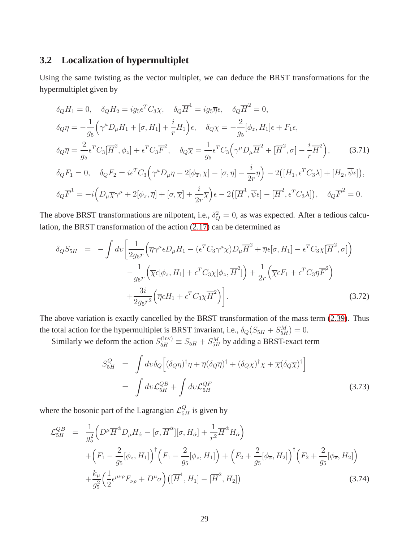#### **3.2 Localization of hypermultiplet**

Using the same twisting as the vector multiplet, we can deduce the BRST transformations for the hypermultiplet given by

$$
\delta_Q H_1 = 0, \quad \delta_Q H_2 = ig_5 \epsilon^T C_3 \chi, \quad \delta_Q \overline{H}^1 = ig_5 \overline{\eta} \epsilon, \quad \delta_Q \overline{H}^2 = 0,
$$
  
\n
$$
\delta_Q \eta = -\frac{1}{g_5} \Big( \gamma^\mu D_\mu H_1 + [\sigma, H_1] + \frac{i}{r} H_1 \Big) \epsilon, \quad \delta_Q \chi = -\frac{2}{g_5} [\phi_z, H_1] \epsilon + F_1 \epsilon,
$$
  
\n
$$
\delta_Q \overline{\eta} = \frac{2}{g_5} \epsilon^T C_3 [\overline{H}^2, \phi_z] + \epsilon^T C_3 \overline{F}^2, \quad \delta_Q \overline{\chi} = \frac{1}{g_5} \epsilon^T C_3 \Big( \gamma^\mu D_\mu \overline{H}^2 + [\overline{H}^2, \sigma] - \frac{i}{r} \overline{H}^2 \Big), \tag{3.71}
$$
  
\n
$$
\delta_Q F_1 = 0, \quad \delta_Q F_2 = i \epsilon^T C_3 \Big( \gamma^\mu D_\mu \eta - 2[\phi_{\overline{z}}, \chi] - [\sigma, \eta] - \frac{i}{2r} \eta \Big) - 2([H_1, \epsilon^T C_3 \lambda] + [H_2, \overline{\psi} \epsilon]),
$$
  
\n
$$
\delta_Q \overline{F}^1 = -i \Big( D_\mu \overline{\chi} \gamma^\mu + 2[\phi_{\overline{z}}, \overline{\eta}] + [\sigma, \overline{\chi}] + \frac{i}{2r} \overline{\chi} \Big) \epsilon - 2([\overline{H}^1, \overline{\psi} \epsilon] - [\overline{H}^2, \epsilon^T C_3 \lambda]), \quad \delta_Q \overline{F}^2 = 0.
$$

The above BRST transformations are nilpotent, i.e.,  $\delta_Q^2 = 0$ , as was expected. After a tedious calculation, the BRST transformation of the action [\(2.17\)](#page-10-0) can be determined as

$$
\delta_Q S_{5H} = -\int dv \left[ \frac{1}{2g_{5}r} \left( \overline{\eta} \gamma^\mu \epsilon D_\mu H_1 - (\epsilon^T C_3 \gamma^\mu \chi) D_\mu \overline{H}^2 + \overline{\eta} \epsilon [\sigma, H_1] - \epsilon^T C_3 \chi [\overline{H}^2, \sigma] \right) - \frac{1}{g_{5}r} \left( \overline{\chi} \epsilon [\phi_z, H_1] + \epsilon^T C_3 \chi [\phi_z, \overline{H}^2] \right) + \frac{1}{2r} \left( \overline{\chi} \epsilon F_1 + \epsilon^T C_3 \eta \overline{F}^2 \right) + \frac{3i}{2g_{5}r^2} \left( \overline{\eta} \epsilon H_1 + \epsilon^T C_3 \chi \overline{H}^2 \right).
$$
\n(3.72)

The above variation is exactly cancelled by the BRST transformation of the mass term [\(2.39\)](#page-14-1). Thus the total action for the hypermultiplet is BRST invariant, i.e.,  $\delta_Q(S_{5H} + S_{5H}^M) = 0$ .

Similarly we deform the action  $S_{5H}^{(\text{inv})} \equiv S_{5H} + S_{5H}^M$  by adding a BRST-exact term

<span id="page-29-0"></span>
$$
S_{5H}^{Q} = \int dv \delta_{Q} \left[ (\delta_{Q} \eta)^{\dagger} \eta + \overline{\eta} (\delta_{Q} \overline{\eta})^{\dagger} + (\delta_{Q} \chi)^{\dagger} \chi + \overline{\chi} (\delta_{Q} \overline{\chi})^{\dagger} \right]
$$
  

$$
= \int dv \mathcal{L}_{5H}^{QB} + \int dv \mathcal{L}_{5H}^{QF}
$$
(3.73)

where the bosonic part of the Lagrangian  $\mathcal{L}_{5H}^Q$  is given by

<span id="page-29-1"></span>
$$
\mathcal{L}_{5H}^{QB} = \frac{1}{g_5^2} \Big( D^{\mu} \overline{H}^{\dot{\alpha}} D_{\mu} H_{\dot{\alpha}} - [\sigma, \overline{H}^{\dot{\alpha}}] [\sigma, H_{\dot{\alpha}}] + \frac{1}{r^2} \overline{H}^{\dot{\alpha}} H_{\dot{\alpha}} \Big) \n+ \Big( F_1 - \frac{2}{g_5} [\phi_z, H_1] \Big)^{\dagger} \Big( F_1 - \frac{2}{g_5} [\phi_z, H_1] \Big) + \Big( F_2 + \frac{2}{g_5} [\phi_{\overline{z}}, H_2] \Big)^{\dagger} \Big( F_2 + \frac{2}{g_5} [\phi_{\overline{z}}, H_2] \Big) \n+ \frac{k_{\mu}}{g_5^2} \Big( \frac{1}{2} \epsilon^{\mu \nu \rho} F_{\nu \rho} + D^{\mu} \sigma \Big) \Big( [\overline{H}^1, H_1] - [\overline{H}^2, H_2] \Big)
$$
\n(3.74)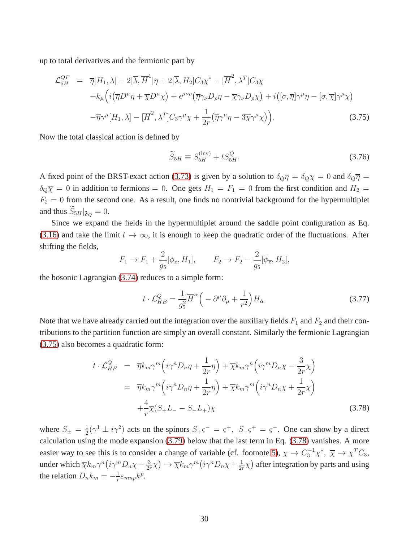up to total derivatives and the fermionic part by

<span id="page-30-0"></span>
$$
\mathcal{L}_{5H}^{QF} = \overline{\eta}[H_1, \lambda] - 2[\overline{\lambda}, \overline{H}^1] \eta + 2[\overline{\lambda}, H_2] C_3 \chi^* - [\overline{H}^2, \lambda^T] C_3 \chi
$$
  
+  $k_\mu \Big( i (\overline{\eta} D^\mu \eta + \overline{\chi} D^\mu \chi) + \epsilon^{\mu\nu\rho} (\overline{\eta} \gamma_\nu D_\rho \eta - \overline{\chi} \gamma_\nu D_\rho \chi) + i \Big( [\sigma, \overline{\eta}] \gamma^\mu \eta - [\sigma, \overline{\chi}] \gamma^\mu \chi \Big)$   
-  $\overline{\eta} \gamma^\mu [H_1, \lambda] - [\overline{H}^2, \lambda^T] C_3 \gamma^\mu \chi + \frac{1}{2r} (\overline{\eta} \gamma^\mu \eta - 3\overline{\chi} \gamma^\mu \chi) \Big).$  (3.75)

Now the total classical action is defined by

<span id="page-30-2"></span>
$$
\widetilde{S}_{5H} \equiv S_{5H}^{(\text{inv})} + t S_{5H}^Q. \tag{3.76}
$$

A fixed point of the BRST-exact action [\(3.73\)](#page-29-0) is given by a solution to  $\delta_{Q}\eta = \delta_{Q}\chi = 0$  and  $\delta_{Q}\overline{\eta} =$  $\delta_{\mathcal{Q}}\overline{\chi} = 0$  in addition to fermions = 0. One gets  $H_1 = F_1 = 0$  from the first condition and  $H_2 =$  $F_2 = 0$  from the second one. As a result, one finds no nontrivial background for the hypermultiplet and thus  $\widetilde{S}_{5H}|_{\mathfrak{F}_Q} = 0.$ 

Since we expand the fields in the hypermultiplet around the saddle point configuration as Eq. [\(3.16\)](#page-17-2) and take the limit  $t \to \infty$ , it is enough to keep the quadratic order of the fluctuations. After shifting the fields,

$$
F_1 \to F_1 + \frac{2}{g_5} [\phi_z, H_1], \qquad F_2 \to F_2 - \frac{2}{g_5} [\phi_{\overline{z}}, H_2],
$$

the bosonic Lagrangian [\(3.74\)](#page-29-1) reduces to a simple form:

$$
t \cdot \mathcal{L}_{HB}^Q = \frac{1}{g_5^2} \overline{H}^{\dot{\alpha}} \left( -\partial^{\mu} \partial_{\mu} + \frac{1}{r^2} \right) H_{\dot{\alpha}}.
$$
 (3.77)

Note that we have already carried out the integration over the auxiliary fields  $F_1$  and  $F_2$  and their contributions to the partition function are simply an overall constant. Similarly the fermionic Lagrangian [\(3.75\)](#page-30-0) also becomes a quadratic form:

<span id="page-30-1"></span>
$$
t \cdot \mathcal{L}_{HF}^{Q} = \overline{\eta} k_m \gamma^m \left( i \gamma^n D_n \eta + \frac{1}{2r} \eta \right) + \overline{\chi} k_m \gamma^n \left( i \gamma^m D_n \chi - \frac{3}{2r} \chi \right)
$$
  

$$
= \overline{\eta} k_m \gamma^m \left( i \gamma^n D_n \eta + \frac{1}{2r} \eta \right) + \overline{\chi} k_m \gamma^m \left( i \gamma^n D_n \chi + \frac{1}{2r} \chi \right)
$$
  

$$
+ \frac{4}{r} \overline{\chi} (S_+ L_- - S_- L_+) \chi
$$
(3.78)

where  $S_{\pm} = \frac{1}{2}$  $\frac{1}{2}(\gamma^1 \pm i\gamma^2)$  acts on the spinors  $S_+\varsigma^- = \varsigma^+$ ,  $S_-\varsigma^+ = \varsigma^-$ . One can show by a direct calculation using the mode expansion [\(3.79\)](#page-31-0) below that the last term in Eq. [\(3.78\)](#page-30-1) vanishes. A more easier way to see this is to consider a change of variable (cf. footnote [5\)](#page-10-1),  $\chi \to C_3^{-1} \chi^*$ ,  $\overline{\chi} \to \chi^T C_3$ , under which  $\overline{\chi} k_m \gamma^n (i \gamma^m D_n \chi - \frac{3}{2n})$  $\frac{3}{2r}\chi$ )  $\rightarrow \overline{\chi}k_m\gamma^m(i\gamma^nD_n\chi+\frac{1}{2n}$  $\frac{1}{2r}\chi$ ) after integration by parts and using the relation  $D_n k_m = -\frac{1}{r}$  $\frac{1}{r} \varepsilon_{mnp} k^p$ .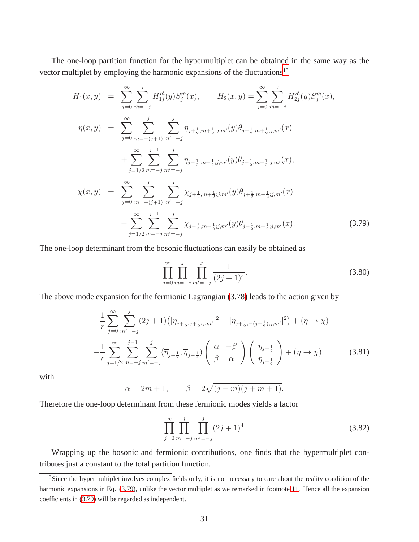The one-loop partition function for the hypermultiplet can be obtained in the same way as the vector multiplet by employing the harmonic expansions of the fluctuations<sup>[13](#page-31-1)</sup>

<span id="page-31-0"></span>
$$
H_{1}(x,y) = \sum_{j=0}^{\infty} \sum_{\vec{m}=-j}^{j} H_{1j}^{\vec{m}}(y) S_{j}^{\vec{m}}(x), \qquad H_{2}(x,y) = \sum_{j=0}^{\infty} \sum_{\vec{m}=-j}^{j} H_{2j}^{\vec{m}}(y) S_{j}^{\vec{m}}(x),
$$
  
\n
$$
\eta(x,y) = \sum_{j=0}^{\infty} \sum_{m=-j}^{j} \sum_{m'=-j}^{j} \eta_{j+\frac{1}{2},m+\frac{1}{2};j,m'}(y) \theta_{j+\frac{1}{2},m+\frac{1}{2};j,m'}(x)
$$
  
\n
$$
+ \sum_{j=1/2}^{\infty} \sum_{m=-j}^{j-1} \sum_{m'=-j}^{j} \eta_{j-\frac{1}{2},m+\frac{1}{2};j,m'}(y) \theta_{j-\frac{1}{2},m+\frac{1}{2};j,m'}(x),
$$
  
\n
$$
\chi(x,y) = \sum_{j=0}^{\infty} \sum_{m=-(j+1)}^{j} \sum_{m'=-j}^{j} \chi_{j+\frac{1}{2},m+\frac{1}{2};j,m'}(y) \theta_{j+\frac{1}{2},m+\frac{1}{2};j,m'}(x)
$$
  
\n
$$
+ \sum_{j=1/2}^{\infty} \sum_{m=-j}^{j-1} \sum_{m'=-j}^{j} \chi_{j-\frac{1}{2},m+\frac{1}{2};j,m'}(y) \theta_{j-\frac{1}{2},m+\frac{1}{2};j,m'}(x).
$$
(3.79)

The one-loop determinant from the bosonic fluctuations can easily be obtained as

<span id="page-31-2"></span>
$$
\prod_{j=0}^{\infty} \prod_{m=-j}^{j} \prod_{m'=-j}^{j} \frac{1}{(2j+1)^4}.
$$
\n(3.80)

The above mode expansion for the fermionic Lagrangian [\(3.78\)](#page-30-1) leads to the action given by

$$
-\frac{1}{r}\sum_{j=0}^{\infty}\sum_{m'=-j}^{j} (2j+1)\left(|\eta_{j+\frac{1}{2},j+\frac{1}{2};j,m'}|^2-|\eta_{j+\frac{1}{2},-(j+\frac{1}{2});j,m'}|^2\right)+(\eta\to\chi)
$$
  

$$
-\frac{1}{r}\sum_{j=1/2}^{\infty}\sum_{m=-j}^{j-1}\sum_{m'=-j}^{j} (\overline{\eta}_{j+\frac{1}{2}},\overline{\eta}_{j-\frac{1}{2}})\left(\begin{array}{cc} \alpha & -\beta \\ \beta & \alpha \end{array}\right)\left(\begin{array}{c} \eta_{j+\frac{1}{2}} \\ \eta_{j-\frac{1}{2}} \end{array}\right)+(\eta\to\chi)
$$
(3.81)

with

$$
\alpha = 2m + 1,
$$
\n $\beta = 2\sqrt{(j-m)(j+m+1)}.$ 

Therefore the one-loop determinant from these fermionic modes yields a factor

<span id="page-31-3"></span>
$$
\prod_{j=0}^{\infty} \prod_{m=-j}^{j} \prod_{m'=-j}^{j} (2j+1)^{4}.
$$
\n(3.82)

Wrapping up the bosonic and fermionic contributions, one finds that the hypermultiplet contributes just a constant to the total partition function.

<span id="page-31-1"></span><sup>&</sup>lt;sup>13</sup>Since the hypermultiplet involves complex fields only, it is not necessary to care about the reality condition of the harmonic expansions in Eq. [\(3.79\)](#page-31-0), unlike the vector multiplet as we remarked in footnote [11.](#page-21-0) Hence all the expansion coefficients in [\(3.79\)](#page-31-0) will be regarded as independent.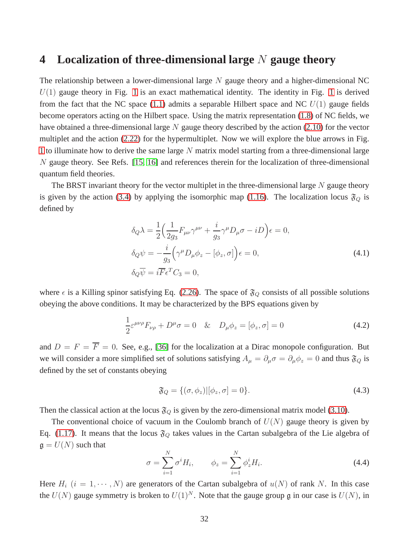### **4 Localization of three-dimensional large** N **gauge theory**

The relationship between a lower-dimensional large  $N$  gauge theory and a higher-dimensional NC  $U(1)$  gauge theory in Fig. [1](#page-5-1) is an exact mathematical identity. The identity in Fig. 1 is derived from the fact that the NC space [\(1.1\)](#page-1-0) admits a separable Hilbert space and NC  $U(1)$  gauge fields become operators acting on the Hilbert space. Using the matrix representation [\(1.8\)](#page-2-2) of NC fields, we have obtained a three-dimensional large  $N$  gauge theory described by the action [\(2.10\)](#page-8-1) for the vector multiplet and the action [\(2.22\)](#page-10-4) for the hypermultiplet. Now we will explore the blue arrows in Fig. [1](#page-5-1) to illuminate how to derive the same large  $N$  matrix model starting from a three-dimensional large  $N$  gauge theory. See Refs. [\[15,](#page-47-9) [16\]](#page-47-10) and references therein for the localization of three-dimensional quantum field theories.

The BRST invariant theory for the vector multiplet in the three-dimensional large  $N$  gauge theory is given by the action [\(3.4\)](#page-15-2) by applying the isomorphic map [\(1.16\)](#page-4-3). The localization locus  $\mathfrak{F}_Q$  is defined by

$$
\delta_Q \lambda = \frac{1}{2} \Big( \frac{1}{2g_3} F_{\mu\nu} \gamma^{\mu\nu} + \frac{i}{g_3} \gamma^{\mu} D_{\mu} \sigma - i D \Big) \epsilon = 0,
$$
  
\n
$$
\delta_Q \psi = -\frac{i}{g_3} \Big( \gamma^{\mu} D_{\mu} \phi_z - [\phi_z, \sigma] \Big) \epsilon = 0,
$$
  
\n
$$
\delta_Q \overline{\psi} = i \overline{F} \epsilon^T C_3 = 0,
$$
\n(4.1)

where  $\epsilon$  is a Killing spinor satisfying Eq. [\(2.26\)](#page-12-3). The space of  $\mathfrak{F}_Q$  consists of all possible solutions obeying the above conditions. It may be characterized by the BPS equations given by

<span id="page-32-2"></span>
$$
\frac{1}{2}\varepsilon^{\mu\nu\rho}F_{\nu\rho} + D^{\mu}\sigma = 0 \quad \& \quad D_{\mu}\phi_{z} = [\phi_{z}, \sigma] = 0 \tag{4.2}
$$

and  $D = F = \overline{F} = 0$ . See, e.g., [\[36\]](#page-49-2) for the localization at a Dirac monopole configuration. But we will consider a more simplified set of solutions satisfying  $A_\mu = \partial_\mu \sigma = \partial_\mu \phi_z = 0$  and thus  $\mathfrak{F}_Q$  is defined by the set of constants obeying

<span id="page-32-1"></span>
$$
\mathfrak{F}_Q = \{ (\sigma, \phi_z) | [\phi_z, \sigma] = 0 \}.
$$
\n(4.3)

Then the classical action at the locus  $\mathfrak{F}_Q$  is given by the zero-dimensional matrix model [\(3.10\)](#page-16-5).

The conventional choice of vacuum in the Coulomb branch of  $U(N)$  gauge theory is given by Eq. [\(1.17\)](#page-4-0). It means that the locus  $\mathfrak{F}_Q$  takes values in the Cartan subalgebra of the Lie algebra of  $\mathfrak{g} = U(N)$  such that

<span id="page-32-0"></span>
$$
\sigma = \sum_{i=1}^{N} \sigma^i H_i, \qquad \phi_z = \sum_{i=1}^{N} \phi_z^i H_i.
$$
\n(4.4)

Here  $H_i$   $(i = 1, \dots, N)$  are generators of the Cartan subalgebra of  $u(N)$  of rank N. In this case the  $U(N)$  gauge symmetry is broken to  $U(1)^N$ . Note that the gauge group g in our case is  $U(N)$ , in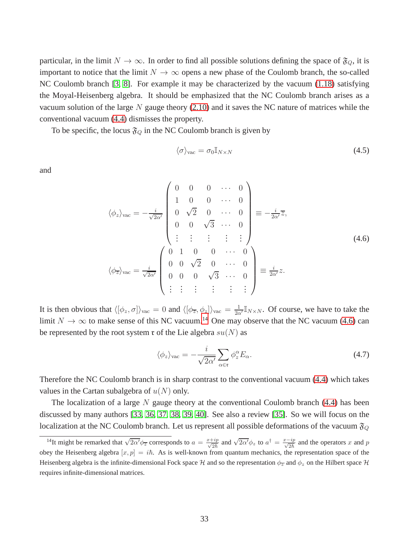particular, in the limit  $N \to \infty$ . In order to find all possible solutions defining the space of  $\mathfrak{F}_Q$ , it is important to notice that the limit  $N \to \infty$  opens a new phase of the Coulomb branch, the so-called NC Coulomb branch [\[3,](#page-47-2) [8\]](#page-47-7). For example it may be characterized by the vacuum [\(1.18\)](#page-4-1) satisfying the Moyal-Heisenberg algebra. It should be emphasized that the NC Coulomb branch arises as a vacuum solution of the large N gauge theory  $(2.10)$  and it saves the NC nature of matrices while the conventional vacuum [\(4.4\)](#page-32-0) dismisses the property.

To be specific, the locus  $\mathfrak{F}_Q$  in the NC Coulomb branch is given by

$$
\langle \sigma \rangle_{\text{vac}} = \sigma_0 \mathbb{I}_{N \times N} \tag{4.5}
$$

and

<span id="page-33-1"></span>
$$
\langle \phi_z \rangle_{\text{vac}} = -\frac{i}{\sqrt{2\alpha'}} \begin{pmatrix} 0 & 0 & 0 & \cdots & 0 \\ 1 & 0 & 0 & \cdots & 0 \\ 0 & \sqrt{2} & 0 & \cdots & 0 \\ 0 & 0 & \sqrt{3} & \cdots & 0 \\ \vdots & \vdots & \vdots & \vdots & \vdots \\ 0 & 1 & 0 & 0 & \cdots & 0 \\ \vdots & \vdots & \vdots & \vdots & \vdots \end{pmatrix} \equiv -\frac{i}{2\alpha'}\overline{z},
$$
\n
$$
\langle \phi_{\overline{z}} \rangle_{\text{vac}} = \frac{i}{\sqrt{2\alpha'}} \begin{pmatrix} 0 & 1 & 0 & 0 & \cdots & 0 \\ 0 & 0 & \sqrt{2} & 0 & \cdots & 0 \\ 0 & 0 & 0 & \sqrt{3} & \cdots & 0 \\ \vdots & \vdots & \vdots & \vdots & \vdots & \vdots \end{pmatrix} \equiv \frac{i}{2\alpha'}z.
$$
\n(4.6)

It is then obvious that  $\langle [\phi_z, \sigma] \rangle_{\text{vac}} = 0$  and  $\langle [\phi_{\overline{z}}, \phi_z] \rangle_{\text{vac}} = \frac{1}{2\alpha'} \mathbb{I}_{N \times N}$ . Of course, we have to take the limit  $N \to \infty$  to make sense of this NC vacuum.<sup>[14](#page-33-0)</sup> One may observe that the NC vacuum [\(4.6\)](#page-33-1) can be represented by the root system  $\mathfrak r$  of the Lie algebra  $su(N)$  as

$$
\langle \phi_z \rangle_{\text{vac}} = -\frac{i}{\sqrt{2\alpha'}} \sum_{\alpha \in \mathfrak{r}} \phi_z^{\alpha} E_{\alpha}.
$$
 (4.7)

Therefore the NC Coulomb branch is in sharp contrast to the conventional vacuum [\(4.4\)](#page-32-0) which takes values in the Cartan subalgebra of  $u(N)$  only.

The localization of a large  $N$  gauge theory at the conventional Coulomb branch [\(4.4\)](#page-32-0) has been discussed by many authors [\[33,](#page-48-9) [36,](#page-49-2) [37,](#page-49-3) [38,](#page-49-4) [39,](#page-49-5) [40\]](#page-49-6). See also a review [\[35\]](#page-49-1). So we will focus on the localization at the NC Coulomb branch. Let us represent all possible deformations of the vacuum  $\mathfrak{F}_Q$ 

<span id="page-33-0"></span><sup>&</sup>lt;sup>14</sup>It might be remarked that  $\sqrt{2\alpha' \phi_{\overline{z}}}$  corresponds to  $a = \frac{x + ip}{\sqrt{2\pi}}$  $\frac{-ip}{2\hbar}$  and  $\sqrt{2\alpha'}\phi_z$  to  $a^{\dagger} = \frac{x-ip}{\sqrt{2\hbar}}$  and the operators x and p obey the Heisenberg algebra  $[x, p] = i\hbar$ . As is well-known from quantum mechanics, the representation space of the Heisenberg algebra is the infinite-dimensional Fock space H and so the representation  $\phi_{\overline{z}}$  and  $\phi_z$  on the Hilbert space H requires infinite-dimensional matrices.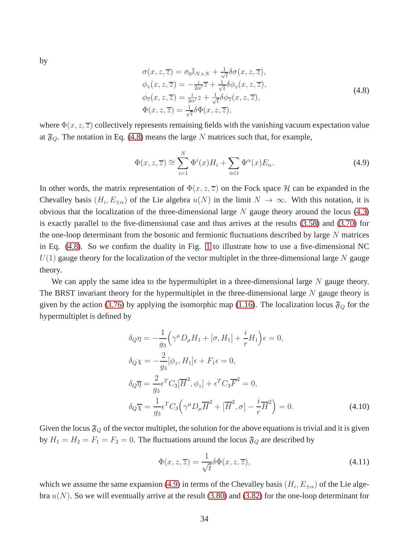by

<span id="page-34-0"></span>
$$
\sigma(x, z, \overline{z}) = \sigma_0 \mathbb{I}_{N \times N} + \frac{1}{\sqrt{t}} \delta \sigma(x, z, \overline{z}),
$$
  
\n
$$
\phi_z(x, z, \overline{z}) = -\frac{i}{2\alpha'} \overline{z} + \frac{1}{\sqrt{t}} \delta \phi_z(x, z, \overline{z}),
$$
  
\n
$$
\phi_{\overline{z}}(x, z, \overline{z}) = \frac{i}{2\alpha'} z + \frac{1}{\sqrt{t}} \delta \phi_{\overline{z}}(x, z, \overline{z}),
$$
  
\n
$$
\Phi(x, z, \overline{z}) = \frac{1}{\sqrt{t}} \delta \Phi(x, z, \overline{z}),
$$
\n(4.8)

where  $\Phi(x, z, \overline{z})$  collectively represents remaining fields with the vanishing vacuum expectation value at  $\mathfrak{F}_Q$ . The notation in Eq. [\(4.8\)](#page-34-0) means the large N matrices such that, for example,

<span id="page-34-1"></span>
$$
\Phi(x, z, \overline{z}) \cong \sum_{i=1}^{N} \Phi^{i}(x) H_{i} + \sum_{\alpha \in \mathfrak{r}} \Phi^{\alpha}(x) E_{\alpha}.
$$
\n(4.9)

In other words, the matrix representation of  $\Phi(x, z, \overline{z})$  on the Fock space H can be expanded in the Chevalley basis  $(H_i, E_{\pm \alpha})$  of the Lie algebra  $u(N)$  in the limit  $N \to \infty$ . With this notation, it is obvious that the localization of the three-dimensional large  $N$  gauge theory around the locus  $(4.3)$ is exactly parallel to the five-dimensional case and thus arrives at the results [\(3.58\)](#page-25-1) and [\(3.70\)](#page-28-0) for the one-loop determinant from the bosonic and fermionic fluctuations described by large  $N$  matrices in Eq. [\(4.8\)](#page-34-0). So we confirm the duality in Fig. [1](#page-5-1) to illustrate how to use a five-dimensional NC  $U(1)$  gauge theory for the localization of the vector multiplet in the three-dimensional large N gauge theory.

We can apply the same idea to the hypermultiplet in a three-dimensional large  $N$  gauge theory. The BRST invariant theory for the hypermultiplet in the three-dimensional large  $N$  gauge theory is given by the action [\(3.76\)](#page-30-2) by applying the isomorphic map [\(1.16\)](#page-4-3). The localization locus  $\mathfrak{F}_Q$  for the hypermultiplet is defined by

$$
\delta_Q \eta = -\frac{1}{g_3} \left( \gamma^\mu D_\mu H_1 + [\sigma, H_1] + \frac{i}{r} H_1 \right) \epsilon = 0,
$$
  
\n
$$
\delta_Q \chi = -\frac{2}{g_3} [\phi_z, H_1] \epsilon + F_1 \epsilon = 0,
$$
  
\n
$$
\delta_Q \overline{\eta} = \frac{2}{g_3} \epsilon^T C_3 [\overline{H}^2, \phi_z] + \epsilon^T C_3 \overline{F}^2 = 0,
$$
  
\n
$$
\delta_Q \overline{\chi} = \frac{1}{g_3} \epsilon^T C_3 \left( \gamma^\mu D_\mu \overline{H}^2 + [\overline{H}^2, \sigma] - \frac{i}{r} \overline{H}^2 \right) = 0.
$$
\n(4.10)

Given the locus  $\mathfrak{F}_Q$  of the vector multiplet, the solution for the above equations is trivial and it is given by  $H_1 = H_2 = F_1 = F_2 = 0$ . The fluctuations around the locus  $\mathfrak{F}_Q$  are described by

$$
\Phi(x, z, \overline{z}) = \frac{1}{\sqrt{t}} \delta \Phi(x, z, \overline{z}),\tag{4.11}
$$

which we assume the same expansion [\(4.9\)](#page-34-1) in terms of the Chevalley basis  $(H_i, E_{\pm \alpha})$  of the Lie algebra  $u(N)$ . So we will eventually arrive at the result [\(3.80\)](#page-31-2) and [\(3.82\)](#page-31-3) for the one-loop determinant for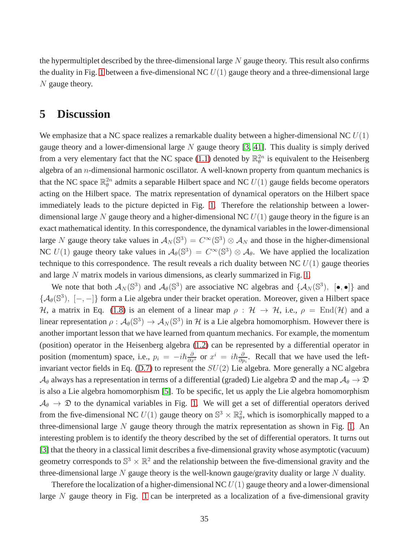the hypermultiplet described by the three-dimensional large  $N$  gauge theory. This result also confirms the duality in Fig. [1](#page-5-1) between a five-dimensional NC  $U(1)$  gauge theory and a three-dimensional large N gauge theory.

# **5 Discussion**

We emphasize that a NC space realizes a remarkable duality between a higher-dimensional NC  $U(1)$ gauge theory and a lower-dimensional large  $N$  gauge theory [\[3,](#page-47-2) [41\]](#page-49-7). This duality is simply derived from a very elementary fact that the NC space [\(1.1\)](#page-1-0) denoted by  $\mathbb{R}_{\theta}^{2n}$  is equivalent to the Heisenberg algebra of an  $n$ -dimensional harmonic oscillator. A well-known property from quantum mechanics is that the NC space  $\mathbb{R}_{\theta}^{2n}$  admits a separable Hilbert space and NC  $U(1)$  gauge fields become operators acting on the Hilbert space. The matrix representation of dynamical operators on the Hilbert space immediately leads to the picture depicted in Fig. [1.](#page-5-1) Therefore the relationship between a lowerdimensional large N gauge theory and a higher-dimensional NC  $U(1)$  gauge theory in the figure is an exact mathematical identity. In this correspondence, the dynamical variables in the lower-dimensional large N gauge theory take values in  $A_N(\mathbb{S}^3) = C^\infty(\mathbb{S}^3) \otimes A_N$  and those in the higher-dimensional NC  $U(1)$  gauge theory take values in  $\mathcal{A}_{\theta}(\mathbb{S}^3) = C^{\infty}(\mathbb{S}^3) \otimes \mathcal{A}_{\theta}$ . We have applied the localization technique to this correspondence. The result reveals a rich duality between NC  $U(1)$  gauge theories and large N matrix models in various dimensions, as clearly summarized in Fig. [1.](#page-5-1)

We note that both  $\mathcal{A}_N(\mathbb{S}^3)$  and  $\mathcal{A}_\theta(\mathbb{S}^3)$  are associative NC algebras and  $\{\mathcal{A}_N(\mathbb{S}^3), [\bullet,\bullet]\}$  and  $\{\mathcal{A}_{\theta}(\mathbb{S}^3), [-,-]\}$  form a Lie algebra under their bracket operation. Moreover, given a Hilbert space H, a matrix in Eq. [\(1.8\)](#page-2-2) is an element of a linear map  $\rho : H \to H$ , i.e.,  $\rho = \text{End}(\mathcal{H})$  and a linear representation  $\rho: \mathcal{A}_{\theta}(\mathbb{S}^3) \to \mathcal{A}_N(\mathbb{S}^3)$  in H is a Lie algebra homomorphism. However there is another important lesson that we have learned from quantum mechanics. For example, the momentum (position) operator in the Heisenberg algebra [\(1.2\)](#page-1-1) can be represented by a differential operator in position (momentum) space, i.e.,  $p_i = -i\hbar \frac{\partial}{\partial x^i}$  or  $x^i = i\hbar \frac{\partial}{\partial p^i}$  $\frac{\partial}{\partial p_i}$ . Recall that we have used the left-invariant vector fields in Eq. [\(D.7\)](#page-43-0) to represent the  $SU(2)$  Lie algebra. More generally a NC algebra  $\mathcal{A}_{\theta}$  always has a representation in terms of a differential (graded) Lie algebra  $\mathcal{D}$  and the map  $\mathcal{A}_{\theta} \to \mathcal{D}$ is also a Lie algebra homomorphism [\[5\]](#page-47-4). To be specific, let us apply the Lie algebra homomorphism  $A_{\theta} \rightarrow \mathfrak{D}$  to the dynamical variables in Fig. [1.](#page-5-1) We will get a set of differential operators derived from the five-dimensional NC  $U(1)$  gauge theory on  $\mathbb{S}^3 \times \mathbb{R}^2$ , which is isomorphically mapped to a three-dimensional large  $N$  gauge theory through the matrix representation as shown in Fig. [1.](#page-5-1) An interesting problem is to identify the theory described by the set of differential operators. It turns out [\[3\]](#page-47-2) that the theory in a classical limit describes a five-dimensional gravity whose asymptotic (vacuum) geometry corresponds to  $\mathbb{S}^3 \times \mathbb{R}^2$  and the relationship between the five-dimensional gravity and the three-dimensional large  $N$  gauge theory is the well-known gauge/gravity duality or large  $N$  duality.

Therefore the localization of a higher-dimensional NC  $U(1)$  gauge theory and a lower-dimensional large  $N$  gauge theory in Fig. [1](#page-5-1) can be interpreted as a localization of a five-dimensional gravity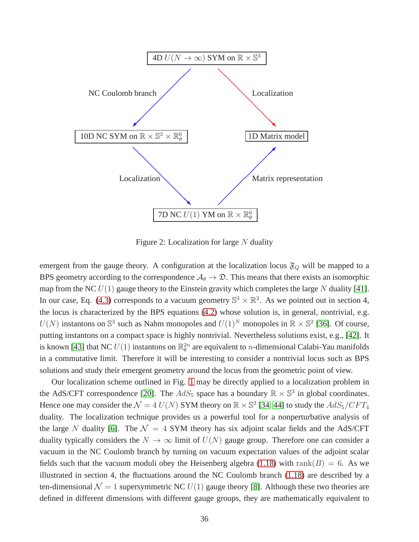

<span id="page-36-0"></span>Figure 2: Localization for large  $N$  duality

emergent from the gauge theory. A configuration at the localization locus  $\mathfrak{F}_Q$  will be mapped to a BPS geometry according to the correspondence  $A_{\theta} \to \mathfrak{D}$ . This means that there exists an isomorphic map from the NC  $U(1)$  gauge theory to the Einstein gravity which completes the large N duality [\[41\]](#page-49-7). In our case, Eq. [\(4.3\)](#page-32-1) corresponds to a vacuum geometry  $\mathbb{S}^3 \times \mathbb{R}^2$ . As we pointed out in section 4, the locus is characterized by the BPS equations [\(4.2\)](#page-32-2) whose solution is, in general, nontrivial, e.g.  $U(N)$  instantons on  $\mathbb{S}^3$  such as Nahm monopoles and  $U(1)^N$  monopoles in  $\mathbb{R} \times \mathbb{S}^2$  [\[36\]](#page-49-2). Of course, putting instantons on a compact space is highly nontrivial. Nevertheless solutions exist, e.g., [\[42\]](#page-49-8). It is known [\[43\]](#page-49-9) that NC  $U(1)$  instantons on  $\mathbb{R}_{\theta}^{2n}$  are equivalent to *n*-dimensional Calabi-Yau manifolds in a commutative limit. Therefore it will be interesting to consider a nontrivial locus such as BPS solutions and study their emergent geometry around the locus from the geometric point of view.

Our localization scheme outlined in Fig. [1](#page-5-1) may be directly applied to a localization problem in the AdS/CFT correspondence [\[20\]](#page-48-10). The  $AdS_5$  space has a boundary  $\mathbb{R} \times \mathbb{S}^3$  in global coordinates. Hence one may consider the  $\mathcal{N} = 4$  U(N) SYM theory on  $\mathbb{R} \times \mathbb{S}^3$  [\[34,](#page-49-0) [44\]](#page-49-10) to study the  $AdS_5/CFT_4$ duality. The localization technique provides us a powerful tool for a nonperturbative analysis of the large N duality [\[6\]](#page-47-5). The  $\mathcal{N} = 4$  SYM theory has six adjoint scalar fields and the AdS/CFT duality typically considers the  $N \to \infty$  limit of  $U(N)$  gauge group. Therefore one can consider a vacuum in the NC Coulomb branch by turning on vacuum expectation values of the adjoint scalar fields such that the vacuum moduli obey the Heisenberg algebra [\(1.18\)](#page-4-1) with rank( $B$ ) = 6. As we illustrated in section 4, the fluctuations around the NC Coulomb branch [\(1.18\)](#page-4-1) are described by a ten-dimensional  $\mathcal{N} = 1$  supersymmetric NC  $U(1)$  gauge theory [\[8\]](#page-47-7). Although these two theories are defined in different dimensions with different gauge groups, they are mathematically equivalent to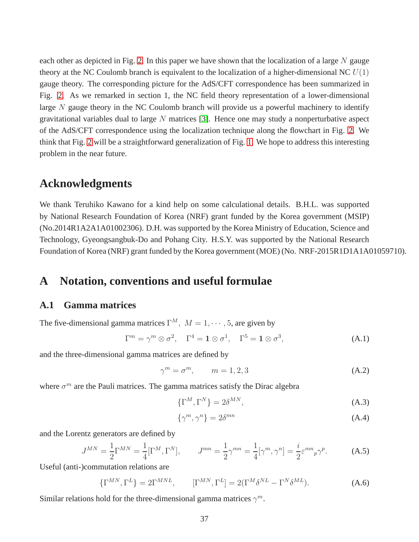each other as depicted in Fig. [2.](#page-36-0) In this paper we have shown that the localization of a large  $N$  gauge theory at the NC Coulomb branch is equivalent to the localization of a higher-dimensional NC  $U(1)$ gauge theory. The corresponding picture for the AdS/CFT correspondence has been summarized in Fig. [2.](#page-36-0) As we remarked in section 1, the NC field theory representation of a lower-dimensional large  $N$  gauge theory in the NC Coulomb branch will provide us a powerful machinery to identify gravitational variables dual to large  $N$  matrices [\[3\]](#page-47-2). Hence one may study a nonperturbative aspect of the AdS/CFT correspondence using the localization technique along the flowchart in Fig. [2.](#page-36-0) We think that Fig. [2](#page-36-0) will be a straightforward generalization of Fig. [1.](#page-5-1) We hope to address this interesting problem in the near future.

### **Acknowledgments**

We thank Teruhiko Kawano for a kind help on some calculational details. B.H.L. was supported by National Research Foundation of Korea (NRF) grant funded by the Korea government (MSIP) (No.2014R1A2A1A01002306). D.H. was supported by the Korea Ministry of Education, Science and Technology, Gyeongsangbuk-Do and Pohang City. H.S.Y. was supported by the National Research Foundation of Korea (NRF) grant funded by the Korea government (MOE) (No. NRF-2015R1D1A1A01059710).

### **A Notation, conventions and useful formulae**

#### **A.1 Gamma matrices**

The five-dimensional gamma matrices  $\Gamma^M$ ,  $M = 1, \cdots, 5$ , are given by

$$
\Gamma^m = \gamma^m \otimes \sigma^2, \quad \Gamma^4 = \mathbf{1} \otimes \sigma^1, \quad \Gamma^5 = \mathbf{1} \otimes \sigma^3,
$$
 (A.1)

and the three-dimensional gamma matrices are defined by

$$
\gamma^m = \sigma^m, \qquad m = 1, 2, 3 \tag{A.2}
$$

where  $\sigma^m$  are the Pauli matrices. The gamma matrices satisfy the Dirac algebra

$$
\{\Gamma^M, \Gamma^N\} = 2\delta^{MN},\tag{A.3}
$$

$$
\{\gamma^m, \gamma^n\} = 2\delta^{mn} \tag{A.4}
$$

and the Lorentz generators are defined by

$$
J^{MN} = \frac{1}{2} \Gamma^{MN} = \frac{1}{4} [\Gamma^M, \Gamma^N], \qquad J^{mn} = \frac{1}{2} \gamma^{mn} = \frac{1}{4} [\gamma^m, \gamma^n] = \frac{i}{2} \varepsilon^{mn}{}_p \gamma^p. \tag{A.5}
$$

Useful (anti-)commutation relations are

$$
\{\Gamma^{MN}, \Gamma^L\} = 2\Gamma^{MNL}, \qquad [\Gamma^{MN}, \Gamma^L] = 2(\Gamma^M \delta^{NL} - \Gamma^N \delta^{ML}). \tag{A.6}
$$

Similar relations hold for the three-dimensional gamma matrices  $\gamma^m$ .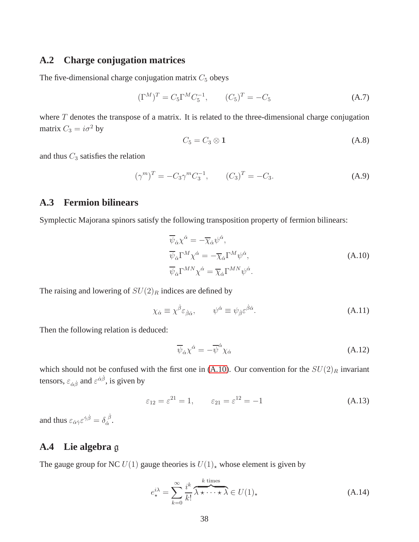#### **A.2 Charge conjugation matrices**

The five-dimensional charge conjugation matrix  $C_5$  obeys

$$
(\Gamma^M)^T = C_5 \Gamma^M C_5^{-1}, \qquad (C_5)^T = -C_5 \tag{A.7}
$$

where  $T$  denotes the transpose of a matrix. It is related to the three-dimensional charge conjugation matrix  $C_3 = i\sigma^2$  by

$$
C_5 = C_3 \otimes \mathbf{1} \tag{A.8}
$$

and thus  $C_3$  satisfies the relation

$$
(\gamma^m)^T = -C_3 \gamma^m C_3^{-1}, \qquad (C_3)^T = -C_3. \tag{A.9}
$$

#### **A.3 Fermion bilinears**

Symplectic Majorana spinors satisfy the following transposition property of fermion bilinears:

<span id="page-38-0"></span>
$$
\overline{\psi}_{\dot{\alpha}} \chi^{\dot{\alpha}} = -\overline{\chi}_{\dot{\alpha}} \psi^{\dot{\alpha}},
$$
\n
$$
\overline{\psi}_{\dot{\alpha}} \Gamma^{M} \chi^{\dot{\alpha}} = -\overline{\chi}_{\dot{\alpha}} \Gamma^{M} \psi^{\dot{\alpha}},
$$
\n
$$
\overline{\psi}_{\dot{\alpha}} \Gamma^{MN} \chi^{\dot{\alpha}} = \overline{\chi}_{\dot{\alpha}} \Gamma^{MN} \psi^{\dot{\alpha}}.
$$
\n(A.10)

The raising and lowering of  $SU(2)_R$  indices are defined by

$$
\chi_{\dot{\alpha}} \equiv \chi^{\dot{\beta}} \varepsilon_{\dot{\beta}\dot{\alpha}}, \qquad \psi^{\dot{\alpha}} \equiv \psi_{\dot{\beta}} \varepsilon^{\dot{\beta}\dot{\alpha}}.
$$
 (A.11)

Then the following relation is deduced:

$$
\overline{\psi}_{\dot{\alpha}} \chi^{\dot{\alpha}} = -\overline{\psi}^{\dot{\alpha}} \chi_{\dot{\alpha}}
$$
\n(A.12)

which should not be confused with the first one in [\(A.10\)](#page-38-0). Our convention for the  $SU(2)_R$  invariant tensors,  $\varepsilon_{\dot{\alpha}\dot{\beta}}$  and  $\varepsilon^{\dot{\alpha}\dot{\beta}}$ , is given by

$$
\varepsilon_{12} = \varepsilon^{21} = 1, \qquad \varepsilon_{21} = \varepsilon^{12} = -1 \tag{A.13}
$$

and thus  $\varepsilon_{\dot{\alpha}\dot{\gamma}}\varepsilon^{\dot{\gamma}\dot{\beta}}=\delta_{\dot{\alpha}}^{\ \dot{\beta}}$  $\frac{\beta}{\alpha}$ .

#### **A.4 Lie algebra** g

The gauge group for NC  $U(1)$  gauge theories is  $U(1)_*$  whose element is given by

$$
e_{\star}^{i\lambda} = \sum_{k=0}^{\infty} \frac{i^k}{k!} \overbrace{\lambda \star \cdots \star \lambda}^{k \text{ times}} \in U(1)_{\star}
$$
 (A.14)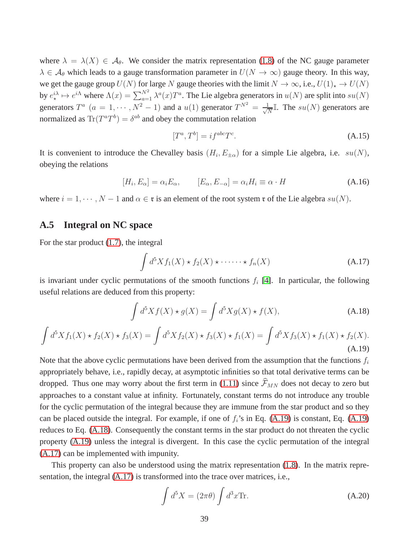where  $\lambda = \lambda(X) \in \mathcal{A}_{\theta}$ . We consider the matrix representation [\(1.8\)](#page-2-2) of the NC gauge parameter  $\lambda \in A_{\theta}$  which leads to a gauge transformation parameter in  $U(N \to \infty)$  gauge theory. In this way, we get the gauge group  $U(N)$  for large N gauge theories with the limit  $N \to \infty$ , i.e.,  $U(1)_* \to U(N)$ by  $e^{i\lambda}_* \mapsto e^{i\Lambda}$  where  $\Lambda(x) = \sum_{a=1}^{N^2} \lambda^a(x) T^a$ . The Lie algebra generators in  $u(N)$  are split into  $su(N)$ generators  $T^a$   $(a = 1, \dots, N^2 - 1)$  and a  $u(1)$  generator  $T^{N^2} = \frac{1}{\sqrt{N^2}}$  $\frac{1}{N}$ I. The  $su(N)$  generators are normalized as  $\text{Tr}(T^a T^b) = \delta^{ab}$  and obey the commutation relation

$$
[T^a, T^b] = i f^{abc} T^c. \tag{A.15}
$$

It is convenient to introduce the Chevalley basis  $(H_i, E_{\pm \alpha})$  for a simple Lie algebra, i.e.  $su(N)$ , obeying the relations

$$
[H_i, E_{\alpha}] = \alpha_i E_{\alpha}, \qquad [E_{\alpha}, E_{-\alpha}] = \alpha_i H_i \equiv \alpha \cdot H \tag{A.16}
$$

where  $i = 1, \dots, N - 1$  and  $\alpha \in \mathfrak{r}$  is an element of the root system  $\mathfrak{r}$  of the Lie algebra  $su(N)$ .

### **A.5 Integral on NC space**

For the star product [\(1.7\)](#page-2-3), the integral

<span id="page-39-3"></span>
$$
\int d^{5}X f_{1}(X) \star f_{2}(X) \star \cdots \cdots \star f_{n}(X) \tag{A.17}
$$

is invariant under cyclic permutations of the smooth functions  $f_i$  [\[4\]](#page-47-3). In particular, the following useful relations are deduced from this property:

<span id="page-39-0"></span>
$$
\int d^{5}X f(X) \star g(X) = \int d^{5}X g(X) \star f(X), \tag{A.18}
$$

<span id="page-39-1"></span>
$$
\int d^5 X f_1(X) \star f_2(X) \star f_3(X) = \int d^5 X f_2(X) \star f_3(X) \star f_1(X) = \int d^5 X f_3(X) \star f_1(X) \star f_2(X).
$$
\n(A.19)

Note that the above cyclic permutations have been derived from the assumption that the functions  $f_i$ appropriately behave, i.e., rapidly decay, at asymptotic infinities so that total derivative terms can be dropped. Thus one may worry about the first term in [\(1.11\)](#page-3-2) since  $\widehat{\mathcal{F}}_{MN}$  does not decay to zero but approaches to a constant value at infinity. Fortunately, constant terms do not introduce any trouble for the cyclic permutation of the integral because they are immune from the star product and so they can be placed outside the integral. For example, if one of  $f_i$ 's in Eq. [\(A.19\)](#page-39-1) is constant, Eq. [\(A.19\)](#page-39-1) reduces to Eq. [\(A.18\)](#page-39-0). Consequently the constant terms in the star product do not threaten the cyclic property [\(A.19\)](#page-39-1) unless the integral is divergent. In this case the cyclic permutation of the integral [\(A.17\)](#page-39-3) can be implemented with impunity.

This property can also be understood using the matrix representation [\(1.8\)](#page-2-2). In the matrix representation, the integral [\(A.17\)](#page-39-3) is transformed into the trace over matrices, i.e.,

<span id="page-39-2"></span>
$$
\int d^5 X = (2\pi \theta) \int d^3 x \text{Tr}.
$$
 (A.20)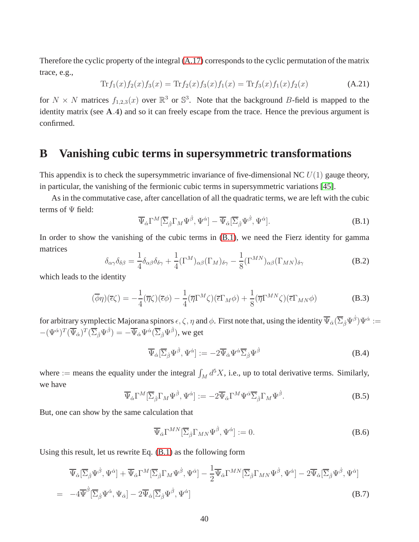Therefore the cyclic property of the integral [\(A.17\)](#page-39-3) corresponds to the cyclic permutation of the matrix trace, e.g.,

$$
\text{Tr}f_1(x)f_2(x)f_3(x) = \text{Tr}f_2(x)f_3(x)f_1(x) = \text{Tr}f_3(x)f_1(x)f_2(x)
$$
\n(A.21)

for  $N \times N$  matrices  $f_{1,2,3}(x)$  over  $\mathbb{R}^3$  or  $\mathbb{S}^3$ . Note that the background B-field is mapped to the identity matrix (see A.4) and so it can freely escape from the trace. Hence the previous argument is confirmed.

# **B Vanishing cubic terms in supersymmetric transformations**

This appendix is to check the supersymmetric invariance of five-dimensional NC  $U(1)$  gauge theory, in particular, the vanishing of the fermionic cubic terms in supersymmetric variations [\[45\]](#page-49-11).

As in the commutative case, after cancellation of all the quadratic terms, we are left with the cubic terms of Ψ field:

<span id="page-40-1"></span>
$$
\overline{\Psi}_{\dot{\alpha}}\Gamma^M[\overline{\Sigma}_{\dot{\beta}}\Gamma_M\Psi^{\dot{\beta}},\Psi^{\dot{\alpha}}] - \overline{\Psi}_{\dot{\alpha}}[\overline{\Sigma}_{\dot{\beta}}\Psi^{\dot{\beta}},\Psi^{\dot{\alpha}}].
$$
\n(B.1)

In order to show the vanishing of the cubic terms in [\(B.1\)](#page-40-1), we need the Fierz identity for gamma matrices

<span id="page-40-2"></span>
$$
\delta_{\alpha\gamma}\delta_{\delta\beta} = \frac{1}{4}\delta_{\alpha\beta}\delta_{\delta\gamma} + \frac{1}{4}(\Gamma^M)_{\alpha\beta}(\Gamma_M)_{\delta\gamma} - \frac{1}{8}(\Gamma^{MN})_{\alpha\beta}(\Gamma_{MN})_{\delta\gamma}
$$
(B.2)

which leads to the identity

<span id="page-40-0"></span>
$$
(\overline{\phi}\eta)(\overline{\epsilon}\zeta) = -\frac{1}{4}(\overline{\eta}\zeta)(\overline{\epsilon}\phi) - \frac{1}{4}(\overline{\eta}\Gamma^M\zeta)(\overline{\epsilon}\Gamma_M\phi) + \frac{1}{8}(\overline{\eta}\Gamma^{MN}\zeta)(\overline{\epsilon}\Gamma_{MN}\phi)
$$
(B.3)

for arbitrary symplectic Majorana spinors  $\epsilon,\zeta,\eta$  and  $\phi.$  First note that, using the identity  $\overline\Psi{}_{\dot\alpha}(\overline\Sigma_{\dot\beta}\Psi^{\dot\beta})\Psi^{\dot\alpha}:=$  $-(\Psi^{\dot\alpha})^T(\overline\Psi_{\dot\alpha})^T(\overline\Sigma_{\dot\beta}\Psi^{\dot\beta})=-\overline\Psi_{\dot\alpha}\Psi^{\dot\alpha}(\overline\Sigma_{\dot\beta}\Psi^{\dot\beta}),$  we get

<span id="page-40-4"></span>
$$
\overline{\Psi}_{\dot{\alpha}}[\overline{\Sigma}_{\dot{\beta}}\Psi^{\dot{\beta}},\Psi^{\dot{\alpha}}] := -2\overline{\Psi}_{\dot{\alpha}}\Psi^{\dot{\alpha}}\overline{\Sigma}_{\dot{\beta}}\Psi^{\dot{\beta}}
$$
(B.4)

where := means the equality under the integral  $\int_M d^5X$ , i.e., up to total derivative terms. Similarly, we have

$$
\overline{\Psi}_{\dot{\alpha}}\Gamma^{M}[\overline{\Sigma}_{\dot{\beta}}\Gamma_{M}\Psi^{\dot{\beta}},\Psi^{\dot{\alpha}}] := -2\overline{\Psi}_{\dot{\alpha}}\Gamma^{M}\Psi^{\dot{\alpha}}\overline{\Sigma}_{\dot{\beta}}\Gamma_{M}\Psi^{\dot{\beta}}.
$$
\n(B.5)

But, one can show by the same calculation that

$$
\overline{\Psi}_{\dot{\alpha}}\Gamma^{MN}[\overline{\Sigma}_{\dot{\beta}}\Gamma_{MN}\Psi^{\dot{\beta}},\Psi^{\dot{\alpha}}] := 0.
$$
 (B.6)

Using this result, let us rewrite Eq. [\(B.1\)](#page-40-1) as the following form

<span id="page-40-3"></span>
$$
\overline{\Psi}_{\dot{\alpha}}[\overline{\Sigma}_{\dot{\beta}}\Psi^{\dot{\beta}},\Psi^{\dot{\alpha}}] + \overline{\Psi}_{\dot{\alpha}}\Gamma^{M}[\overline{\Sigma}_{\dot{\beta}}\Gamma_{M}\Psi^{\dot{\beta}},\Psi^{\dot{\alpha}}] - \frac{1}{2}\overline{\Psi}_{\dot{\alpha}}\Gamma^{MN}[\overline{\Sigma}_{\dot{\beta}}\Gamma_{MN}\Psi^{\dot{\beta}},\Psi^{\dot{\alpha}}] - 2\overline{\Psi}_{\dot{\alpha}}[\overline{\Sigma}_{\dot{\beta}}\Psi^{\dot{\beta}},\Psi^{\dot{\alpha}}] \n= -4\overline{\Psi}^{\dot{\beta}}[\overline{\Sigma}_{\dot{\beta}}\Psi^{\dot{\alpha}},\Psi_{\dot{\alpha}}] - 2\overline{\Psi}_{\dot{\alpha}}[\overline{\Sigma}_{\dot{\beta}}\Psi^{\dot{\beta}},\Psi^{\dot{\alpha}}]
$$
\n(B.7)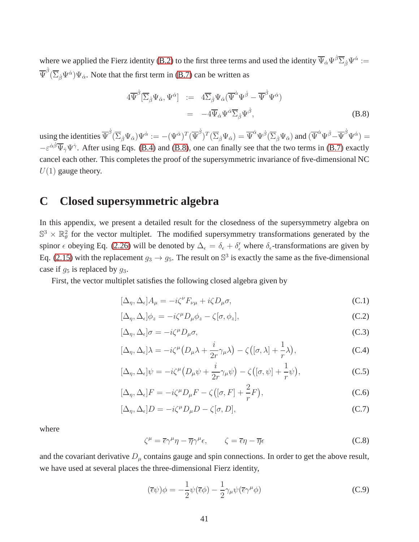where we applied the Fierz identity [\(B.2\)](#page-40-2) to the first three terms and used the identity  $\overline{\Psi}_{\dot{\alpha}}\Psi^{\dot{\beta}}\overline{\Sigma}_{\dot{\beta}}\Psi^{\dot{\alpha}}:=$  $\overline{\Psi}^{\dot{\beta}}(\overline{\Sigma}_{\dot{\beta}}\Psi^{\dot{\alpha}})\Psi_{\dot{\alpha}}.$  Note that the first term in [\(B.7\)](#page-40-3) can be written as

<span id="page-41-0"></span>
$$
4\overline{\Psi}^{\dot{\beta}}\left[\overline{\Sigma}_{\dot{\beta}}\Psi_{\dot{\alpha}},\Psi^{\dot{\alpha}}\right] := 4\overline{\Sigma}_{\dot{\beta}}\Psi_{\dot{\alpha}}(\overline{\Psi}^{\dot{\alpha}}\Psi^{\dot{\beta}} - \overline{\Psi}^{\dot{\beta}}\Psi^{\dot{\alpha}})
$$
  

$$
= -4\overline{\Psi}_{\dot{\alpha}}\Psi^{\dot{\alpha}}\overline{\Sigma}_{\dot{\beta}}\Psi^{\dot{\beta}}, \tag{B.8}
$$

using the identities  $\overline{\Psi}^{\dot{\beta}}(\overline{\Sigma}_{\dot{\beta}}\Psi_{\dot{\alpha}})\Psi^{\dot{\alpha}}:=-(\Psi^{\dot{\alpha}})^T(\overline{\Psi}^{\dot{\beta}})^T(\overline{\Sigma}_{\dot{\beta}}\Psi_{\dot{\alpha}})=\overline{\Psi}^{\dot{\alpha}}\Psi^{\dot{\beta}}(\overline{\Sigma}_{\dot{\beta}}\Psi_{\dot{\alpha}})$  and  $(\overline{\Psi}^{\dot{\alpha}}\Psi^{\dot{\beta}}-\overline{\Psi}^{\dot{\beta}}\Psi^{\dot{\alpha}})=$  $-\varepsilon^{\dot{\alpha}\dot{\beta}}\overline{\Psi}_{\dot{\gamma}}\Psi^{\dot{\gamma}}$ . After using Eqs. [\(B.4\)](#page-40-4) and [\(B.8\)](#page-41-0), one can finally see that the two terms in [\(B.7\)](#page-40-3) exactly cancel each other. This completes the proof of the supersymmetric invariance of five-dimensional NC  $U(1)$  gauge theory.

# **C Closed supersymmetric algebra**

In this appendix, we present a detailed result for the closedness of the supersymmetry algebra on  $\mathbb{S}^3 \times \mathbb{R}^2_\theta$  for the vector multiplet. The modified supersymmetry transformations generated by the spinor  $\epsilon$  obeying Eq. [\(2.26\)](#page-12-3) will be denoted by  $\Delta_{\epsilon} = \delta_{\epsilon} + \delta'_{\epsilon}$  where  $\delta_{\epsilon}$ -transformations are given by Eq. [\(2.15\)](#page-9-2) with the replacement  $g_3 \to g_5$ . The result on  $\mathbb{S}^3$  is exactly the same as the five-dimensional case if  $g_5$  is replaced by  $g_3$ .

First, the vector multiplet satisfies the following closed algebra given by

$$
[\Delta_{\eta}, \Delta_{\epsilon}]A_{\mu} = -i\zeta^{\nu}F_{\nu\mu} + i\zeta D_{\mu}\sigma,
$$
\n(C.1)

$$
[\Delta_{\eta}, \Delta_{\epsilon}] \phi_z = -i\zeta^{\mu} D_{\mu} \phi_z - \zeta [\sigma, \phi_z], \tag{C.2}
$$

$$
[\Delta_{\eta}, \Delta_{\epsilon}] \sigma = -i\zeta^{\mu} D_{\mu} \sigma,
$$
\n(C.3)

$$
[\Delta_{\eta}, \Delta_{\epsilon}] \lambda = -i\zeta^{\mu} \left( D_{\mu} \lambda + \frac{i}{2r} \gamma_{\mu} \lambda \right) - \zeta \left( [\sigma, \lambda] + \frac{1}{r} \lambda \right), \tag{C.4}
$$

$$
[\Delta_{\eta}, \Delta_{\epsilon}]\psi = -i\zeta^{\mu}\left(D_{\mu}\psi + \frac{i}{2r}\gamma_{\mu}\psi\right) - \zeta\left([\sigma, \psi] + \frac{1}{r}\psi\right),\tag{C.5}
$$

$$
[\Delta_{\eta}, \Delta_{\epsilon}]F = -i\zeta^{\mu}D_{\mu}F - \zeta([\sigma, F] + \frac{2}{r}F), \qquad (C.6)
$$

$$
[\Delta_{\eta}, \Delta_{\epsilon}]D = -i\zeta^{\mu}D_{\mu}D - \zeta[\sigma, D],
$$
\n(C.7)

where

$$
\zeta^{\mu} = \overline{\epsilon}\gamma^{\mu}\eta - \overline{\eta}\gamma^{\mu}\epsilon, \qquad \zeta = \overline{\epsilon}\eta - \overline{\eta}\epsilon
$$
 (C.8)

and the covariant derivative  $D_{\mu}$  contains gauge and spin connections. In order to get the above result, we have used at several places the three-dimensional Fierz identity,

$$
(\overline{\epsilon}\psi)\phi = -\frac{1}{2}\psi(\overline{\epsilon}\phi) - \frac{1}{2}\gamma_{\mu}\psi(\overline{\epsilon}\gamma^{\mu}\phi)
$$
 (C.9)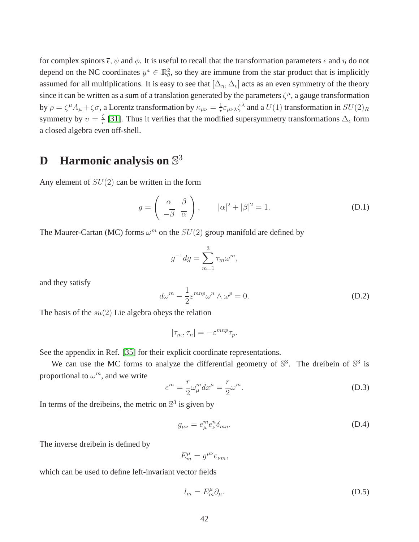for complex spinors  $\bar{\epsilon}$ ,  $\psi$  and  $\phi$ . It is useful to recall that the transformation parameters  $\epsilon$  and  $\eta$  do not depend on the NC coordinates  $y^a \in \mathbb{R}^2_{\theta}$ , so they are immune from the star product that is implicitly assumed for all multiplications. It is easy to see that  $[\Delta_\eta,\Delta_\epsilon]$  acts as an even symmetry of the theory since it can be written as a sum of a translation generated by the parameters  $\zeta^{\mu}$ , a gauge transformation by  $\rho = \zeta^{\mu} A_{\mu} + \zeta \sigma$ , a Lorentz transformation by  $\kappa_{\mu\nu} = \frac{1}{r}$  $\frac{1}{r}\varepsilon_{\mu\nu\lambda}\zeta^\lambda$  and a  $U(1)$  transformation in  $SU(2)_R$ symmetry by  $v = \frac{\zeta}{r}$  $\frac{5}{r}$  [\[31\]](#page-48-5). Thus it verifies that the modified supersymmetry transformations  $\Delta_{\epsilon}$  form a closed algebra even off-shell.

# **D Harmonic analysis on** S 3

Any element of  $SU(2)$  can be written in the form

$$
g = \begin{pmatrix} \alpha & \beta \\ -\overline{\beta} & \overline{\alpha} \end{pmatrix}, \qquad |\alpha|^2 + |\beta|^2 = 1.
$$
 (D.1)

The Maurer-Cartan (MC) forms  $\omega^m$  on the  $SU(2)$  group manifold are defined by

$$
g^{-1}dg = \sum_{m=1}^{3} \tau_m \omega^m,
$$

and they satisfy

<span id="page-42-0"></span>
$$
d\omega^m - \frac{1}{2} \varepsilon^{mnp} \omega^n \wedge \omega^p = 0.
$$
 (D.2)

The basis of the  $su(2)$  Lie algebra obeys the relation

$$
[\tau_m, \tau_n] = -\varepsilon^{mnp} \tau_p.
$$

See the appendix in Ref. [\[35\]](#page-49-1) for their explicit coordinate representations.

We can use the MC forms to analyze the differential geometry of  $\mathbb{S}^3$ . The dreibein of  $\mathbb{S}^3$  is proportional to  $\omega^m$ , and we write

$$
e^m = \frac{r}{2}\omega_\mu^m dx^\mu = \frac{r}{2}\omega^m.
$$
\n(D.3)

In terms of the dreibeins, the metric on  $\mathbb{S}^3$  is given by

$$
g_{\mu\nu} = e_{\mu}^m e_{\nu}^n \delta_{mn}.
$$
 (D.4)

The inverse dreibein is defined by

$$
E_m^{\mu} = g^{\mu\nu} e_{\nu m},
$$

which can be used to define left-invariant vector fields

$$
l_m = E_m^{\mu} \partial_{\mu}.
$$
 (D.5)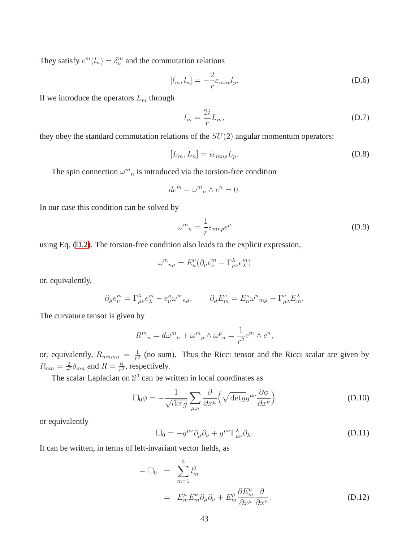They satisfy  $e^m(l_n) = \delta_n^m$  and the commutation relations

$$
[l_m, l_n] = -\frac{2}{r} \varepsilon_{mnp} l_p. \tag{D.6}
$$

If we introduce the operators  $L_m$  through

<span id="page-43-0"></span>
$$
l_m = \frac{2i}{r} L_m,\tag{D.7}
$$

they obey the standard commutation relations of the  $SU(2)$  angular momentum operators:

$$
[L_m, L_n] = i\varepsilon_{mnp} L_p. \tag{D.8}
$$

The spin connection  $\omega_{n}^{m}$  is introduced via the torsion-free condition

$$
de^m + \omega^m{}_n \wedge e^n = 0.
$$

In our case this condition can be solved by

$$
\omega^m{}_n = \frac{1}{r} \varepsilon_{mnp} e^p \tag{D.9}
$$

using Eq. [\(D.2\)](#page-42-0). The torsion-free condition also leads to the explicit expression,

$$
\omega_{n\mu}^m = E_n^{\nu} (\partial_{\mu} e_{\nu}^m - \Gamma_{\mu\nu}^{\lambda} e_{\lambda}^m)
$$

or, equivalently,

$$
\partial_{\mu}e_{\nu}^{m} = \Gamma_{\mu\nu}^{\lambda}e_{\lambda}^{m} - e_{\nu}^{n}\omega_{n\mu}^{m}, \qquad \partial_{\mu}E_{m}^{\nu} = E_{n}^{\nu}\omega_{n\mu}^{n} - \Gamma_{\mu\lambda}^{\nu}E_{m}^{\lambda}.
$$

The curvature tensor is given by

$$
R^{m}{}_{n} = d\omega^{m}{}_{n} + \omega^{m}{}_{p} \wedge \omega^{p}{}_{n} = \frac{1}{r^{2}} e^{m} \wedge e^{n},
$$

or, equivalently,  $R_{m n n n} = \frac{1}{r^2}$  $\frac{1}{r^2}$  (no sum). Thus the Ricci tensor and the Ricci scalar are given by  $R_{mn}=\frac{2}{r^2}$  $\frac{2}{r^2} \delta_{mn}$  and  $R = \frac{6}{r^2}$  $\frac{6}{r^2}$ , respectively.

The scalar Laplacian on  $\mathbb{S}^3$  can be written in local coordinates as

$$
\Box_0 \phi = -\frac{1}{\sqrt{\det g}} \sum_{\mu,\nu} \frac{\partial}{\partial x^{\mu}} \left( \sqrt{\det g} g^{\mu\nu} \frac{\partial \phi}{\partial x^{\nu}} \right)
$$
(D.10)

or equivalently

$$
\Box_0 = -g^{\mu\nu}\partial_\mu\partial_\nu + g^{\mu\nu}\Gamma^\lambda_{\mu\nu}\partial_\lambda.
$$
\n(D.11)

It can be written, in terms of left-invariant vector fields, as

$$
-\Box_0 = \sum_{m=1}^3 l_m^2
$$
  
=  $E_m^{\mu} E_m^{\nu} \partial_{\mu} \partial_{\nu} + E_m^{\mu} \frac{\partial E_m^{\nu}}{\partial x^{\mu}} \frac{\partial}{\partial x^{\nu}}.$  (D.12)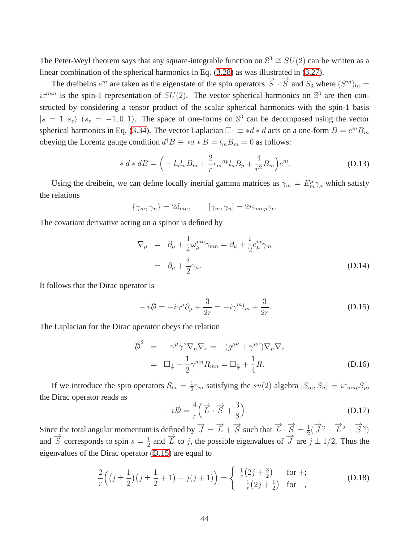The Peter-Weyl theorem says that any square-integrable function on  $\mathbb{S}^3 \cong SU(2)$  can be written as a linear combination of the spherical harmonics in Eq. [\(3.28\)](#page-19-1) as was illustrated in [\(3.27\)](#page-19-2).

The dreibeins  $e^m$  are taken as the eigenstate of the spin operators  $\vec{S} \cdot \vec{S}$  and  $S_3$  where  $(S^m)_{ln} =$  $i\varepsilon^{lmn}$  is the spin-1 representation of  $SU(2)$ . The vector spherical harmonics on  $\mathbb{S}^3$  are then constructed by considering a tensor product of the scalar spherical harmonics with the spin-1 basis  $|s = 1, s_z\rangle$   $(s_z = -1, 0, 1)$ . The space of one-forms on  $\mathbb{S}^3$  can be decomposed using the vector spherical harmonics in Eq. [\(3.34\)](#page-20-1). The vector Laplacian  $\Box_1 \equiv *d*d$  acts on a one-form  $B = e^mB_m$ obeying the Lorentz gauge condition  $d^{\dagger}B \equiv *d*B = l_mB_m = 0$  as follows:

$$
* d * dB = \left( -l_n l_n B_m + \frac{2}{r} \epsilon_m{}^{np} l_n B_p + \frac{4}{r^2} B_m \right) e^m.
$$
 (D.13)

Using the dreibein, we can define locally inertial gamma matrices as  $\gamma_m = E_m^{\mu} \gamma_{\mu}$  which satisfy the relations

$$
\{\gamma_m, \gamma_n\} = 2\delta_{mn}, \qquad [\gamma_m, \gamma_n] = 2i\varepsilon_{mnp}\gamma_p.
$$

The covariant derivative acting on a spinor is defined by

$$
\nabla_{\mu} = \partial_{\mu} + \frac{1}{4} \omega_{\mu}^{mn} \gamma_{mn} = \partial_{\mu} + \frac{i}{2} e_{\mu}^{m} \gamma_{m}
$$
  
=  $\partial_{\mu} + \frac{i}{2} \gamma_{\mu}.$  (D.14)

It follows that the Dirac operator is

<span id="page-44-0"></span>
$$
-i\rlap{\,/}D = -i\gamma^{\mu}\partial_{\mu} + \frac{3}{2r} = -i\gamma^{m}l_{m} + \frac{3}{2r}.
$$
\n(D.15)

The Laplacian for the Dirac operator obeys the relation

$$
-\vec{p}^2 = -\gamma^\mu \gamma^\nu \nabla_\mu \nabla_\nu = -(g^{\mu\nu} + \gamma^{\mu\nu}) \nabla_\mu \nabla_\nu
$$
  

$$
= \Box_{\frac{1}{2}} - \frac{1}{2} \gamma^{mn} R_{mn} = \Box_{\frac{1}{2}} + \frac{1}{4} R.
$$
 (D.16)

If we introduce the spin operators  $S_m = \frac{1}{2}$  $\frac{1}{2}\gamma_m$  satisfying the  $su(2)$  algebra  $[S_m, S_n] = i\varepsilon_{mnp}S_p$ , the Dirac operator reads as

$$
-i\mathbf{D} = \frac{4}{r} \left( \vec{L} \cdot \vec{S} + \frac{3}{8} \right).
$$
 (D.17)

Since the total angular momentum is defined by  $\overrightarrow{J} = \overrightarrow{L} + \overrightarrow{S}$  such that  $\overrightarrow{L} \cdot \overrightarrow{S} = \frac{1}{2}$  $\frac{1}{2}(\overrightarrow{J}^2 - \overrightarrow{L}^2 - \overrightarrow{S}^2)$ and  $\overrightarrow{S}$  corresponds to spin  $s = \frac{1}{2}$  $\frac{1}{2}$  and  $\overrightarrow{L}$  to j, the possible eigenvalues of  $\overrightarrow{J}$  are  $j \pm 1/2$ . Thus the eigenvalues of the Dirac operator [\(D.15\)](#page-44-0) are equal to

$$
\frac{2}{r}\left(\left(j\pm\frac{1}{2}\right)\left(j\pm\frac{1}{2}+1\right)-j\left(j+1\right)\right)=\begin{cases}\frac{1}{r}\left(2j+\frac{3}{2}\right) & \text{for } +;\\-\frac{1}{r}\left(2j+\frac{1}{2}\right) & \text{for } -,\end{cases}
$$
(D.18)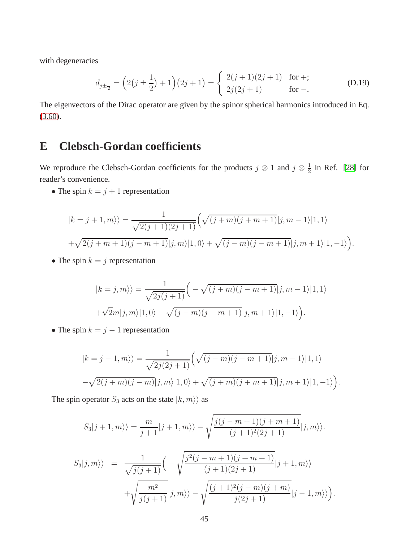with degeneracies

$$
d_{j\pm\frac{1}{2}} = \left(2(j\pm\frac{1}{2}) + 1\right)(2j+1) = \begin{cases} 2(j+1)(2j+1) & \text{for +;} \\ 2j(2j+1) & \text{for -.} \end{cases}
$$
 (D.19)

The eigenvectors of the Dirac operator are given by the spinor spherical harmonics introduced in Eq. [\(3.60\)](#page-26-0).

# **E Clebsch-Gordan coefficients**

We reproduce the Clebsch-Gordan coefficients for the products  $j \otimes 1$  and  $j \otimes \frac{1}{2}$  $\frac{1}{2}$  in Ref. [\[28\]](#page-48-2) for reader's convenience.

• The spin  $k = j + 1$  representation

$$
|k = j + 1, m\rangle\rangle = \frac{1}{\sqrt{2(j+1)(2j+1)}} \Big( \sqrt{(j+m)(j+m+1)}|j, m-1\rangle|1, 1\rangle
$$
  
+ $\sqrt{2(j+m+1)(j-m+1)}|j, m\rangle|1, 0\rangle + \sqrt{(j-m)(j-m+1)}|j, m+1\rangle|1, -1\rangle \Big).$ 

• The spin  $k = j$  representation

$$
|k=j,m\rangle\rangle = \frac{1}{\sqrt{2j(j+1)}} \Big(-\sqrt{(j+m)(j-m+1)}|j,m-1\rangle|1,1\rangle
$$
  
+ $\sqrt{2}m|j,m\rangle|1,0\rangle + \sqrt{(j-m)(j+m+1)}|j,m+1\rangle|1,-1\rangle\Big).$ 

• The spin  $k = j - 1$  representation

$$
|k = j - 1, m\rangle\rangle = \frac{1}{\sqrt{2j(2j+1)}} \Big(\sqrt{(j-m)(j-m+1)}|j, m-1\rangle|1, 1\rangle
$$

$$
-\sqrt{2(j+m)(j-m)}|j, m\rangle|1, 0\rangle + \sqrt{(j+m)(j+m+1)}|j, m+1\rangle|1, -1\rangle\Big).
$$

The spin operator  $S_3$  acts on the state  $|k, m\rangle$  as

$$
S_3|j+1,m\rangle\rangle = \frac{m}{j+1}|j+1,m\rangle\rangle - \sqrt{\frac{j(j-m+1)(j+m+1)}{(j+1)^2(2j+1)}}|j,m\rangle\rangle.
$$
  

$$
S_3|j,m\rangle\rangle = \frac{1}{\sqrt{j(j+1)}}\Big(-\sqrt{\frac{j^2(j-m+1)(j+m+1)}{(j+1)(2j+1)}}|j+1,m\rangle\rangle
$$
  

$$
+\sqrt{\frac{m^2}{j(j+1)}}|j,m\rangle\rangle - \sqrt{\frac{(j+1)^2(j-m)(j+m)}{j(2j+1)}}|j-1,m\rangle\rangle\Big).
$$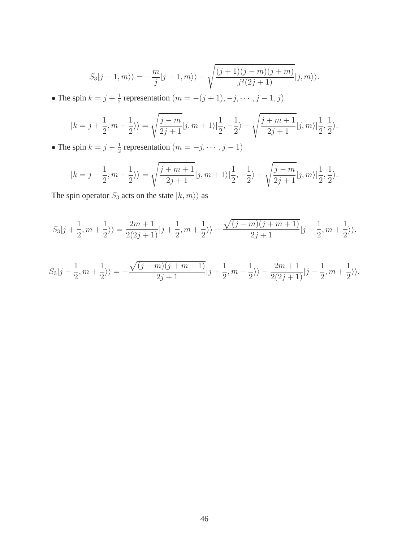$$
S_3|j-1,m\rangle\rangle=-\frac{m}{j}|j-1,m\rangle\rangle-\sqrt{\frac{(j+1)(j-m)(j+m)}{j^2(2j+1)}}|j,m\rangle\rangle.
$$

• The spin  $k = j + \frac{1}{2}$  $\frac{1}{2}$  representation  $(m = -(j + 1), -j, \dots, j - 1, j)$ 

$$
|k=j+\frac{1}{2},m+\frac{1}{2}\rangle\rangle=\sqrt{\frac{j-m}{2j+1}}|j,m+1\rangle\vert\frac{1}{2},-\frac{1}{2}\rangle+\sqrt{\frac{j+m+1}{2j+1}}|j,m\rangle\vert\frac{1}{2},\frac{1}{2}\rangle.
$$

• The spin  $k = j - \frac{1}{2}$  $\frac{1}{2}$  representation  $(m = -j, \dots, j-1)$ 

$$
|k = j - \frac{1}{2}, m + \frac{1}{2} \rangle\rangle = \sqrt{\frac{j + m + 1}{2j + 1}} |j, m + 1\rangle \Big| \frac{1}{2}, -\frac{1}{2} \rangle + \sqrt{\frac{j - m}{2j + 1}} |j, m\rangle \Big| \frac{1}{2}, \frac{1}{2} \rangle.
$$

The spin operator  $S_3$  acts on the state  $|k,m\rangle\rangle$  as

$$
S_3|j+\frac{1}{2},m+\frac{1}{2}\rangle\rangle=\frac{2m+1}{2(2j+1)}|j+\frac{1}{2},m+\frac{1}{2}\rangle\rangle-\frac{\sqrt{(j-m)(j+m+1)}}{2j+1}|j-\frac{1}{2},m+\frac{1}{2}\rangle\rangle.
$$

$$
S_3|j-\frac{1}{2},m+\frac{1}{2}\rangle\rangle=-\frac{\sqrt{(j-m)(j+m+1)}}{2j+1}|j+\frac{1}{2},m+\frac{1}{2}\rangle\rangle-\frac{2m+1}{2(2j+1)}|j-\frac{1}{2},m+\frac{1}{2}\rangle\rangle.
$$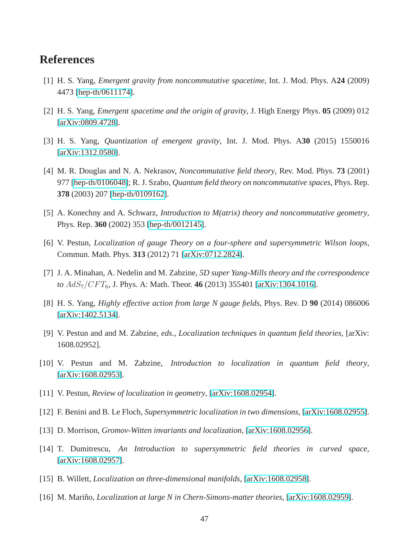## <span id="page-47-0"></span>**References**

- <span id="page-47-1"></span>[1] H. S. Yang, *Emergent gravity from noncommutative spacetime*, Int. J. Mod. Phys. A**24** (2009) 4473 [\[hep-th/0611174\]](http://arxiv.org/abs/hep-th/0611174).
- <span id="page-47-2"></span>[2] H. S. Yang, *Emergent spacetime and the origin of gravity*, J. High Energy Phys. **05** (2009) 012 [\[arXiv:0809.4728\]](http://arxiv.org/abs/0809.4728).
- <span id="page-47-3"></span>[3] H. S. Yang, *Quantization of emergent gravity*, Int. J. Mod. Phys. A**30** (2015) 1550016 [\[arXiv:1312.0580\]](http://arxiv.org/abs/1312.0580).
- [4] M. R. Douglas and N. A. Nekrasov, *Noncommutative field theory*, Rev. Mod. Phys. **73** (2001) 977 [\[hep-th/0106048\]](http://arxiv.org/abs/hep-th/0106048); R. J. Szabo, *Quantum field theory on noncommutative spaces*, Phys. Rep. **378** (2003) 207 [\[hep-th/0109162\]](http://arxiv.org/abs/hep-th/0109162).
- <span id="page-47-5"></span><span id="page-47-4"></span>[5] A. Konechny and A. Schwarz, *Introduction to M(atrix) theory and noncommutative geometry*, Phys. Rep. **360** (2002) 353 [\[hep-th/0012145\]](http://arxiv.org/abs/hep-th/0012145).
- <span id="page-47-6"></span>[6] V. Pestun, *Localization of gauge Theory on a four-sphere and supersymmetric Wilson loops*, Commun. Math. Phys. **313** (2012) 71 [\[arXiv:0712.2824\]](http://arxiv.org/abs/0712.2824).
- <span id="page-47-7"></span>[7] J. A. Minahan, A. Nedelin and M. Zabzine, *5D super Yang-Mills theory and the correspondence to* AdS7/CF T6, J. Phys. A: Math. Theor. **46** (2013) 355401 [\[arXiv:1304.1016\]](http://arxiv.org/abs/1304.1016).
- <span id="page-47-8"></span>[8] H. S. Yang, *Highly effective action from large N gauge fields*, Phys. Rev. D **90** (2014) 086006 [\[arXiv:1402.5134\]](http://arxiv.org/abs/1402.5134).
- [9] V. Pestun and and M. Zabzine, *eds.*, *Localization techniques in quantum field theories*, [arXiv: 1608.02952].
- [10] V. Pestun and M. Zabzine, *Introduction to localization in quantum field theory*, [\[arXiv:1608.02953\]](http://arxiv.org/abs/1608.02953).
- [11] V. Pestun, *Review of localization in geometry*, [\[arXiv:1608.02954\]](http://arxiv.org/abs/1608.02954).
- [12] F. Benini and B. Le Floch, *Supersymmetric localization in two dimensions*, [\[arXiv:1608.02955\]](http://arxiv.org/abs/1608.02955).
- [13] D. Morrison, *Gromov-Witten invariants and localization*, [\[arXiv:1608.02956\]](http://arxiv.org/abs/1608.02956).
- <span id="page-47-9"></span>[14] T. Dumitrescu, *An Introduction to supersymmetric field theories in curved space*, [\[arXiv:1608.02957\]](http://arxiv.org/abs/1608.02957).
- <span id="page-47-10"></span>[15] B. Willett, *Localization on three-dimensional manifolds*, [\[arXiv:1608.02958\]](http://arxiv.org/abs/1608.02958).
- [16] M. Mariño, *Localization at large N in Chern-Simons-matter theories*, [\[arXiv:1608.02959\]](http://arxiv.org/abs/1608.02959).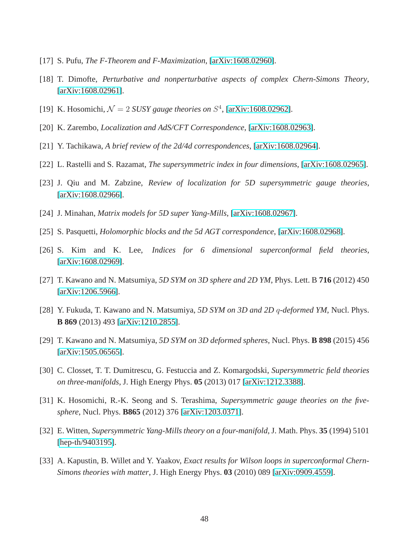- [17] S. Pufu, *The F-Theorem and F-Maximization*, [\[arXiv:1608.02960\]](http://arxiv.org/abs/1608.02960).
- [18] T. Dimofte, *Perturbative and nonperturbative aspects of complex Chern-Simons Theory*, [\[arXiv:1608.02961\]](http://arxiv.org/abs/1608.02961).
- <span id="page-48-10"></span>[19] K. Hosomichi,  $\mathcal{N} = 2$  *SUSY gauge theories on*  $S<sup>4</sup>$ , [\[arXiv:1608.02962\]](http://arxiv.org/abs/1608.02962).
- [20] K. Zarembo, *Localization and AdS/CFT Correspondence*, [\[arXiv:1608.02963\]](http://arxiv.org/abs/1608.02963).
- [21] Y. Tachikawa, *A brief review of the 2d/4d correspondences*, [\[arXiv:1608.02964\]](http://arxiv.org/abs/1608.02964).
- <span id="page-48-6"></span>[22] L. Rastelli and S. Razamat, *The supersymmetric index in four dimensions*, [\[arXiv:1608.02965\]](http://arxiv.org/abs/1608.02965).
- <span id="page-48-7"></span>[23] J. Qiu and M. Zabzine, *Review of localization for 5D supersymmetric gauge theories*, [\[arXiv:1608.02966\]](http://arxiv.org/abs/1608.02966).
- [24] J. Minahan, *Matrix models for 5D super Yang-Mills*, [\[arXiv:1608.02967\]](http://arxiv.org/abs/1608.02967).
- <span id="page-48-0"></span>[25] S. Pasquetti, *Holomorphic blocks and the 5d AGT correspondence*, [\[arXiv:1608.02968\]](http://arxiv.org/abs/1608.02968).
- <span id="page-48-1"></span>[26] S. Kim and K. Lee, *Indices for 6 dimensional superconformal field theories*, [\[arXiv:1608.02969\]](http://arxiv.org/abs/1608.02969).
- <span id="page-48-2"></span>[27] T. Kawano and N. Matsumiya, *5D SYM on 3D sphere and 2D YM*, Phys. Lett. B **716** (2012) 450 [\[arXiv:1206.5966\]](http://arxiv.org/abs/1206.5966).
- <span id="page-48-3"></span>[28] Y. Fukuda, T. Kawano and N. Matsumiya, *5D SYM on 3D and 2D* q*-deformed YM*, Nucl. Phys. **B 869** (2013) 493 [\[arXiv:1210.2855\]](http://arxiv.org/abs/1210.2855).
- <span id="page-48-4"></span>[29] T. Kawano and N. Matsumiya, *5D SYM on 3D deformed spheres*, Nucl. Phys. **B 898** (2015) 456 [\[arXiv:1505.06565\]](http://arxiv.org/abs/1505.06565).
- <span id="page-48-5"></span>[30] C. Closset, T. T. Dumitrescu, G. Festuccia and Z. Komargodski, *Supersymmetric field theories on three-manifolds*, J. High Energy Phys. **05** (2013) 017 [\[arXiv:1212.3388\]](http://arxiv.org/abs/1212.3388).
- <span id="page-48-8"></span>[31] K. Hosomichi, R.-K. Seong and S. Terashima, *Supersymmetric gauge theories on the fivesphere*, Nucl. Phys. **B865** (2012) 376 [\[arXiv:1203.0371\]](http://arxiv.org/abs/1203.0371).
- <span id="page-48-9"></span>[32] E. Witten, *Supersymmetric Yang-Mills theory on a four-manifold*, J. Math. Phys. **35** (1994) 5101 [\[hep-th/9403195\]](http://arxiv.org/abs/hep-th/9403195).
- [33] A. Kapustin, B. Willet and Y. Yaakov, *Exact results for Wilson loops in superconformal Chern-Simons theories with matter*, J. High Energy Phys. **03** (2010) 089 [\[arXiv:0909.4559\]](http://arxiv.org/abs/0909.4559).